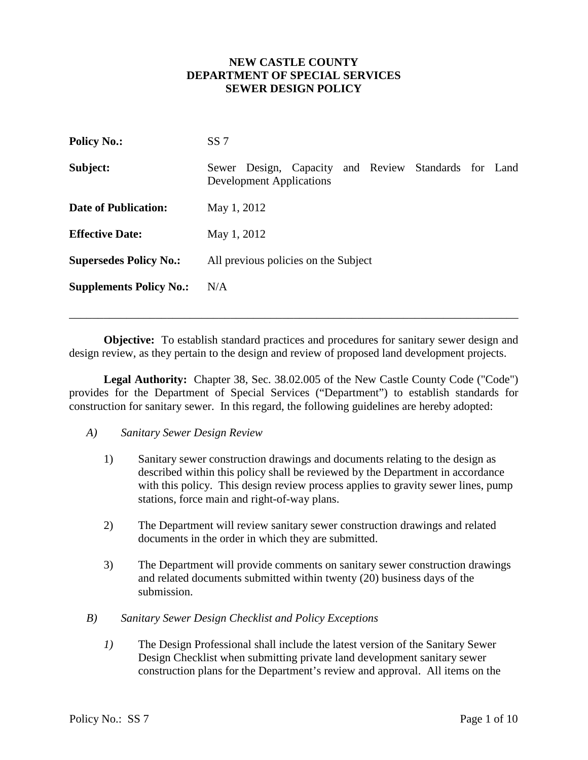#### **NEW CASTLE COUNTY DEPARTMENT OF SPECIAL SERVICES SEWER DESIGN POLICY**

| <b>Policy No.:</b>             | SS <sub>7</sub>                                                                         |
|--------------------------------|-----------------------------------------------------------------------------------------|
| Subject:                       | Sewer Design, Capacity and Review Standards for Land<br><b>Development Applications</b> |
| <b>Date of Publication:</b>    | May 1, 2012                                                                             |
| <b>Effective Date:</b>         | May 1, 2012                                                                             |
| <b>Supersedes Policy No.:</b>  | All previous policies on the Subject                                                    |
| <b>Supplements Policy No.:</b> | N/A                                                                                     |
|                                |                                                                                         |

**Objective:** To establish standard practices and procedures for sanitary sewer design and design review, as they pertain to the design and review of proposed land development projects.

**Legal Authority:** Chapter 38, Sec. 38.02.005 of the New Castle County Code ("Code") provides for the Department of Special Services ("Department") to establish standards for construction for sanitary sewer. In this regard, the following guidelines are hereby adopted:

### *A) Sanitary Sewer Design Review*

- 1) Sanitary sewer construction drawings and documents relating to the design as described within this policy shall be reviewed by the Department in accordance with this policy. This design review process applies to gravity sewer lines, pump stations, force main and right-of-way plans.
- 2) The Department will review sanitary sewer construction drawings and related documents in the order in which they are submitted.
- 3) The Department will provide comments on sanitary sewer construction drawings and related documents submitted within twenty (20) business days of the submission.
- *B) Sanitary Sewer Design Checklist and Policy Exceptions* 
	- *1)* The Design Professional shall include the latest version of the Sanitary Sewer Design Checklist when submitting private land development sanitary sewer construction plans for the Department's review and approval. All items on the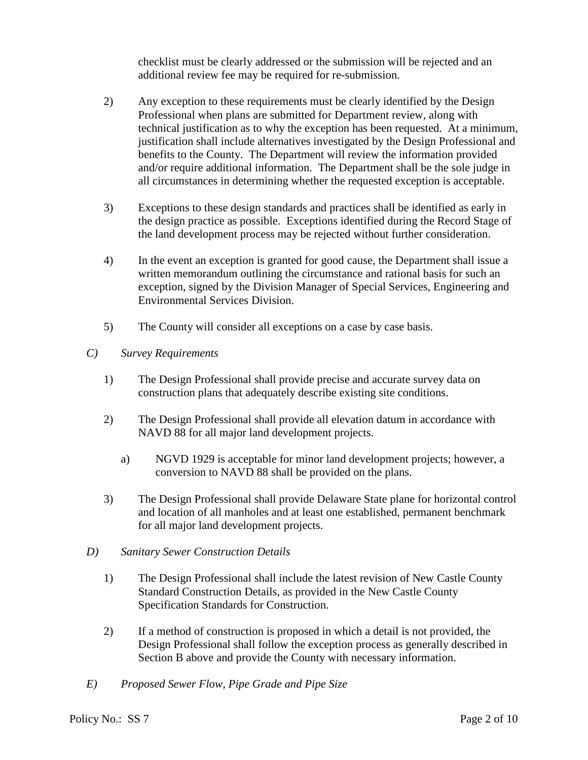checklist must be clearly addressed or the submission will be rejected and an additional review fee may be required for re-submission.

- 2) Any exception to these requirements must be clearly identified by the Design Professional when plans are submitted for Department review, along with technical justification as to why the exception has been requested. At a minimum, justification shall include alternatives investigated by the Design Professional and benefits to the County. The Department will review the information provided and/or require additional information. The Department shall be the sole judge in all circumstances in determining whether the requested exception is acceptable.
- 3) Exceptions to these design standards and practices shall be identified as early in the design practice as possible. Exceptions identified during the Record Stage of the land development process may be rejected without further consideration.
- 4) In the event an exception is granted for good cause, the Department shall issue a written memorandum outlining the circumstance and rational basis for such an exception, signed by the Division Manager of Special Services, Engineering and Environmental Services Division.
- 5) The County will consider all exceptions on a case by case basis.
- *C) Survey Requirements* 
	- 1) The Design Professional shall provide precise and accurate survey data on construction plans that adequately describe existing site conditions.
	- 2) The Design Professional shall provide all elevation datum in accordance with NAVD 88 for all major land development projects.
		- a) NGVD 1929 is acceptable for minor land development projects; however, a conversion to NAVD 88 shall be provided on the plans.
	- 3) The Design Professional shall provide Delaware State plane for horizontal control and location of all manholes and at least one established, permanent benchmark for all major land development projects.
- *D) Sanitary Sewer Construction Details* 
	- 1) The Design Professional shall include the latest revision of New Castle County Standard Construction Details, as provided in the New Castle County Specification Standards for Construction.
	- 2) If a method of construction is proposed in which a detail is not provided, the Design Professional shall follow the exception process as generally described in Section B above and provide the County with necessary information.
- *E) Proposed Sewer Flow, Pipe Grade and Pipe Size*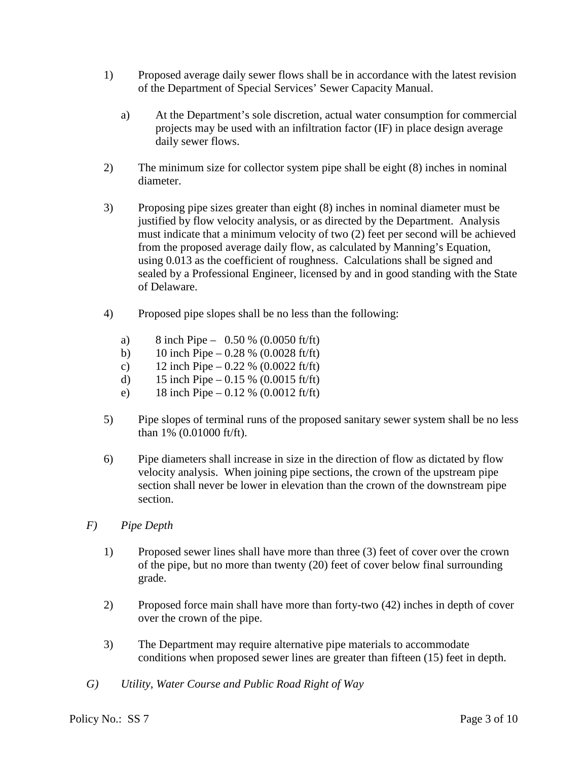- 1) Proposed average daily sewer flows shall be in accordance with the latest revision of the Department of Special Services' Sewer Capacity Manual.
	- a) At the Department's sole discretion, actual water consumption for commercial projects may be used with an infiltration factor (IF) in place design average daily sewer flows.
- 2) The minimum size for collector system pipe shall be eight (8) inches in nominal diameter.
- 3) Proposing pipe sizes greater than eight (8) inches in nominal diameter must be justified by flow velocity analysis, or as directed by the Department. Analysis must indicate that a minimum velocity of two (2) feet per second will be achieved from the proposed average daily flow, as calculated by Manning's Equation, using 0.013 as the coefficient of roughness. Calculations shall be signed and sealed by a Professional Engineer, licensed by and in good standing with the State of Delaware.
- 4) Proposed pipe slopes shall be no less than the following:
	- a) 8 inch Pipe  $0.50\%$  (0.0050 ft/ft)
	- b) 10 inch Pipe 0.28 % (0.0028 ft/ft)
	- c) 12 inch Pipe 0.22 % (0.0022 ft/ft)
	- d) 15 inch Pipe 0.15 % (0.0015 ft/ft)
	- e) 18 inch Pipe 0.12 % (0.0012 ft/ft)
- 5) Pipe slopes of terminal runs of the proposed sanitary sewer system shall be no less than 1% (0.01000 ft/ft).
- 6) Pipe diameters shall increase in size in the direction of flow as dictated by flow velocity analysis. When joining pipe sections, the crown of the upstream pipe section shall never be lower in elevation than the crown of the downstream pipe section.
- *F) Pipe Depth* 
	- 1) Proposed sewer lines shall have more than three (3) feet of cover over the crown of the pipe, but no more than twenty (20) feet of cover below final surrounding grade.
	- 2) Proposed force main shall have more than forty-two (42) inches in depth of cover over the crown of the pipe.
	- 3) The Department may require alternative pipe materials to accommodate conditions when proposed sewer lines are greater than fifteen (15) feet in depth.
- *G) Utility, Water Course and Public Road Right of Way*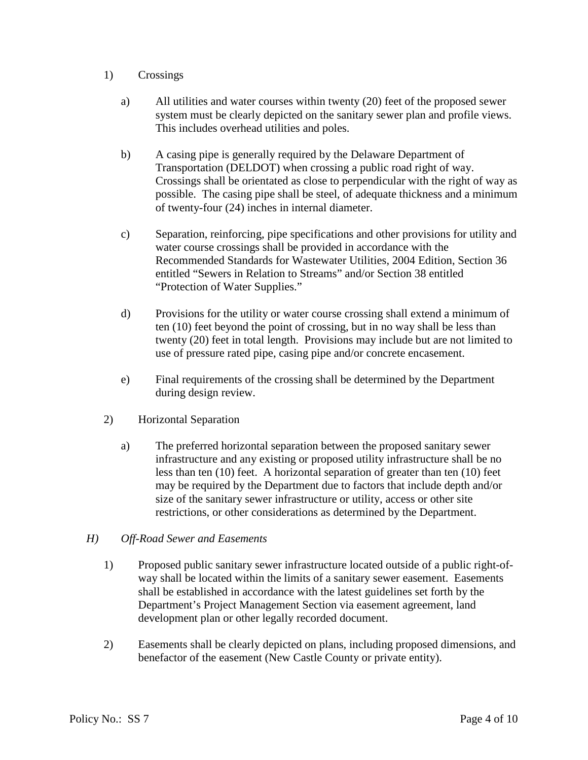### 1) Crossings

- a) All utilities and water courses within twenty (20) feet of the proposed sewer system must be clearly depicted on the sanitary sewer plan and profile views. This includes overhead utilities and poles.
- b) A casing pipe is generally required by the Delaware Department of Transportation (DELDOT) when crossing a public road right of way. Crossings shall be orientated as close to perpendicular with the right of way as possible. The casing pipe shall be steel, of adequate thickness and a minimum of twenty-four (24) inches in internal diameter.
- c) Separation, reinforcing, pipe specifications and other provisions for utility and water course crossings shall be provided in accordance with the Recommended Standards for Wastewater Utilities, 2004 Edition, Section 36 entitled "Sewers in Relation to Streams" and/or Section 38 entitled "Protection of Water Supplies."
- d) Provisions for the utility or water course crossing shall extend a minimum of ten (10) feet beyond the point of crossing, but in no way shall be less than twenty (20) feet in total length. Provisions may include but are not limited to use of pressure rated pipe, casing pipe and/or concrete encasement.
- e) Final requirements of the crossing shall be determined by the Department during design review.
- 2) Horizontal Separation
	- a) The preferred horizontal separation between the proposed sanitary sewer infrastructure and any existing or proposed utility infrastructure shall be no less than ten (10) feet. A horizontal separation of greater than ten (10) feet may be required by the Department due to factors that include depth and/or size of the sanitary sewer infrastructure or utility, access or other site restrictions, or other considerations as determined by the Department.
- *H) Off-Road Sewer and Easements* 
	- 1) Proposed public sanitary sewer infrastructure located outside of a public right-ofway shall be located within the limits of a sanitary sewer easement. Easements shall be established in accordance with the latest guidelines set forth by the Department's Project Management Section via easement agreement, land development plan or other legally recorded document.
	- 2) Easements shall be clearly depicted on plans, including proposed dimensions, and benefactor of the easement (New Castle County or private entity).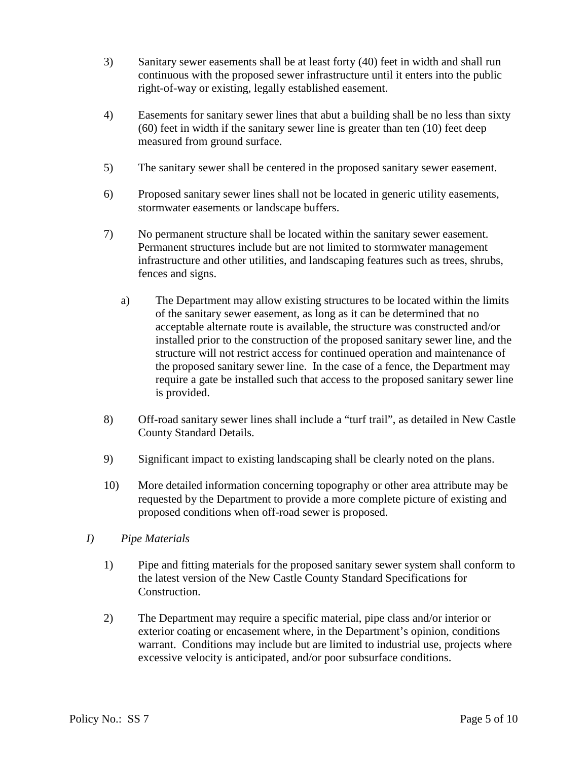- 3) Sanitary sewer easements shall be at least forty (40) feet in width and shall run continuous with the proposed sewer infrastructure until it enters into the public right-of-way or existing, legally established easement.
- 4) Easements for sanitary sewer lines that abut a building shall be no less than sixty (60) feet in width if the sanitary sewer line is greater than ten (10) feet deep measured from ground surface.
- 5) The sanitary sewer shall be centered in the proposed sanitary sewer easement.
- 6) Proposed sanitary sewer lines shall not be located in generic utility easements, stormwater easements or landscape buffers.
- 7) No permanent structure shall be located within the sanitary sewer easement. Permanent structures include but are not limited to stormwater management infrastructure and other utilities, and landscaping features such as trees, shrubs, fences and signs.
	- a) The Department may allow existing structures to be located within the limits of the sanitary sewer easement, as long as it can be determined that no acceptable alternate route is available, the structure was constructed and/or installed prior to the construction of the proposed sanitary sewer line, and the structure will not restrict access for continued operation and maintenance of the proposed sanitary sewer line. In the case of a fence, the Department may require a gate be installed such that access to the proposed sanitary sewer line is provided.
- 8) Off-road sanitary sewer lines shall include a "turf trail", as detailed in New Castle County Standard Details.
- 9) Significant impact to existing landscaping shall be clearly noted on the plans.
- 10) More detailed information concerning topography or other area attribute may be requested by the Department to provide a more complete picture of existing and proposed conditions when off-road sewer is proposed.
- *I) Pipe Materials* 
	- 1) Pipe and fitting materials for the proposed sanitary sewer system shall conform to the latest version of the New Castle County Standard Specifications for Construction.
	- 2) The Department may require a specific material, pipe class and/or interior or exterior coating or encasement where, in the Department's opinion, conditions warrant. Conditions may include but are limited to industrial use, projects where excessive velocity is anticipated, and/or poor subsurface conditions.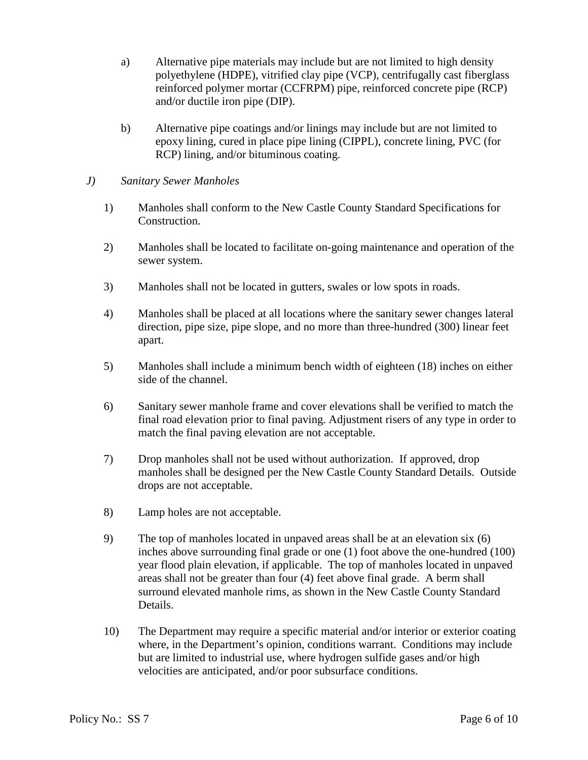- a) Alternative pipe materials may include but are not limited to high density polyethylene (HDPE), vitrified clay pipe (VCP), centrifugally cast fiberglass reinforced polymer mortar (CCFRPM) pipe, reinforced concrete pipe (RCP) and/or ductile iron pipe (DIP).
- b) Alternative pipe coatings and/or linings may include but are not limited to epoxy lining, cured in place pipe lining (CIPPL), concrete lining, PVC (for RCP) lining, and/or bituminous coating.
- *J) Sanitary Sewer Manholes* 
	- 1) Manholes shall conform to the New Castle County Standard Specifications for Construction.
	- 2) Manholes shall be located to facilitate on-going maintenance and operation of the sewer system.
	- 3) Manholes shall not be located in gutters, swales or low spots in roads.
	- 4) Manholes shall be placed at all locations where the sanitary sewer changes lateral direction, pipe size, pipe slope, and no more than three-hundred (300) linear feet apart.
	- 5) Manholes shall include a minimum bench width of eighteen (18) inches on either side of the channel.
	- 6) Sanitary sewer manhole frame and cover elevations shall be verified to match the final road elevation prior to final paving. Adjustment risers of any type in order to match the final paving elevation are not acceptable.
	- 7) Drop manholes shall not be used without authorization. If approved, drop manholes shall be designed per the New Castle County Standard Details. Outside drops are not acceptable.
	- 8) Lamp holes are not acceptable.
	- 9) The top of manholes located in unpaved areas shall be at an elevation six (6) inches above surrounding final grade or one (1) foot above the one-hundred (100) year flood plain elevation, if applicable. The top of manholes located in unpaved areas shall not be greater than four (4) feet above final grade. A berm shall surround elevated manhole rims, as shown in the New Castle County Standard Details.
	- 10) The Department may require a specific material and/or interior or exterior coating where, in the Department's opinion, conditions warrant. Conditions may include but are limited to industrial use, where hydrogen sulfide gases and/or high velocities are anticipated, and/or poor subsurface conditions.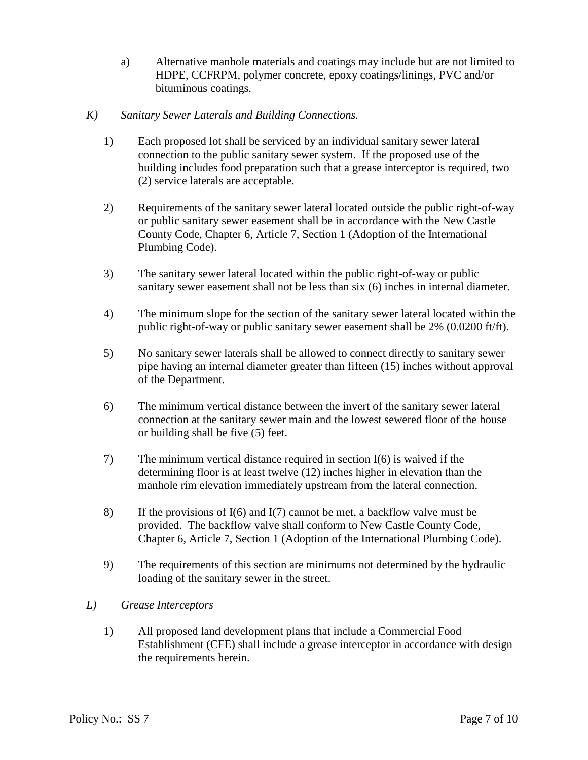a) Alternative manhole materials and coatings may include but are not limited to HDPE, CCFRPM, polymer concrete, epoxy coatings/linings, PVC and/or bituminous coatings.

# *K) Sanitary Sewer Laterals and Building Connections.*

- 1) Each proposed lot shall be serviced by an individual sanitary sewer lateral connection to the public sanitary sewer system. If the proposed use of the building includes food preparation such that a grease interceptor is required, two (2) service laterals are acceptable.
- 2) Requirements of the sanitary sewer lateral located outside the public right-of-way or public sanitary sewer easement shall be in accordance with the New Castle County Code, Chapter 6, Article 7, Section 1 (Adoption of the International Plumbing Code).
- 3) The sanitary sewer lateral located within the public right-of-way or public sanitary sewer easement shall not be less than six (6) inches in internal diameter.
- 4) The minimum slope for the section of the sanitary sewer lateral located within the public right-of-way or public sanitary sewer easement shall be 2% (0.0200 ft/ft).
- 5) No sanitary sewer laterals shall be allowed to connect directly to sanitary sewer pipe having an internal diameter greater than fifteen (15) inches without approval of the Department.
- 6) The minimum vertical distance between the invert of the sanitary sewer lateral connection at the sanitary sewer main and the lowest sewered floor of the house or building shall be five (5) feet.
- 7) The minimum vertical distance required in section I(6) is waived if the determining floor is at least twelve (12) inches higher in elevation than the manhole rim elevation immediately upstream from the lateral connection.
- 8) If the provisions of I(6) and I(7) cannot be met, a backflow valve must be provided. The backflow valve shall conform to New Castle County Code, Chapter 6, Article 7, Section 1 (Adoption of the International Plumbing Code).
- 9) The requirements of this section are minimums not determined by the hydraulic loading of the sanitary sewer in the street.

### *L) Grease Interceptors*

1) All proposed land development plans that include a Commercial Food Establishment (CFE) shall include a grease interceptor in accordance with design the requirements herein.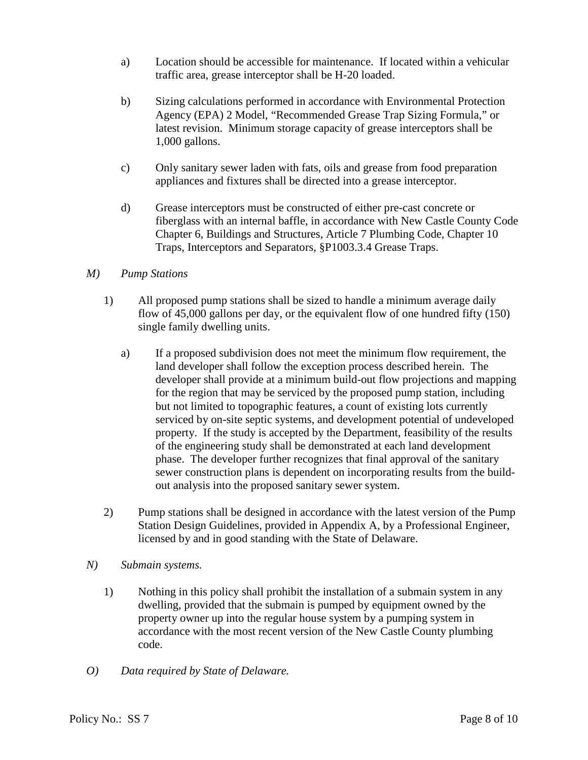- a) Location should be accessible for maintenance. If located within a vehicular traffic area, grease interceptor shall be H-20 loaded.
- b) Sizing calculations performed in accordance with Environmental Protection Agency (EPA) 2 Model, "Recommended Grease Trap Sizing Formula," or latest revision. Minimum storage capacity of grease interceptors shall be 1,000 gallons.
- c) Only sanitary sewer laden with fats, oils and grease from food preparation appliances and fixtures shall be directed into a grease interceptor.
- d) Grease interceptors must be constructed of either pre-cast concrete or fiberglass with an internal baffle, in accordance with New Castle County Code Chapter 6, Buildings and Structures, Article 7 Plumbing Code, Chapter 10 Traps, Interceptors and Separators, §P1003.3.4 Grease Traps.

# *M) Pump Stations*

- 1) All proposed pump stations shall be sized to handle a minimum average daily flow of 45,000 gallons per day, or the equivalent flow of one hundred fifty (150) single family dwelling units.
	- a) If a proposed subdivision does not meet the minimum flow requirement, the land developer shall follow the exception process described herein. The developer shall provide at a minimum build-out flow projections and mapping for the region that may be serviced by the proposed pump station, including but not limited to topographic features, a count of existing lots currently serviced by on-site septic systems, and development potential of undeveloped property. If the study is accepted by the Department, feasibility of the results of the engineering study shall be demonstrated at each land development phase. The developer further recognizes that final approval of the sanitary sewer construction plans is dependent on incorporating results from the buildout analysis into the proposed sanitary sewer system.
- 2) Pump stations shall be designed in accordance with the latest version of the Pump Station Design Guidelines, provided in Appendix A, by a Professional Engineer, licensed by and in good standing with the State of Delaware.
- *N) Submain systems.* 
	- 1) Nothing in this policy shall prohibit the installation of a submain system in any dwelling, provided that the submain is pumped by equipment owned by the property owner up into the regular house system by a pumping system in accordance with the most recent version of the New Castle County plumbing code.
- *O) Data required by State of Delaware.*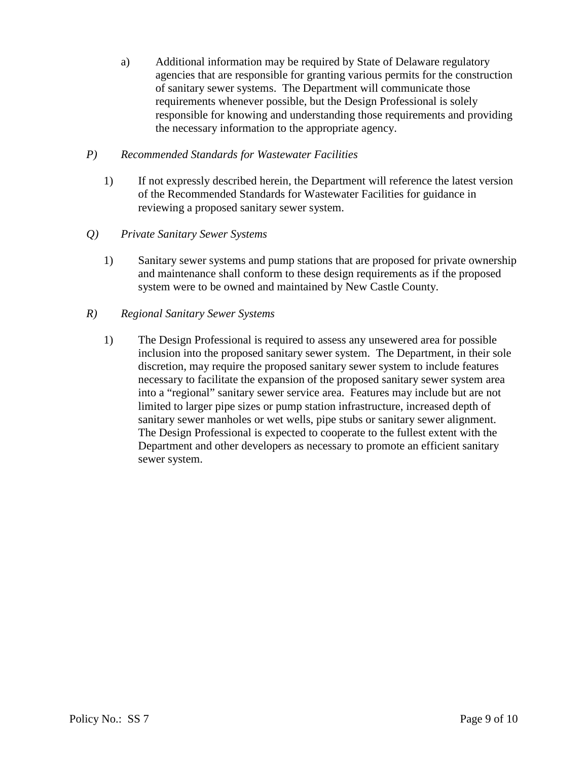a) Additional information may be required by State of Delaware regulatory agencies that are responsible for granting various permits for the construction of sanitary sewer systems. The Department will communicate those requirements whenever possible, but the Design Professional is solely responsible for knowing and understanding those requirements and providing the necessary information to the appropriate agency.

# *P) Recommended Standards for Wastewater Facilities*

- 1) If not expressly described herein, the Department will reference the latest version of the Recommended Standards for Wastewater Facilities for guidance in reviewing a proposed sanitary sewer system.
- *Q) Private Sanitary Sewer Systems* 
	- 1) Sanitary sewer systems and pump stations that are proposed for private ownership and maintenance shall conform to these design requirements as if the proposed system were to be owned and maintained by New Castle County.

# *R) Regional Sanitary Sewer Systems*

1) The Design Professional is required to assess any unsewered area for possible inclusion into the proposed sanitary sewer system. The Department, in their sole discretion, may require the proposed sanitary sewer system to include features necessary to facilitate the expansion of the proposed sanitary sewer system area into a "regional" sanitary sewer service area. Features may include but are not limited to larger pipe sizes or pump station infrastructure, increased depth of sanitary sewer manholes or wet wells, pipe stubs or sanitary sewer alignment. The Design Professional is expected to cooperate to the fullest extent with the Department and other developers as necessary to promote an efficient sanitary sewer system.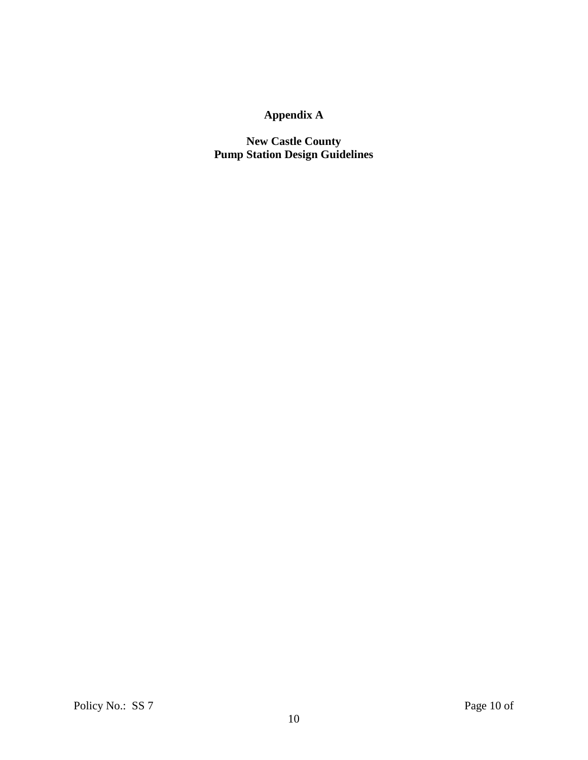# **Appendix A**

**New Castle County Pump Station Design Guidelines**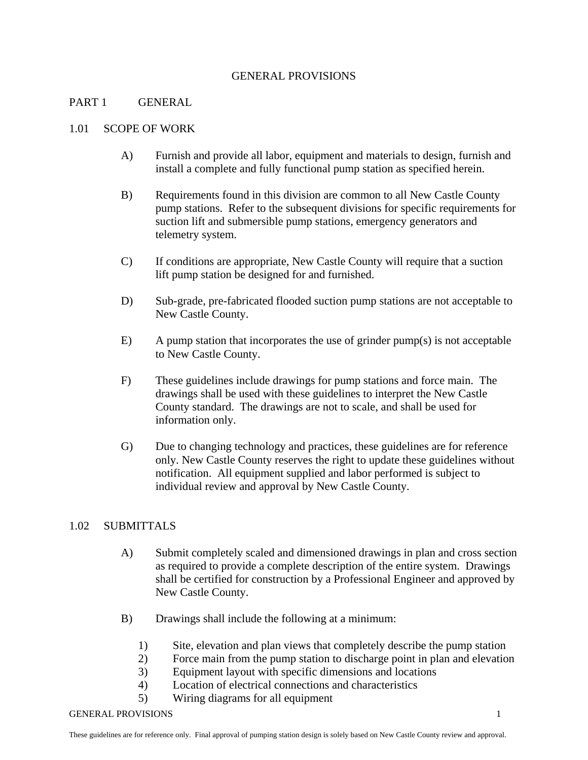### GENERAL PROVISIONS

### PART 1 GENERAL

### 1.01 SCOPE OF WORK

- A) Furnish and provide all labor, equipment and materials to design, furnish and install a complete and fully functional pump station as specified herein.
- B) Requirements found in this division are common to all New Castle County pump stations. Refer to the subsequent divisions for specific requirements for suction lift and submersible pump stations, emergency generators and telemetry system.
- C) If conditions are appropriate, New Castle County will require that a suction lift pump station be designed for and furnished.
- D) Sub-grade, pre-fabricated flooded suction pump stations are not acceptable to New Castle County.
- E) A pump station that incorporates the use of grinder pump(s) is not acceptable to New Castle County.
- F) These guidelines include drawings for pump stations and force main. The drawings shall be used with these guidelines to interpret the New Castle County standard. The drawings are not to scale, and shall be used for information only.
- G) Due to changing technology and practices, these guidelines are for reference only. New Castle County reserves the right to update these guidelines without notification. All equipment supplied and labor performed is subject to individual review and approval by New Castle County.

### 1.02 SUBMITTALS

- A) Submit completely scaled and dimensioned drawings in plan and cross section as required to provide a complete description of the entire system. Drawings shall be certified for construction by a Professional Engineer and approved by New Castle County.
- B) Drawings shall include the following at a minimum:
	- 1) Site, elevation and plan views that completely describe the pump station
	- 2) Force main from the pump station to discharge point in plan and elevation
	- 3) Equipment layout with specific dimensions and locations
	- 4) Location of electrical connections and characteristics
	- 5) Wiring diagrams for all equipment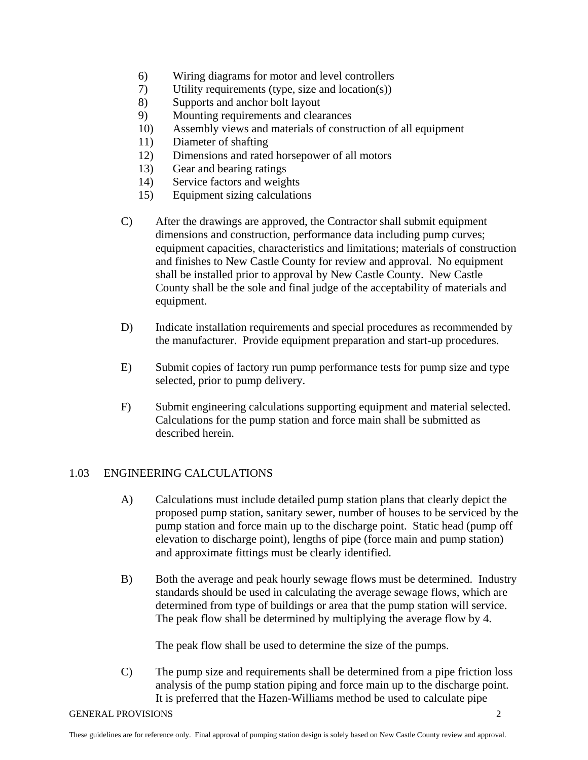- 6) Wiring diagrams for motor and level controllers
- 7) Utility requirements (type, size and location(s))
- 8) Supports and anchor bolt layout
- 9) Mounting requirements and clearances
- 10) Assembly views and materials of construction of all equipment
- 11) Diameter of shafting
- 12) Dimensions and rated horsepower of all motors
- 13) Gear and bearing ratings
- 14) Service factors and weights
- 15) Equipment sizing calculations
- C) After the drawings are approved, the Contractor shall submit equipment dimensions and construction, performance data including pump curves; equipment capacities, characteristics and limitations; materials of construction and finishes to New Castle County for review and approval. No equipment shall be installed prior to approval by New Castle County. New Castle County shall be the sole and final judge of the acceptability of materials and equipment.
- D) Indicate installation requirements and special procedures as recommended by the manufacturer. Provide equipment preparation and start-up procedures.
- E) Submit copies of factory run pump performance tests for pump size and type selected, prior to pump delivery.
- F) Submit engineering calculations supporting equipment and material selected. Calculations for the pump station and force main shall be submitted as described herein.

# 1.03 ENGINEERING CALCULATIONS

- A) Calculations must include detailed pump station plans that clearly depict the proposed pump station, sanitary sewer, number of houses to be serviced by the pump station and force main up to the discharge point. Static head (pump off elevation to discharge point), lengths of pipe (force main and pump station) and approximate fittings must be clearly identified.
- B) Both the average and peak hourly sewage flows must be determined. Industry standards should be used in calculating the average sewage flows, which are determined from type of buildings or area that the pump station will service. The peak flow shall be determined by multiplying the average flow by 4.

The peak flow shall be used to determine the size of the pumps.

C) The pump size and requirements shall be determined from a pipe friction loss analysis of the pump station piping and force main up to the discharge point. It is preferred that the Hazen-Williams method be used to calculate pipe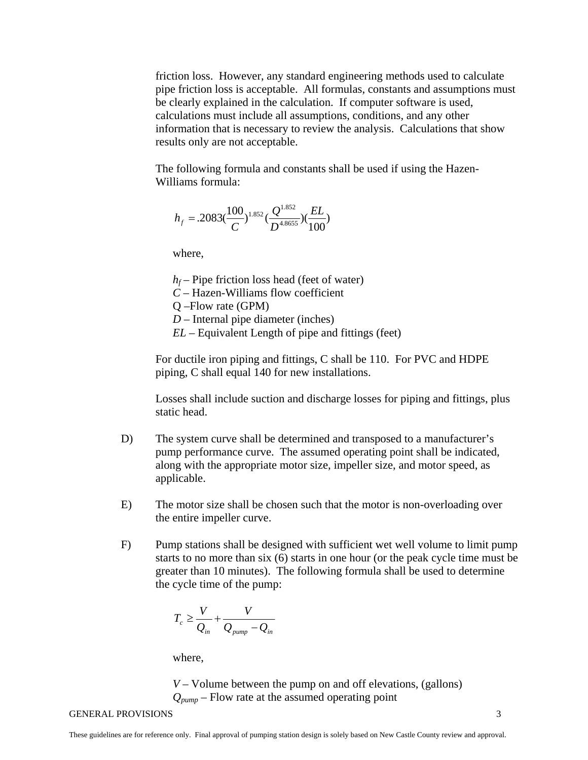friction loss. However, any standard engineering methods used to calculate pipe friction loss is acceptable. All formulas, constants and assumptions must be clearly explained in the calculation. If computer software is used, calculations must include all assumptions, conditions, and any other information that is necessary to review the analysis. Calculations that show results only are not acceptable.

The following formula and constants shall be used if using the Hazen-Williams formula:

$$
h_{f} = .2083(\frac{100}{C})^{1.852}(\frac{Q^{1.852}}{D^{4.8655}})(\frac{EL}{100})
$$

where,

 $h_f$  – Pipe friction loss head (feet of water)

*C* – Hazen-Williams flow coefficient

Q –Flow rate (GPM)

*D* – Internal pipe diameter (inches)

*EL* – Equivalent Length of pipe and fittings (feet)

For ductile iron piping and fittings, C shall be 110. For PVC and HDPE piping, C shall equal 140 for new installations.

Losses shall include suction and discharge losses for piping and fittings, plus static head.

- D) The system curve shall be determined and transposed to a manufacturer's pump performance curve. The assumed operating point shall be indicated, along with the appropriate motor size, impeller size, and motor speed, as applicable.
- E) The motor size shall be chosen such that the motor is non-overloading over the entire impeller curve.
- F) Pump stations shall be designed with sufficient wet well volume to limit pump starts to no more than six (6) starts in one hour (or the peak cycle time must be greater than 10 minutes). The following formula shall be used to determine the cycle time of the pump:

$$
T_c \geq \frac{V}{Q_{in}} + \frac{V}{Q_{pump} - Q_{in}}
$$

where,

*V* – Volume between the pump on and off elevations, (gallons) *Qpump* – Flow rate at the assumed operating point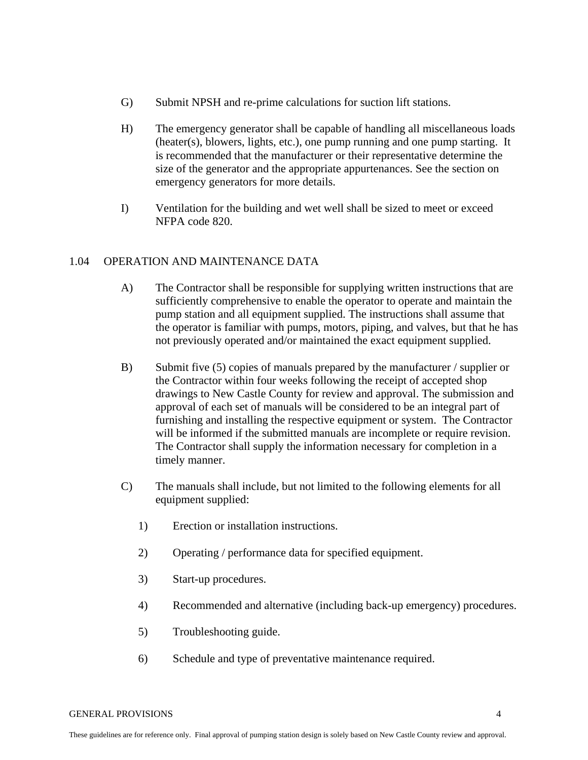- G) Submit NPSH and re-prime calculations for suction lift stations.
- H) The emergency generator shall be capable of handling all miscellaneous loads (heater(s), blowers, lights, etc.), one pump running and one pump starting. It is recommended that the manufacturer or their representative determine the size of the generator and the appropriate appurtenances. See the section on emergency generators for more details.
- I) Ventilation for the building and wet well shall be sized to meet or exceed NFPA code 820.

### 1.04 OPERATION AND MAINTENANCE DATA

- A) The Contractor shall be responsible for supplying written instructions that are sufficiently comprehensive to enable the operator to operate and maintain the pump station and all equipment supplied. The instructions shall assume that the operator is familiar with pumps, motors, piping, and valves, but that he has not previously operated and/or maintained the exact equipment supplied.
- B) Submit five (5) copies of manuals prepared by the manufacturer / supplier or the Contractor within four weeks following the receipt of accepted shop drawings to New Castle County for review and approval. The submission and approval of each set of manuals will be considered to be an integral part of furnishing and installing the respective equipment or system. The Contractor will be informed if the submitted manuals are incomplete or require revision. The Contractor shall supply the information necessary for completion in a timely manner.
- C) The manuals shall include, but not limited to the following elements for all equipment supplied:
	- 1) Erection or installation instructions.
	- 2) Operating / performance data for specified equipment.
	- 3) Start-up procedures.
	- 4) Recommended and alternative (including back-up emergency) procedures.
	- 5) Troubleshooting guide.
	- 6) Schedule and type of preventative maintenance required.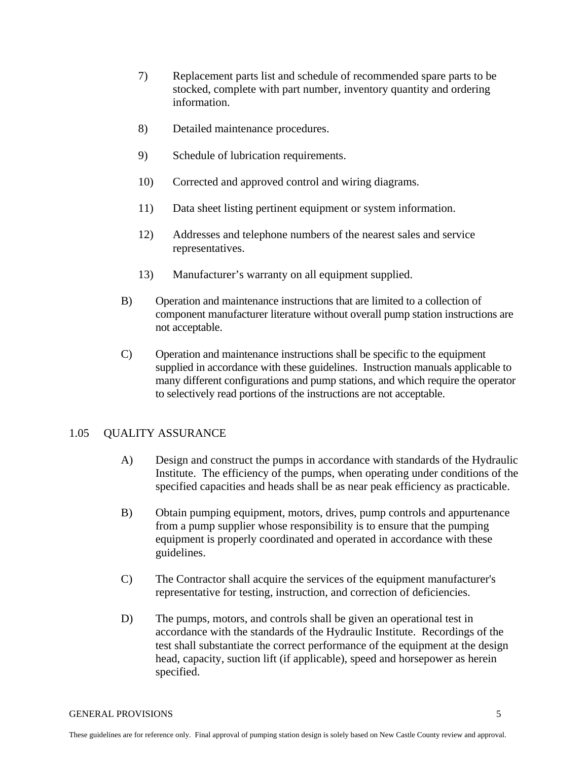- 7) Replacement parts list and schedule of recommended spare parts to be stocked, complete with part number, inventory quantity and ordering information.
- 8) Detailed maintenance procedures.
- 9) Schedule of lubrication requirements.
- 10) Corrected and approved control and wiring diagrams.
- 11) Data sheet listing pertinent equipment or system information.
- 12) Addresses and telephone numbers of the nearest sales and service representatives.
- 13) Manufacturer's warranty on all equipment supplied.
- B) Operation and maintenance instructions that are limited to a collection of component manufacturer literature without overall pump station instructions are not acceptable.
- C) Operation and maintenance instructions shall be specific to the equipment supplied in accordance with these guidelines. Instruction manuals applicable to many different configurations and pump stations, and which require the operator to selectively read portions of the instructions are not acceptable.

### 1.05 QUALITY ASSURANCE

- A) Design and construct the pumps in accordance with standards of the Hydraulic Institute. The efficiency of the pumps, when operating under conditions of the specified capacities and heads shall be as near peak efficiency as practicable.
- B) Obtain pumping equipment, motors, drives, pump controls and appurtenance from a pump supplier whose responsibility is to ensure that the pumping equipment is properly coordinated and operated in accordance with these guidelines.
- C) The Contractor shall acquire the services of the equipment manufacturer's representative for testing, instruction, and correction of deficiencies.
- D) The pumps, motors, and controls shall be given an operational test in accordance with the standards of the Hydraulic Institute. Recordings of the test shall substantiate the correct performance of the equipment at the design head, capacity, suction lift (if applicable), speed and horsepower as herein specified.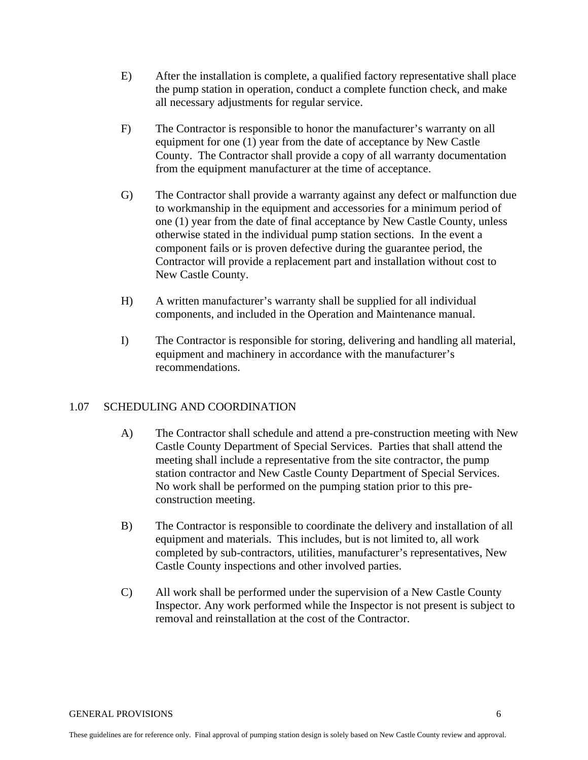- E) After the installation is complete, a qualified factory representative shall place the pump station in operation, conduct a complete function check, and make all necessary adjustments for regular service.
- F) The Contractor is responsible to honor the manufacturer's warranty on all equipment for one (1) year from the date of acceptance by New Castle County. The Contractor shall provide a copy of all warranty documentation from the equipment manufacturer at the time of acceptance.
- G) The Contractor shall provide a warranty against any defect or malfunction due to workmanship in the equipment and accessories for a minimum period of one (1) year from the date of final acceptance by New Castle County, unless otherwise stated in the individual pump station sections. In the event a component fails or is proven defective during the guarantee period, the Contractor will provide a replacement part and installation without cost to New Castle County.
- H) A written manufacturer's warranty shall be supplied for all individual components, and included in the Operation and Maintenance manual.
- I) The Contractor is responsible for storing, delivering and handling all material, equipment and machinery in accordance with the manufacturer's recommendations.

# 1.07 SCHEDULING AND COORDINATION

- A) The Contractor shall schedule and attend a pre-construction meeting with New Castle County Department of Special Services. Parties that shall attend the meeting shall include a representative from the site contractor, the pump station contractor and New Castle County Department of Special Services. No work shall be performed on the pumping station prior to this preconstruction meeting.
- B) The Contractor is responsible to coordinate the delivery and installation of all equipment and materials. This includes, but is not limited to, all work completed by sub-contractors, utilities, manufacturer's representatives, New Castle County inspections and other involved parties.
- C) All work shall be performed under the supervision of a New Castle County Inspector. Any work performed while the Inspector is not present is subject to removal and reinstallation at the cost of the Contractor.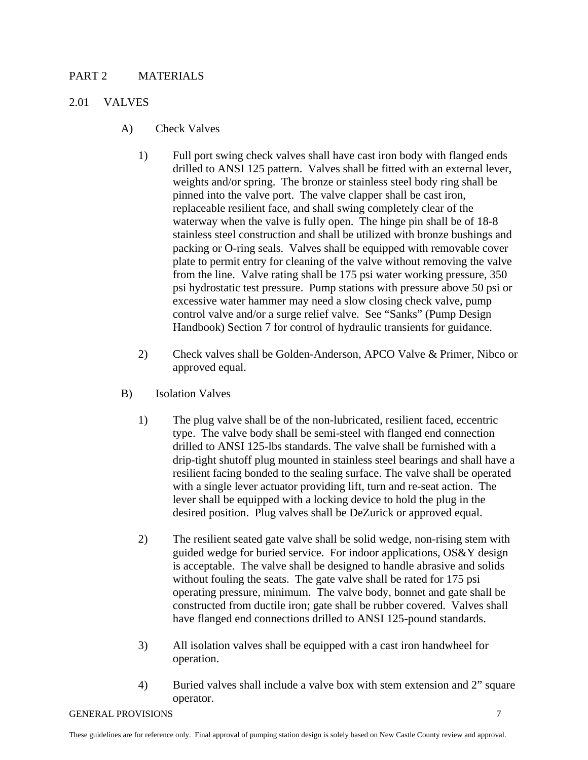# PART 2 MATERIALS

### 2.01 VALVES

- A) Check Valves
	- 1) Full port swing check valves shall have cast iron body with flanged ends drilled to ANSI 125 pattern. Valves shall be fitted with an external lever, weights and/or spring. The bronze or stainless steel body ring shall be pinned into the valve port. The valve clapper shall be cast iron, replaceable resilient face, and shall swing completely clear of the waterway when the valve is fully open. The hinge pin shall be of 18-8 stainless steel construction and shall be utilized with bronze bushings and packing or O-ring seals. Valves shall be equipped with removable cover plate to permit entry for cleaning of the valve without removing the valve from the line. Valve rating shall be 175 psi water working pressure, 350 psi hydrostatic test pressure. Pump stations with pressure above 50 psi or excessive water hammer may need a slow closing check valve, pump control valve and/or a surge relief valve. See "Sanks" (Pump Design Handbook) Section 7 for control of hydraulic transients for guidance.
	- 2) Check valves shall be Golden-Anderson, APCO Valve & Primer, Nibco or approved equal.
- B) Isolation Valves
	- 1) The plug valve shall be of the non-lubricated, resilient faced, eccentric type. The valve body shall be semi-steel with flanged end connection drilled to ANSI 125-lbs standards. The valve shall be furnished with a drip-tight shutoff plug mounted in stainless steel bearings and shall have a resilient facing bonded to the sealing surface. The valve shall be operated with a single lever actuator providing lift, turn and re-seat action. The lever shall be equipped with a locking device to hold the plug in the desired position. Plug valves shall be DeZurick or approved equal.
	- 2) The resilient seated gate valve shall be solid wedge, non-rising stem with guided wedge for buried service. For indoor applications, OS&Y design is acceptable. The valve shall be designed to handle abrasive and solids without fouling the seats. The gate valve shall be rated for 175 psi operating pressure, minimum. The valve body, bonnet and gate shall be constructed from ductile iron; gate shall be rubber covered. Valves shall have flanged end connections drilled to ANSI 125-pound standards.
	- 3) All isolation valves shall be equipped with a cast iron handwheel for operation.
	- 4) Buried valves shall include a valve box with stem extension and 2" square operator.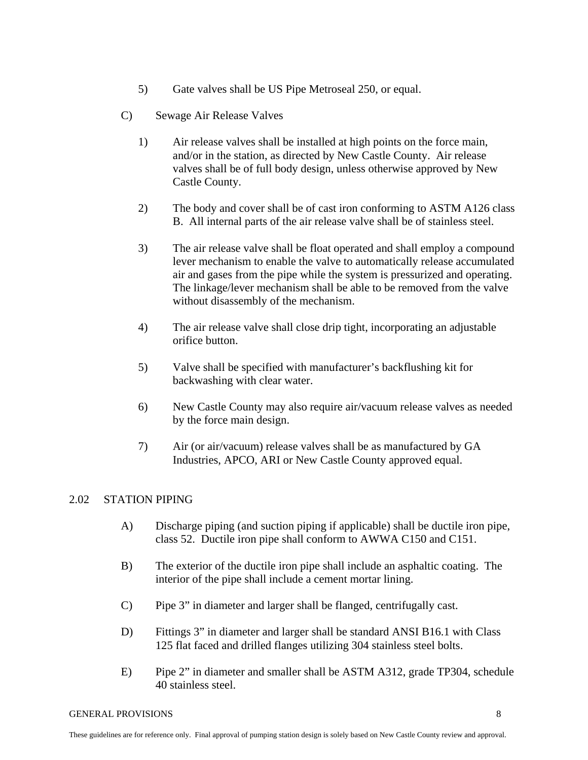- 5) Gate valves shall be US Pipe Metroseal 250, or equal.
- C) Sewage Air Release Valves
	- 1) Air release valves shall be installed at high points on the force main, and/or in the station, as directed by New Castle County. Air release valves shall be of full body design, unless otherwise approved by New Castle County.
	- 2) The body and cover shall be of cast iron conforming to ASTM A126 class B. All internal parts of the air release valve shall be of stainless steel.
	- 3) The air release valve shall be float operated and shall employ a compound lever mechanism to enable the valve to automatically release accumulated air and gases from the pipe while the system is pressurized and operating. The linkage/lever mechanism shall be able to be removed from the valve without disassembly of the mechanism.
	- 4) The air release valve shall close drip tight, incorporating an adjustable orifice button.
	- 5) Valve shall be specified with manufacturer's backflushing kit for backwashing with clear water.
	- 6) New Castle County may also require air/vacuum release valves as needed by the force main design.
	- 7) Air (or air/vacuum) release valves shall be as manufactured by GA Industries, APCO, ARI or New Castle County approved equal.

### 2.02 STATION PIPING

- A) Discharge piping (and suction piping if applicable) shall be ductile iron pipe, class 52. Ductile iron pipe shall conform to AWWA C150 and C151.
- B) The exterior of the ductile iron pipe shall include an asphaltic coating. The interior of the pipe shall include a cement mortar lining.
- C) Pipe 3" in diameter and larger shall be flanged, centrifugally cast.
- D) Fittings 3" in diameter and larger shall be standard ANSI B16.1 with Class 125 flat faced and drilled flanges utilizing 304 stainless steel bolts.
- E) Pipe 2" in diameter and smaller shall be ASTM A312, grade TP304, schedule 40 stainless steel.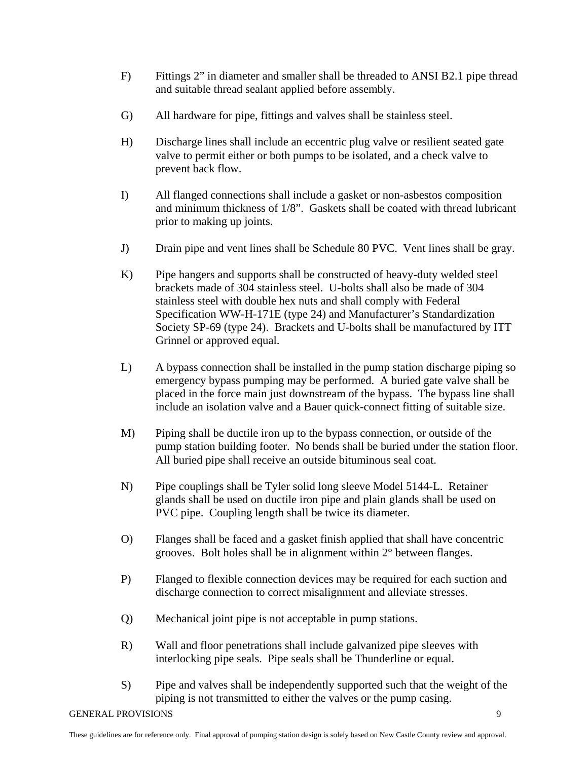- F) Fittings 2" in diameter and smaller shall be threaded to ANSI B2.1 pipe thread and suitable thread sealant applied before assembly.
- G) All hardware for pipe, fittings and valves shall be stainless steel.
- H) Discharge lines shall include an eccentric plug valve or resilient seated gate valve to permit either or both pumps to be isolated, and a check valve to prevent back flow.
- I) All flanged connections shall include a gasket or non-asbestos composition and minimum thickness of 1/8". Gaskets shall be coated with thread lubricant prior to making up joints.
- J) Drain pipe and vent lines shall be Schedule 80 PVC. Vent lines shall be gray.
- K) Pipe hangers and supports shall be constructed of heavy-duty welded steel brackets made of 304 stainless steel. U-bolts shall also be made of 304 stainless steel with double hex nuts and shall comply with Federal Specification WW-H-171E (type 24) and Manufacturer's Standardization Society SP-69 (type 24). Brackets and U-bolts shall be manufactured by ITT Grinnel or approved equal.
- L) A bypass connection shall be installed in the pump station discharge piping so emergency bypass pumping may be performed. A buried gate valve shall be placed in the force main just downstream of the bypass. The bypass line shall include an isolation valve and a Bauer quick-connect fitting of suitable size.
- M) Piping shall be ductile iron up to the bypass connection, or outside of the pump station building footer. No bends shall be buried under the station floor. All buried pipe shall receive an outside bituminous seal coat.
- N) Pipe couplings shall be Tyler solid long sleeve Model 5144-L. Retainer glands shall be used on ductile iron pipe and plain glands shall be used on PVC pipe. Coupling length shall be twice its diameter.
- O) Flanges shall be faced and a gasket finish applied that shall have concentric grooves. Bolt holes shall be in alignment within 2° between flanges.
- P) Flanged to flexible connection devices may be required for each suction and discharge connection to correct misalignment and alleviate stresses.
- Q) Mechanical joint pipe is not acceptable in pump stations.
- R) Wall and floor penetrations shall include galvanized pipe sleeves with interlocking pipe seals. Pipe seals shall be Thunderline or equal.
- S) Pipe and valves shall be independently supported such that the weight of the piping is not transmitted to either the valves or the pump casing.
- GENERAL PROVISIONS 9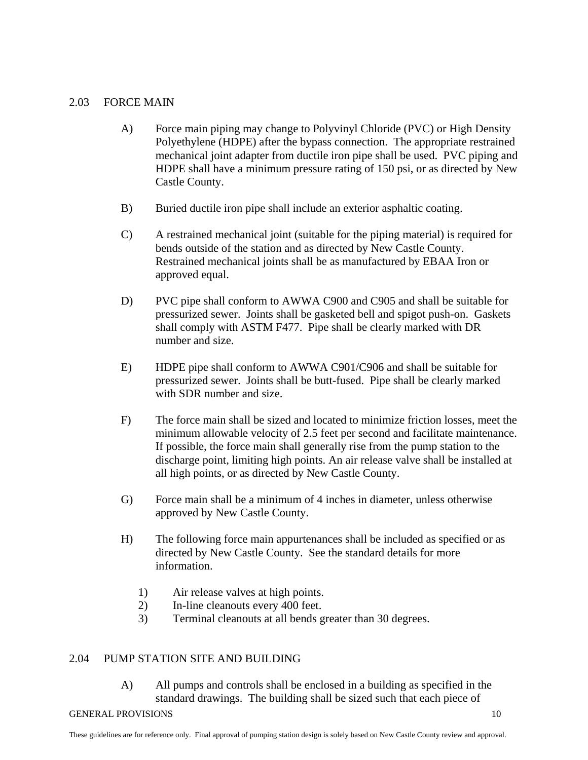### 2.03 FORCE MAIN

- A) Force main piping may change to Polyvinyl Chloride (PVC) or High Density Polyethylene (HDPE) after the bypass connection. The appropriate restrained mechanical joint adapter from ductile iron pipe shall be used. PVC piping and HDPE shall have a minimum pressure rating of 150 psi, or as directed by New Castle County.
- B) Buried ductile iron pipe shall include an exterior asphaltic coating.
- C) A restrained mechanical joint (suitable for the piping material) is required for bends outside of the station and as directed by New Castle County. Restrained mechanical joints shall be as manufactured by EBAA Iron or approved equal.
- D) PVC pipe shall conform to AWWA C900 and C905 and shall be suitable for pressurized sewer. Joints shall be gasketed bell and spigot push-on. Gaskets shall comply with ASTM F477. Pipe shall be clearly marked with DR number and size.
- E) HDPE pipe shall conform to AWWA C901/C906 and shall be suitable for pressurized sewer. Joints shall be butt-fused. Pipe shall be clearly marked with SDR number and size.
- F) The force main shall be sized and located to minimize friction losses, meet the minimum allowable velocity of 2.5 feet per second and facilitate maintenance. If possible, the force main shall generally rise from the pump station to the discharge point, limiting high points. An air release valve shall be installed at all high points, or as directed by New Castle County.
- G) Force main shall be a minimum of 4 inches in diameter, unless otherwise approved by New Castle County.
- H) The following force main appurtenances shall be included as specified or as directed by New Castle County. See the standard details for more information.
	- 1) Air release valves at high points.
	- 2) In-line cleanouts every 400 feet.
	- 3) Terminal cleanouts at all bends greater than 30 degrees.

#### 2.04 PUMP STATION SITE AND BUILDING

- A) All pumps and controls shall be enclosed in a building as specified in the standard drawings. The building shall be sized such that each piece of
- GENERAL PROVISIONS 10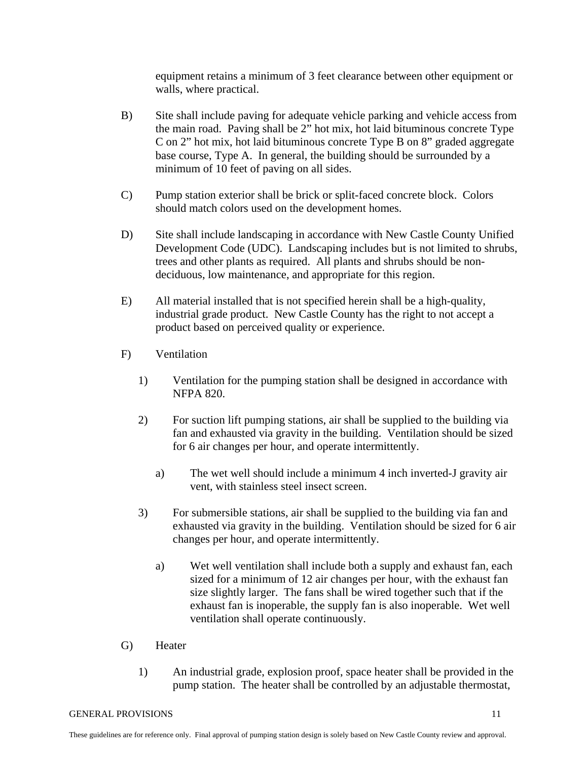equipment retains a minimum of 3 feet clearance between other equipment or walls, where practical.

- B) Site shall include paving for adequate vehicle parking and vehicle access from the main road. Paving shall be 2" hot mix, hot laid bituminous concrete Type C on 2" hot mix, hot laid bituminous concrete Type B on 8" graded aggregate base course, Type A. In general, the building should be surrounded by a minimum of 10 feet of paving on all sides.
- C) Pump station exterior shall be brick or split-faced concrete block. Colors should match colors used on the development homes.
- D) Site shall include landscaping in accordance with New Castle County Unified Development Code (UDC). Landscaping includes but is not limited to shrubs, trees and other plants as required. All plants and shrubs should be nondeciduous, low maintenance, and appropriate for this region.
- E) All material installed that is not specified herein shall be a high-quality, industrial grade product. New Castle County has the right to not accept a product based on perceived quality or experience.
- F) Ventilation
	- 1) Ventilation for the pumping station shall be designed in accordance with NFPA 820.
	- 2) For suction lift pumping stations, air shall be supplied to the building via fan and exhausted via gravity in the building. Ventilation should be sized for 6 air changes per hour, and operate intermittently.
		- a) The wet well should include a minimum 4 inch inverted-J gravity air vent, with stainless steel insect screen.
	- 3) For submersible stations, air shall be supplied to the building via fan and exhausted via gravity in the building. Ventilation should be sized for 6 air changes per hour, and operate intermittently.
		- a) Wet well ventilation shall include both a supply and exhaust fan, each sized for a minimum of 12 air changes per hour, with the exhaust fan size slightly larger. The fans shall be wired together such that if the exhaust fan is inoperable, the supply fan is also inoperable. Wet well ventilation shall operate continuously.
- G) Heater
	- 1) An industrial grade, explosion proof, space heater shall be provided in the pump station. The heater shall be controlled by an adjustable thermostat,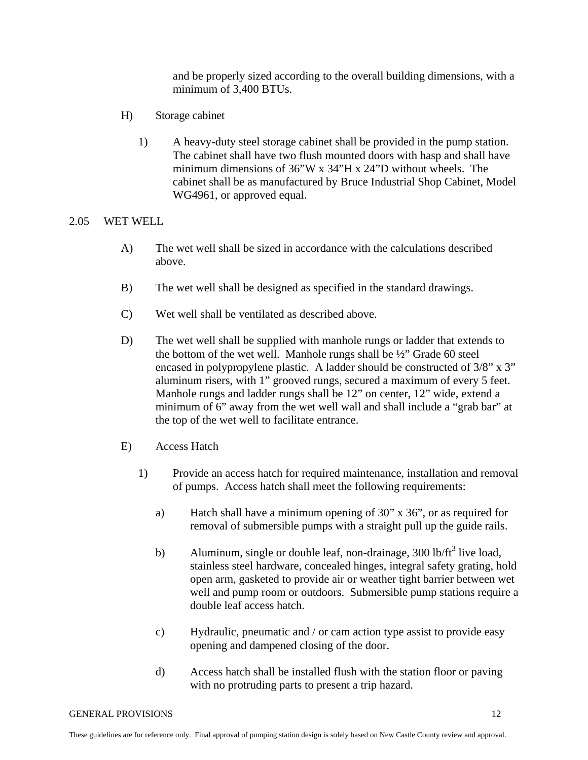and be properly sized according to the overall building dimensions, with a minimum of 3,400 BTUs.

- H) Storage cabinet
	- 1) A heavy-duty steel storage cabinet shall be provided in the pump station. The cabinet shall have two flush mounted doors with hasp and shall have minimum dimensions of 36"W x 34"H x 24"D without wheels. The cabinet shall be as manufactured by Bruce Industrial Shop Cabinet, Model WG4961, or approved equal.

### 2.05 WET WELL

- A) The wet well shall be sized in accordance with the calculations described above.
- B) The wet well shall be designed as specified in the standard drawings.
- C) Wet well shall be ventilated as described above.
- D) The wet well shall be supplied with manhole rungs or ladder that extends to the bottom of the wet well. Manhole rungs shall be ½" Grade 60 steel encased in polypropylene plastic. A ladder should be constructed of 3/8" x 3" aluminum risers, with 1" grooved rungs, secured a maximum of every 5 feet. Manhole rungs and ladder rungs shall be 12" on center, 12" wide, extend a minimum of 6" away from the wet well wall and shall include a "grab bar" at the top of the wet well to facilitate entrance.
- E) Access Hatch
	- 1) Provide an access hatch for required maintenance, installation and removal of pumps. Access hatch shall meet the following requirements:
		- a) Hatch shall have a minimum opening of 30" x 36", or as required for removal of submersible pumps with a straight pull up the guide rails.
		- b) Aluminum, single or double leaf, non-drainage,  $300 \text{ lb/ft}^3$  live load, stainless steel hardware, concealed hinges, integral safety grating, hold open arm, gasketed to provide air or weather tight barrier between wet well and pump room or outdoors. Submersible pump stations require a double leaf access hatch.
		- c) Hydraulic, pneumatic and / or cam action type assist to provide easy opening and dampened closing of the door.
		- d) Access hatch shall be installed flush with the station floor or paving with no protruding parts to present a trip hazard.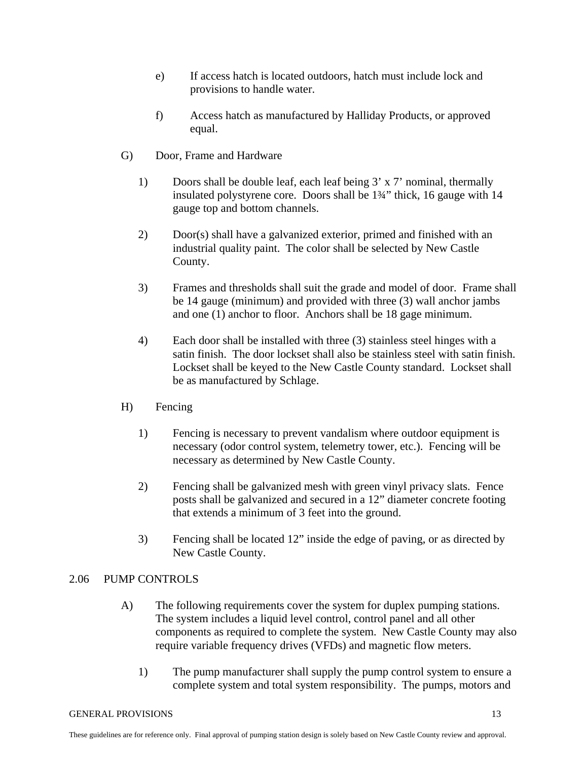- e) If access hatch is located outdoors, hatch must include lock and provisions to handle water.
- f) Access hatch as manufactured by Halliday Products, or approved equal.
- G) Door, Frame and Hardware
	- 1) Doors shall be double leaf, each leaf being 3' x 7' nominal, thermally insulated polystyrene core. Doors shall be 1¾" thick, 16 gauge with 14 gauge top and bottom channels.
	- 2) Door(s) shall have a galvanized exterior, primed and finished with an industrial quality paint. The color shall be selected by New Castle County.
	- 3) Frames and thresholds shall suit the grade and model of door. Frame shall be 14 gauge (minimum) and provided with three (3) wall anchor jambs and one (1) anchor to floor. Anchors shall be 18 gage minimum.
	- 4) Each door shall be installed with three (3) stainless steel hinges with a satin finish. The door lockset shall also be stainless steel with satin finish. Lockset shall be keyed to the New Castle County standard. Lockset shall be as manufactured by Schlage.
- H) Fencing
	- 1) Fencing is necessary to prevent vandalism where outdoor equipment is necessary (odor control system, telemetry tower, etc.). Fencing will be necessary as determined by New Castle County.
	- 2) Fencing shall be galvanized mesh with green vinyl privacy slats. Fence posts shall be galvanized and secured in a 12" diameter concrete footing that extends a minimum of 3 feet into the ground.
	- 3) Fencing shall be located 12" inside the edge of paving, or as directed by New Castle County.

### 2.06 PUMP CONTROLS

- A) The following requirements cover the system for duplex pumping stations. The system includes a liquid level control, control panel and all other components as required to complete the system. New Castle County may also require variable frequency drives (VFDs) and magnetic flow meters.
	- 1) The pump manufacturer shall supply the pump control system to ensure a complete system and total system responsibility. The pumps, motors and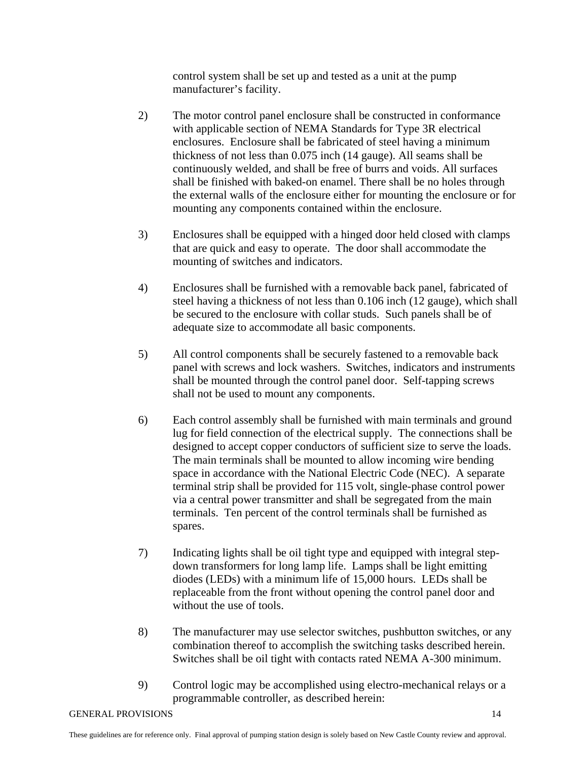control system shall be set up and tested as a unit at the pump manufacturer's facility.

- 2) The motor control panel enclosure shall be constructed in conformance with applicable section of NEMA Standards for Type 3R electrical enclosures. Enclosure shall be fabricated of steel having a minimum thickness of not less than 0.075 inch (14 gauge). All seams shall be continuously welded, and shall be free of burrs and voids. All surfaces shall be finished with baked-on enamel. There shall be no holes through the external walls of the enclosure either for mounting the enclosure or for mounting any components contained within the enclosure.
- 3) Enclosures shall be equipped with a hinged door held closed with clamps that are quick and easy to operate. The door shall accommodate the mounting of switches and indicators.
- 4) Enclosures shall be furnished with a removable back panel, fabricated of steel having a thickness of not less than 0.106 inch (12 gauge), which shall be secured to the enclosure with collar studs. Such panels shall be of adequate size to accommodate all basic components.
- 5) All control components shall be securely fastened to a removable back panel with screws and lock washers. Switches, indicators and instruments shall be mounted through the control panel door. Self-tapping screws shall not be used to mount any components.
- 6) Each control assembly shall be furnished with main terminals and ground lug for field connection of the electrical supply. The connections shall be designed to accept copper conductors of sufficient size to serve the loads. The main terminals shall be mounted to allow incoming wire bending space in accordance with the National Electric Code (NEC). A separate terminal strip shall be provided for 115 volt, single-phase control power via a central power transmitter and shall be segregated from the main terminals. Ten percent of the control terminals shall be furnished as spares.
- 7) Indicating lights shall be oil tight type and equipped with integral stepdown transformers for long lamp life. Lamps shall be light emitting diodes (LEDs) with a minimum life of 15,000 hours. LEDs shall be replaceable from the front without opening the control panel door and without the use of tools.
- 8) The manufacturer may use selector switches, pushbutton switches, or any combination thereof to accomplish the switching tasks described herein. Switches shall be oil tight with contacts rated NEMA A-300 minimum.
- 9) Control logic may be accomplished using electro-mechanical relays or a programmable controller, as described herein: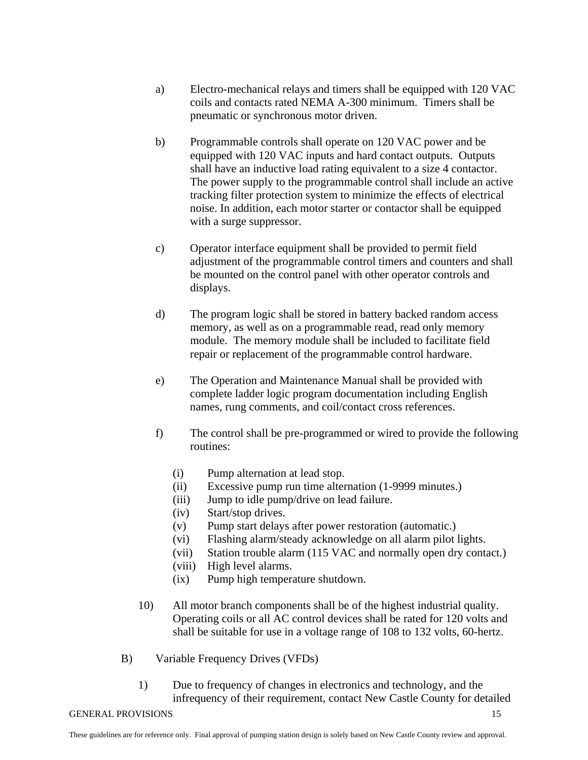- a) Electro-mechanical relays and timers shall be equipped with 120 VAC coils and contacts rated NEMA A-300 minimum. Timers shall be pneumatic or synchronous motor driven.
- b) Programmable controls shall operate on 120 VAC power and be equipped with 120 VAC inputs and hard contact outputs. Outputs shall have an inductive load rating equivalent to a size 4 contactor. The power supply to the programmable control shall include an active tracking filter protection system to minimize the effects of electrical noise. In addition, each motor starter or contactor shall be equipped with a surge suppressor.
- c) Operator interface equipment shall be provided to permit field adjustment of the programmable control timers and counters and shall be mounted on the control panel with other operator controls and displays.
- d) The program logic shall be stored in battery backed random access memory, as well as on a programmable read, read only memory module. The memory module shall be included to facilitate field repair or replacement of the programmable control hardware.
- e) The Operation and Maintenance Manual shall be provided with complete ladder logic program documentation including English names, rung comments, and coil/contact cross references.
- f) The control shall be pre-programmed or wired to provide the following routines:
	- (i) Pump alternation at lead stop.
	- (ii) Excessive pump run time alternation (1-9999 minutes.)
	- (iii) Jump to idle pump/drive on lead failure.
	- (iv) Start/stop drives.
	- (v) Pump start delays after power restoration (automatic.)
	- (vi) Flashing alarm/steady acknowledge on all alarm pilot lights.
	- (vii) Station trouble alarm (115 VAC and normally open dry contact.)
	- (viii) High level alarms.
	- (ix) Pump high temperature shutdown.
- 10) All motor branch components shall be of the highest industrial quality. Operating coils or all AC control devices shall be rated for 120 volts and shall be suitable for use in a voltage range of 108 to 132 volts, 60-hertz.
- B) Variable Frequency Drives (VFDs)
	- 1) Due to frequency of changes in electronics and technology, and the infrequency of their requirement, contact New Castle County for detailed
- GENERAL PROVISIONS 15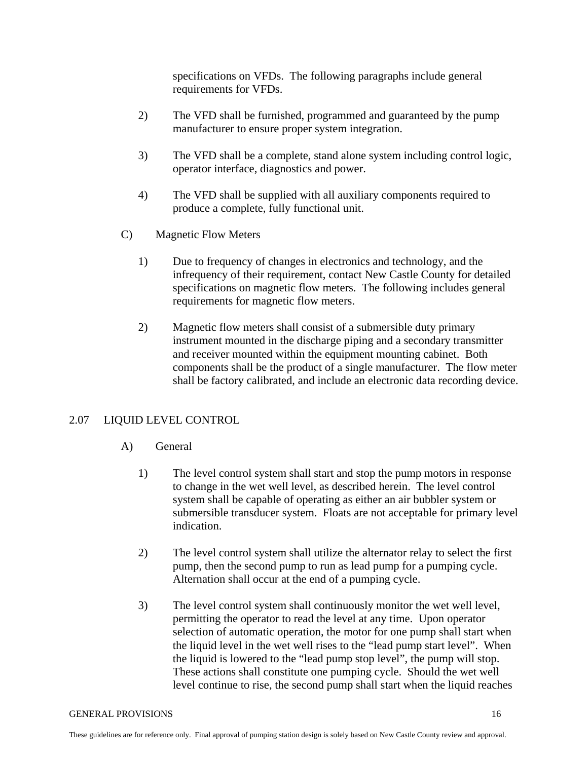specifications on VFDs. The following paragraphs include general requirements for VFDs.

- 2) The VFD shall be furnished, programmed and guaranteed by the pump manufacturer to ensure proper system integration.
- 3) The VFD shall be a complete, stand alone system including control logic, operator interface, diagnostics and power.
- 4) The VFD shall be supplied with all auxiliary components required to produce a complete, fully functional unit.
- C) Magnetic Flow Meters
	- 1) Due to frequency of changes in electronics and technology, and the infrequency of their requirement, contact New Castle County for detailed specifications on magnetic flow meters. The following includes general requirements for magnetic flow meters.
	- 2) Magnetic flow meters shall consist of a submersible duty primary instrument mounted in the discharge piping and a secondary transmitter and receiver mounted within the equipment mounting cabinet. Both components shall be the product of a single manufacturer. The flow meter shall be factory calibrated, and include an electronic data recording device.

### 2.07 LIQUID LEVEL CONTROL

- A) General
	- 1) The level control system shall start and stop the pump motors in response to change in the wet well level, as described herein. The level control system shall be capable of operating as either an air bubbler system or submersible transducer system. Floats are not acceptable for primary level indication.
	- 2) The level control system shall utilize the alternator relay to select the first pump, then the second pump to run as lead pump for a pumping cycle. Alternation shall occur at the end of a pumping cycle.
	- 3) The level control system shall continuously monitor the wet well level, permitting the operator to read the level at any time. Upon operator selection of automatic operation, the motor for one pump shall start when the liquid level in the wet well rises to the "lead pump start level". When the liquid is lowered to the "lead pump stop level", the pump will stop. These actions shall constitute one pumping cycle. Should the wet well level continue to rise, the second pump shall start when the liquid reaches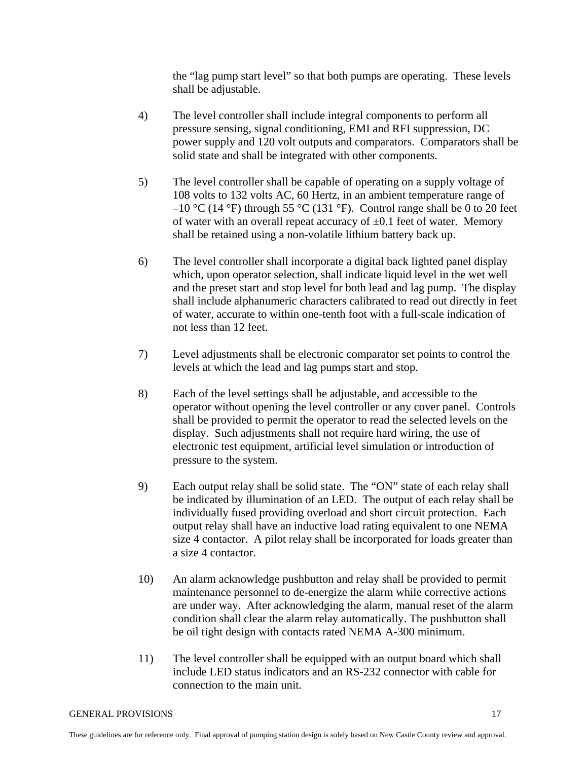the "lag pump start level" so that both pumps are operating. These levels shall be adjustable.

- 4) The level controller shall include integral components to perform all pressure sensing, signal conditioning, EMI and RFI suppression, DC power supply and 120 volt outputs and comparators. Comparators shall be solid state and shall be integrated with other components.
- 5) The level controller shall be capable of operating on a supply voltage of 108 volts to 132 volts AC, 60 Hertz, in an ambient temperature range of  $-10$  °C (14 °F) through 55 °C (131 °F). Control range shall be 0 to 20 feet of water with an overall repeat accuracy of  $\pm 0.1$  feet of water. Memory shall be retained using a non-volatile lithium battery back up.
- 6) The level controller shall incorporate a digital back lighted panel display which, upon operator selection, shall indicate liquid level in the wet well and the preset start and stop level for both lead and lag pump. The display shall include alphanumeric characters calibrated to read out directly in feet of water, accurate to within one-tenth foot with a full-scale indication of not less than 12 feet.
- 7) Level adjustments shall be electronic comparator set points to control the levels at which the lead and lag pumps start and stop.
- 8) Each of the level settings shall be adjustable, and accessible to the operator without opening the level controller or any cover panel. Controls shall be provided to permit the operator to read the selected levels on the display. Such adjustments shall not require hard wiring, the use of electronic test equipment, artificial level simulation or introduction of pressure to the system.
- 9) Each output relay shall be solid state. The "ON" state of each relay shall be indicated by illumination of an LED. The output of each relay shall be individually fused providing overload and short circuit protection. Each output relay shall have an inductive load rating equivalent to one NEMA size 4 contactor. A pilot relay shall be incorporated for loads greater than a size 4 contactor.
- 10) An alarm acknowledge pushbutton and relay shall be provided to permit maintenance personnel to de-energize the alarm while corrective actions are under way. After acknowledging the alarm, manual reset of the alarm condition shall clear the alarm relay automatically. The pushbutton shall be oil tight design with contacts rated NEMA A-300 minimum.
- 11) The level controller shall be equipped with an output board which shall include LED status indicators and an RS-232 connector with cable for connection to the main unit.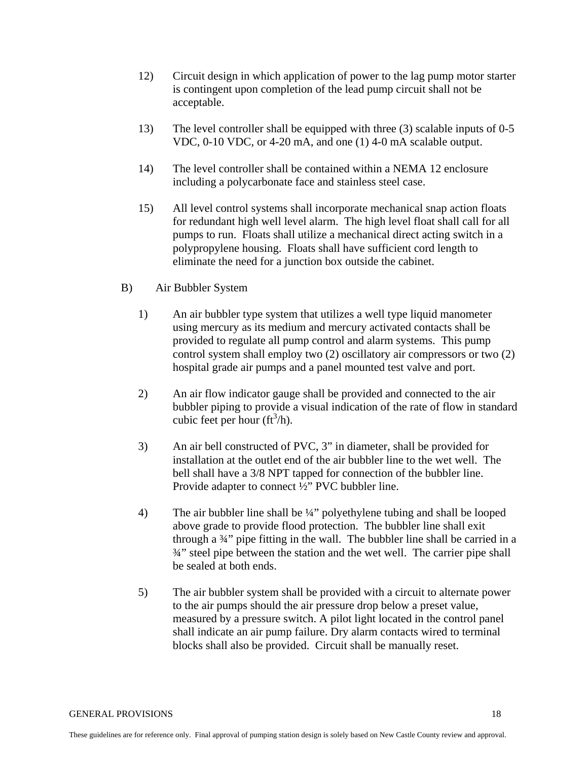- 12) Circuit design in which application of power to the lag pump motor starter is contingent upon completion of the lead pump circuit shall not be acceptable.
- 13) The level controller shall be equipped with three (3) scalable inputs of 0-5 VDC, 0-10 VDC, or 4-20 mA, and one (1) 4-0 mA scalable output.
- 14) The level controller shall be contained within a NEMA 12 enclosure including a polycarbonate face and stainless steel case.
- 15) All level control systems shall incorporate mechanical snap action floats for redundant high well level alarm. The high level float shall call for all pumps to run. Floats shall utilize a mechanical direct acting switch in a polypropylene housing. Floats shall have sufficient cord length to eliminate the need for a junction box outside the cabinet.
- B) Air Bubbler System
	- 1) An air bubbler type system that utilizes a well type liquid manometer using mercury as its medium and mercury activated contacts shall be provided to regulate all pump control and alarm systems. This pump control system shall employ two (2) oscillatory air compressors or two (2) hospital grade air pumps and a panel mounted test valve and port.
	- 2) An air flow indicator gauge shall be provided and connected to the air bubbler piping to provide a visual indication of the rate of flow in standard cubic feet per hour  $(tf<sup>3</sup>/h)$ .
	- 3) An air bell constructed of PVC, 3" in diameter, shall be provided for installation at the outlet end of the air bubbler line to the wet well. The bell shall have a 3/8 NPT tapped for connection of the bubbler line. Provide adapter to connect ½" PVC bubbler line.
	- 4) The air bubbler line shall be  $\frac{1}{4}$ " polyethylene tubing and shall be looped above grade to provide flood protection. The bubbler line shall exit through a ¾" pipe fitting in the wall. The bubbler line shall be carried in a ¾" steel pipe between the station and the wet well. The carrier pipe shall be sealed at both ends.
	- 5) The air bubbler system shall be provided with a circuit to alternate power to the air pumps should the air pressure drop below a preset value, measured by a pressure switch. A pilot light located in the control panel shall indicate an air pump failure. Dry alarm contacts wired to terminal blocks shall also be provided. Circuit shall be manually reset.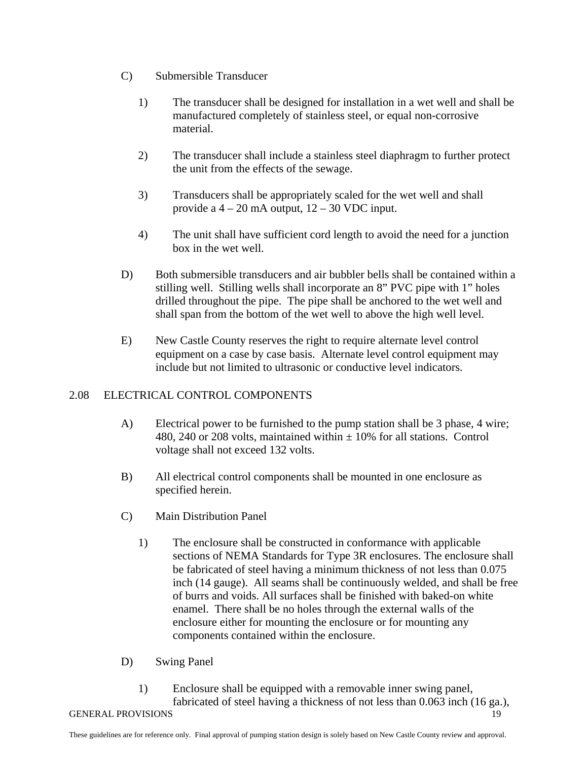- C) Submersible Transducer
	- 1) The transducer shall be designed for installation in a wet well and shall be manufactured completely of stainless steel, or equal non-corrosive material.
	- 2) The transducer shall include a stainless steel diaphragm to further protect the unit from the effects of the sewage.
	- 3) Transducers shall be appropriately scaled for the wet well and shall provide a  $4 - 20$  mA output,  $12 - 30$  VDC input.
	- 4) The unit shall have sufficient cord length to avoid the need for a junction box in the wet well.
- D) Both submersible transducers and air bubbler bells shall be contained within a stilling well. Stilling wells shall incorporate an 8" PVC pipe with 1" holes drilled throughout the pipe. The pipe shall be anchored to the wet well and shall span from the bottom of the wet well to above the high well level.
- E) New Castle County reserves the right to require alternate level control equipment on a case by case basis. Alternate level control equipment may include but not limited to ultrasonic or conductive level indicators.

# 2.08 ELECTRICAL CONTROL COMPONENTS

- A) Electrical power to be furnished to the pump station shall be 3 phase, 4 wire; 480, 240 or 208 volts, maintained within  $\pm$  10% for all stations. Control voltage shall not exceed 132 volts.
- B) All electrical control components shall be mounted in one enclosure as specified herein.
- C) Main Distribution Panel
	- 1) The enclosure shall be constructed in conformance with applicable sections of NEMA Standards for Type 3R enclosures. The enclosure shall be fabricated of steel having a minimum thickness of not less than 0.075 inch (14 gauge). All seams shall be continuously welded, and shall be free of burrs and voids. All surfaces shall be finished with baked-on white enamel. There shall be no holes through the external walls of the enclosure either for mounting the enclosure or for mounting any components contained within the enclosure.
- D) Swing Panel
- GENERAL PROVISIONS 19 1) Enclosure shall be equipped with a removable inner swing panel, fabricated of steel having a thickness of not less than 0.063 inch (16 ga.),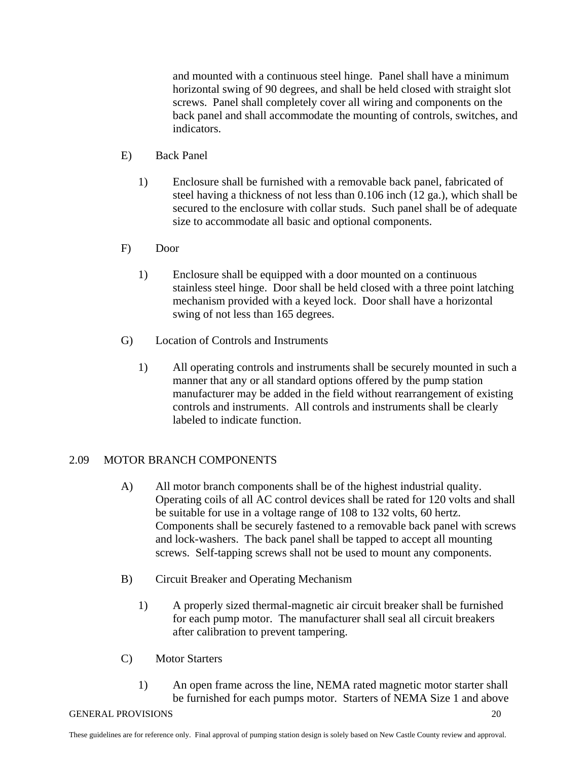and mounted with a continuous steel hinge. Panel shall have a minimum horizontal swing of 90 degrees, and shall be held closed with straight slot screws. Panel shall completely cover all wiring and components on the back panel and shall accommodate the mounting of controls, switches, and indicators.

- E) Back Panel
	- 1) Enclosure shall be furnished with a removable back panel, fabricated of steel having a thickness of not less than 0.106 inch (12 ga.), which shall be secured to the enclosure with collar studs. Such panel shall be of adequate size to accommodate all basic and optional components.
- F) Door
	- 1) Enclosure shall be equipped with a door mounted on a continuous stainless steel hinge. Door shall be held closed with a three point latching mechanism provided with a keyed lock. Door shall have a horizontal swing of not less than 165 degrees.
- G) Location of Controls and Instruments
	- 1) All operating controls and instruments shall be securely mounted in such a manner that any or all standard options offered by the pump station manufacturer may be added in the field without rearrangement of existing controls and instruments. All controls and instruments shall be clearly labeled to indicate function.

### 2.09 MOTOR BRANCH COMPONENTS

- A) All motor branch components shall be of the highest industrial quality. Operating coils of all AC control devices shall be rated for 120 volts and shall be suitable for use in a voltage range of 108 to 132 volts, 60 hertz. Components shall be securely fastened to a removable back panel with screws and lock-washers. The back panel shall be tapped to accept all mounting screws. Self-tapping screws shall not be used to mount any components.
- B) Circuit Breaker and Operating Mechanism
	- 1) A properly sized thermal-magnetic air circuit breaker shall be furnished for each pump motor. The manufacturer shall seal all circuit breakers after calibration to prevent tampering.
- C) Motor Starters
	- 1) An open frame across the line, NEMA rated magnetic motor starter shall be furnished for each pumps motor. Starters of NEMA Size 1 and above
- GENERAL PROVISIONS 20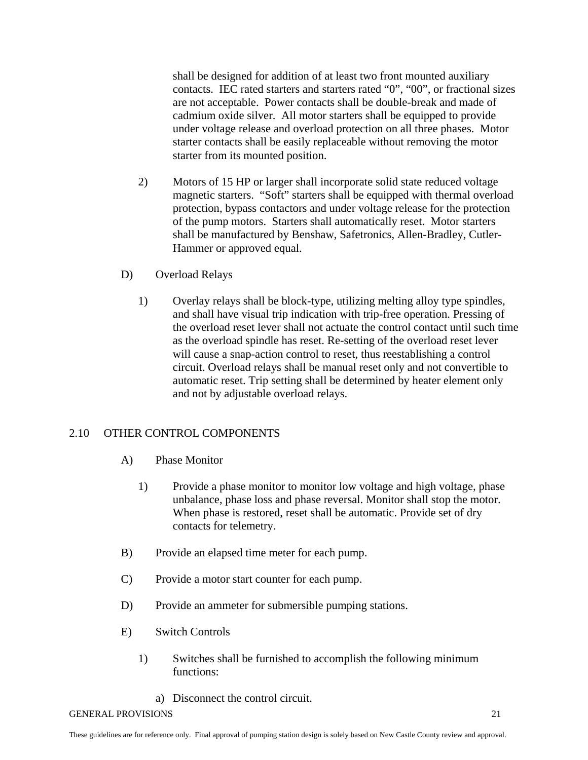shall be designed for addition of at least two front mounted auxiliary contacts. IEC rated starters and starters rated "0", "00", or fractional sizes are not acceptable. Power contacts shall be double-break and made of cadmium oxide silver. All motor starters shall be equipped to provide under voltage release and overload protection on all three phases. Motor starter contacts shall be easily replaceable without removing the motor starter from its mounted position.

- 2) Motors of 15 HP or larger shall incorporate solid state reduced voltage magnetic starters. "Soft" starters shall be equipped with thermal overload protection, bypass contactors and under voltage release for the protection of the pump motors. Starters shall automatically reset. Motor starters shall be manufactured by Benshaw, Safetronics, Allen-Bradley, Cutler-Hammer or approved equal.
- D) Overload Relays
	- 1) Overlay relays shall be block-type, utilizing melting alloy type spindles, and shall have visual trip indication with trip-free operation. Pressing of the overload reset lever shall not actuate the control contact until such time as the overload spindle has reset. Re-setting of the overload reset lever will cause a snap-action control to reset, thus reestablishing a control circuit. Overload relays shall be manual reset only and not convertible to automatic reset. Trip setting shall be determined by heater element only and not by adjustable overload relays.

### 2.10 OTHER CONTROL COMPONENTS

- A) Phase Monitor
	- 1) Provide a phase monitor to monitor low voltage and high voltage, phase unbalance, phase loss and phase reversal. Monitor shall stop the motor. When phase is restored, reset shall be automatic. Provide set of dry contacts for telemetry.
- B) Provide an elapsed time meter for each pump.
- C) Provide a motor start counter for each pump.
- D) Provide an ammeter for submersible pumping stations.
- E) Switch Controls
	- 1) Switches shall be furnished to accomplish the following minimum functions:
		- a) Disconnect the control circuit.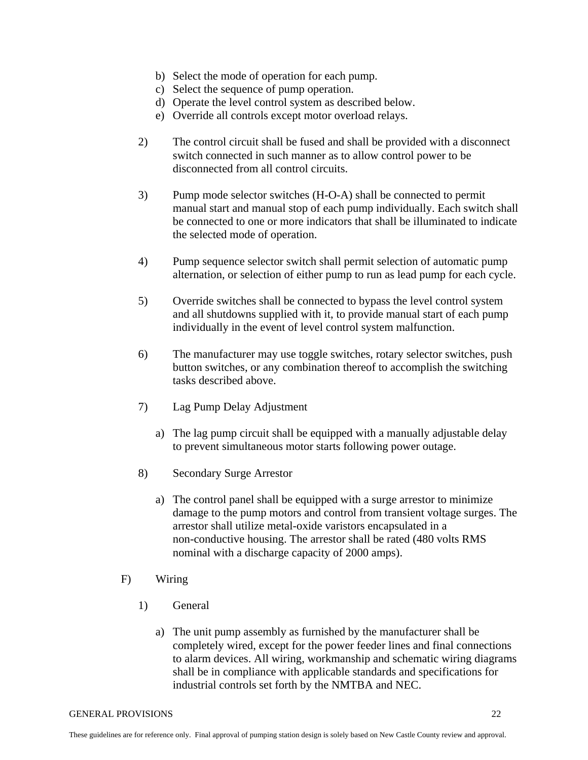- b) Select the mode of operation for each pump.
- c) Select the sequence of pump operation.
- d) Operate the level control system as described below.
- e) Override all controls except motor overload relays.
- 2) The control circuit shall be fused and shall be provided with a disconnect switch connected in such manner as to allow control power to be disconnected from all control circuits.
- 3) Pump mode selector switches (H-O-A) shall be connected to permit manual start and manual stop of each pump individually. Each switch shall be connected to one or more indicators that shall be illuminated to indicate the selected mode of operation.
- 4) Pump sequence selector switch shall permit selection of automatic pump alternation, or selection of either pump to run as lead pump for each cycle.
- 5) Override switches shall be connected to bypass the level control system and all shutdowns supplied with it, to provide manual start of each pump individually in the event of level control system malfunction.
- 6) The manufacturer may use toggle switches, rotary selector switches, push button switches, or any combination thereof to accomplish the switching tasks described above.
- 7) Lag Pump Delay Adjustment
	- a) The lag pump circuit shall be equipped with a manually adjustable delay to prevent simultaneous motor starts following power outage.
- 8) Secondary Surge Arrestor
	- a) The control panel shall be equipped with a surge arrestor to minimize damage to the pump motors and control from transient voltage surges. The arrestor shall utilize metal-oxide varistors encapsulated in a non-conductive housing. The arrestor shall be rated (480 volts RMS nominal with a discharge capacity of 2000 amps).
- F) Wiring
	- 1) General
		- a) The unit pump assembly as furnished by the manufacturer shall be completely wired, except for the power feeder lines and final connections to alarm devices. All wiring, workmanship and schematic wiring diagrams shall be in compliance with applicable standards and specifications for industrial controls set forth by the NMTBA and NEC.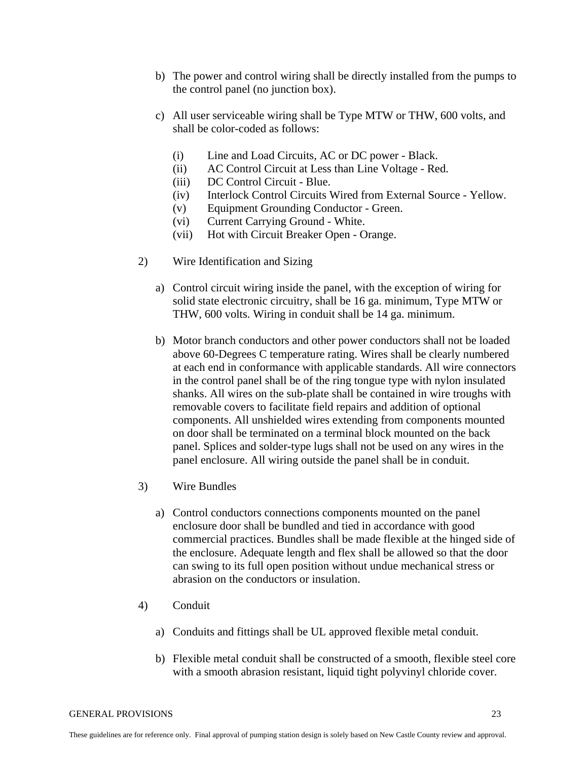- b) The power and control wiring shall be directly installed from the pumps to the control panel (no junction box).
- c) All user serviceable wiring shall be Type MTW or THW, 600 volts, and shall be color-coded as follows:
	- (i) Line and Load Circuits, AC or DC power Black.
	- (ii) AC Control Circuit at Less than Line Voltage Red.
	- (iii) DC Control Circuit Blue.
	- (iv) Interlock Control Circuits Wired from External Source Yellow.
	- (v) Equipment Grounding Conductor Green.
	- (vi) Current Carrying Ground White.
	- (vii) Hot with Circuit Breaker Open Orange.
- 2) Wire Identification and Sizing
	- a) Control circuit wiring inside the panel, with the exception of wiring for solid state electronic circuitry, shall be 16 ga. minimum, Type MTW or THW, 600 volts. Wiring in conduit shall be 14 ga. minimum.
	- b) Motor branch conductors and other power conductors shall not be loaded above 60-Degrees C temperature rating. Wires shall be clearly numbered at each end in conformance with applicable standards. All wire connectors in the control panel shall be of the ring tongue type with nylon insulated shanks. All wires on the sub-plate shall be contained in wire troughs with removable covers to facilitate field repairs and addition of optional components. All unshielded wires extending from components mounted on door shall be terminated on a terminal block mounted on the back panel. Splices and solder-type lugs shall not be used on any wires in the panel enclosure. All wiring outside the panel shall be in conduit.
- 3) Wire Bundles
	- a) Control conductors connections components mounted on the panel enclosure door shall be bundled and tied in accordance with good commercial practices. Bundles shall be made flexible at the hinged side of the enclosure. Adequate length and flex shall be allowed so that the door can swing to its full open position without undue mechanical stress or abrasion on the conductors or insulation.
- 4) Conduit
	- a) Conduits and fittings shall be UL approved flexible metal conduit.
	- b) Flexible metal conduit shall be constructed of a smooth, flexible steel core with a smooth abrasion resistant, liquid tight polyvinyl chloride cover.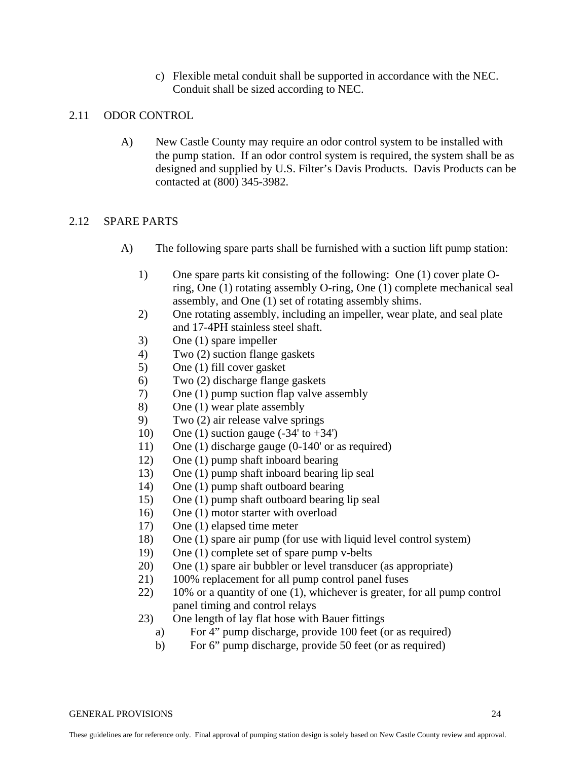c) Flexible metal conduit shall be supported in accordance with the NEC. Conduit shall be sized according to NEC.

# 2.11 ODOR CONTROL

A) New Castle County may require an odor control system to be installed with the pump station. If an odor control system is required, the system shall be as designed and supplied by U.S. Filter's Davis Products. Davis Products can be contacted at (800) 345-3982.

# 2.12 SPARE PARTS

- A) The following spare parts shall be furnished with a suction lift pump station:
	- 1) One spare parts kit consisting of the following: One (1) cover plate Oring, One (1) rotating assembly O-ring, One (1) complete mechanical seal assembly, and One (1) set of rotating assembly shims.
	- 2) One rotating assembly, including an impeller, wear plate, and seal plate and 17-4PH stainless steel shaft.
	- 3) One (1) spare impeller
	- 4) Two (2) suction flange gaskets
	- 5) One (1) fill cover gasket
	- 6) Two (2) discharge flange gaskets
	- 7) One (1) pump suction flap valve assembly
	- 8) One (1) wear plate assembly
	- 9) Two (2) air release valve springs
	- 10) One (1) suction gauge  $(-34' \text{ to } +34')$
	- 11) One (1) discharge gauge (0-140' or as required)
	- 12) One (1) pump shaft inboard bearing
	- 13) One (1) pump shaft inboard bearing lip seal
	- 14) One (1) pump shaft outboard bearing
	- 15) One (1) pump shaft outboard bearing lip seal
	- 16) One (1) motor starter with overload
	- 17) One (1) elapsed time meter
	- 18) One (1) spare air pump (for use with liquid level control system)
	- 19) One (1) complete set of spare pump v-belts
	- 20) One (1) spare air bubbler or level transducer (as appropriate)
	- 21) 100% replacement for all pump control panel fuses
	- 22) 10% or a quantity of one (1), whichever is greater, for all pump control panel timing and control relays
	- 23) One length of lay flat hose with Bauer fittings
		- a) For 4" pump discharge, provide 100 feet (or as required)
		- b) For 6" pump discharge, provide 50 feet (or as required)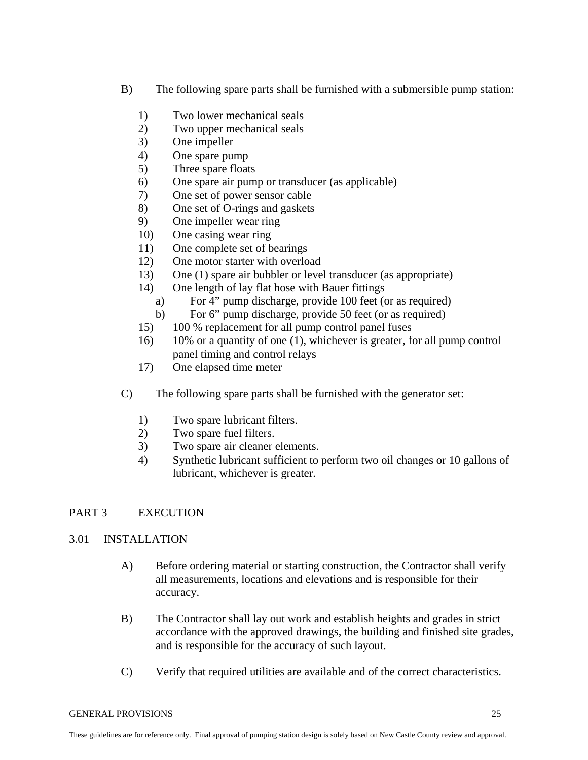- B) The following spare parts shall be furnished with a submersible pump station:
	- 1) Two lower mechanical seals
	- 2) Two upper mechanical seals
	- 3) One impeller
	- 4) One spare pump
	- 5) Three spare floats
	- 6) One spare air pump or transducer (as applicable)
	- 7) One set of power sensor cable
	- 8) One set of O-rings and gaskets
	- 9) One impeller wear ring
	- 10) One casing wear ring
	- 11) One complete set of bearings
	- 12) One motor starter with overload
	- 13) One (1) spare air bubbler or level transducer (as appropriate)
	- 14) One length of lay flat hose with Bauer fittings
		- a) For 4" pump discharge, provide 100 feet (or as required)
		- b) For 6" pump discharge, provide 50 feet (or as required)
	- 15) 100 % replacement for all pump control panel fuses
	- 16) 10% or a quantity of one (1), whichever is greater, for all pump control panel timing and control relays
	- 17) One elapsed time meter
- C) The following spare parts shall be furnished with the generator set:
	- 1) Two spare lubricant filters.
	- 2) Two spare fuel filters.
	- 3) Two spare air cleaner elements.
	- 4) Synthetic lubricant sufficient to perform two oil changes or 10 gallons of lubricant, whichever is greater.

# PART 3 EXECUTION

### 3.01 INSTALLATION

- A) Before ordering material or starting construction, the Contractor shall verify all measurements, locations and elevations and is responsible for their accuracy.
- B) The Contractor shall lay out work and establish heights and grades in strict accordance with the approved drawings, the building and finished site grades, and is responsible for the accuracy of such layout.
- C) Verify that required utilities are available and of the correct characteristics.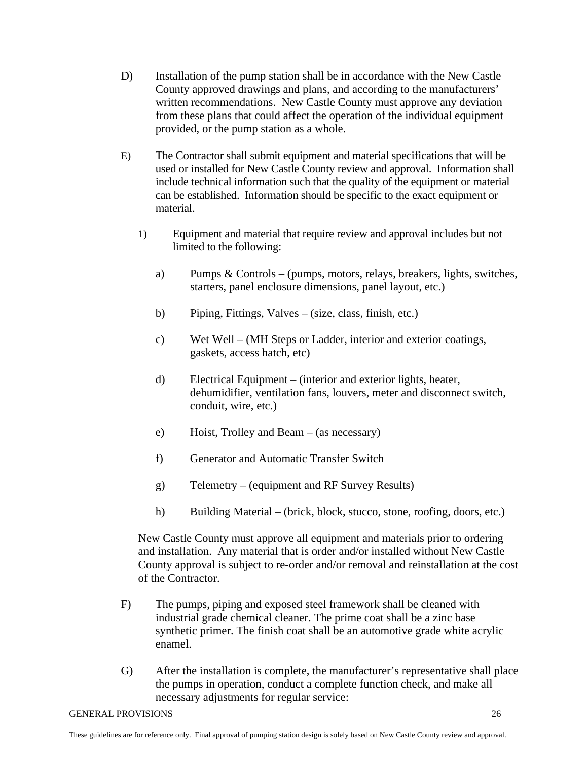- D) Installation of the pump station shall be in accordance with the New Castle County approved drawings and plans, and according to the manufacturers' written recommendations. New Castle County must approve any deviation from these plans that could affect the operation of the individual equipment provided, or the pump station as a whole.
- E) The Contractor shall submit equipment and material specifications that will be used or installed for New Castle County review and approval. Information shall include technical information such that the quality of the equipment or material can be established. Information should be specific to the exact equipment or material.
	- 1) Equipment and material that require review and approval includes but not limited to the following:
		- a) Pumps & Controls (pumps, motors, relays, breakers, lights, switches, starters, panel enclosure dimensions, panel layout, etc.)
		- b) Piping, Fittings, Valves (size, class, finish, etc.)
		- c) Wet Well (MH Steps or Ladder, interior and exterior coatings, gaskets, access hatch, etc)
		- d) Electrical Equipment (interior and exterior lights, heater, dehumidifier, ventilation fans, louvers, meter and disconnect switch, conduit, wire, etc.)
		- e) Hoist, Trolley and Beam (as necessary)
		- f) Generator and Automatic Transfer Switch
		- g) Telemetry (equipment and RF Survey Results)
		- h) Building Material (brick, block, stucco, stone, roofing, doors, etc.)

New Castle County must approve all equipment and materials prior to ordering and installation. Any material that is order and/or installed without New Castle County approval is subject to re-order and/or removal and reinstallation at the cost of the Contractor.

- F) The pumps, piping and exposed steel framework shall be cleaned with industrial grade chemical cleaner. The prime coat shall be a zinc base synthetic primer. The finish coat shall be an automotive grade white acrylic enamel.
- G) After the installation is complete, the manufacturer's representative shall place the pumps in operation, conduct a complete function check, and make all necessary adjustments for regular service: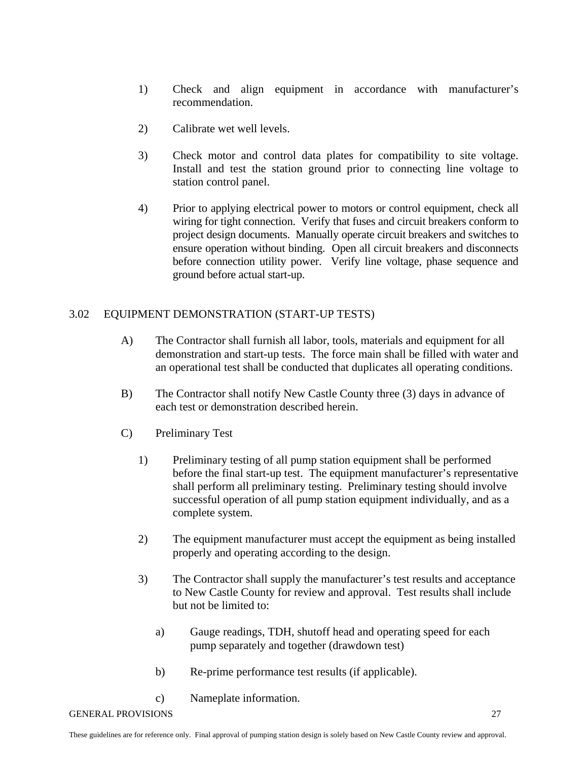- 1) Check and align equipment in accordance with manufacturer's recommendation.
- 2) Calibrate wet well levels.
- 3) Check motor and control data plates for compatibility to site voltage. Install and test the station ground prior to connecting line voltage to station control panel.
- 4) Prior to applying electrical power to motors or control equipment, check all wiring for tight connection. Verify that fuses and circuit breakers conform to project design documents. Manually operate circuit breakers and switches to ensure operation without binding. Open all circuit breakers and disconnects before connection utility power. Verify line voltage, phase sequence and ground before actual start-up.

## 3.02 EQUIPMENT DEMONSTRATION (START-UP TESTS)

- A) The Contractor shall furnish all labor, tools, materials and equipment for all demonstration and start-up tests. The force main shall be filled with water and an operational test shall be conducted that duplicates all operating conditions.
- B) The Contractor shall notify New Castle County three (3) days in advance of each test or demonstration described herein.
- C) Preliminary Test
	- 1) Preliminary testing of all pump station equipment shall be performed before the final start-up test. The equipment manufacturer's representative shall perform all preliminary testing. Preliminary testing should involve successful operation of all pump station equipment individually, and as a complete system.
	- 2) The equipment manufacturer must accept the equipment as being installed properly and operating according to the design.
	- 3) The Contractor shall supply the manufacturer's test results and acceptance to New Castle County for review and approval. Test results shall include but not be limited to:
		- a) Gauge readings, TDH, shutoff head and operating speed for each pump separately and together (drawdown test)
		- b) Re-prime performance test results (if applicable).
		- c) Nameplate information.
- GENERAL PROVISIONS 27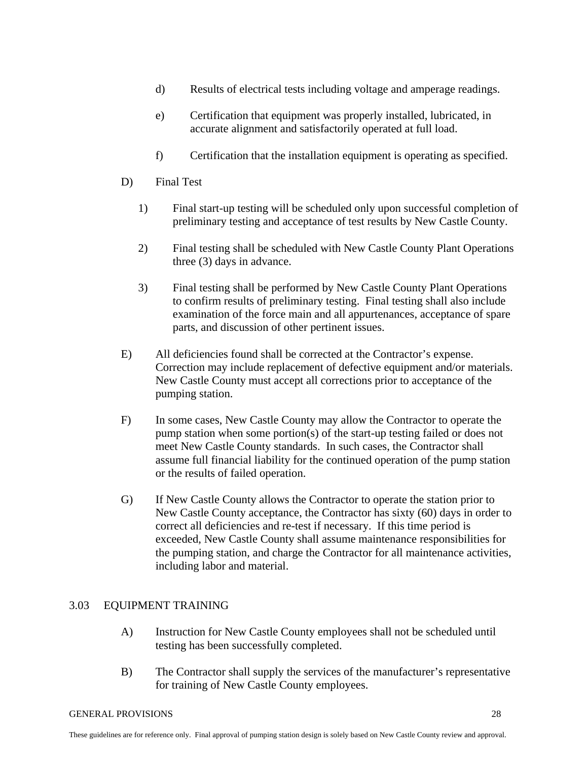- d) Results of electrical tests including voltage and amperage readings.
- e) Certification that equipment was properly installed, lubricated, in accurate alignment and satisfactorily operated at full load.
- f) Certification that the installation equipment is operating as specified.
- D) Final Test
	- 1) Final start-up testing will be scheduled only upon successful completion of preliminary testing and acceptance of test results by New Castle County.
	- 2) Final testing shall be scheduled with New Castle County Plant Operations three (3) days in advance.
	- 3) Final testing shall be performed by New Castle County Plant Operations to confirm results of preliminary testing. Final testing shall also include examination of the force main and all appurtenances, acceptance of spare parts, and discussion of other pertinent issues.
- E) All deficiencies found shall be corrected at the Contractor's expense. Correction may include replacement of defective equipment and/or materials. New Castle County must accept all corrections prior to acceptance of the pumping station.
- F) In some cases, New Castle County may allow the Contractor to operate the pump station when some portion(s) of the start-up testing failed or does not meet New Castle County standards. In such cases, the Contractor shall assume full financial liability for the continued operation of the pump station or the results of failed operation.
- G) If New Castle County allows the Contractor to operate the station prior to New Castle County acceptance, the Contractor has sixty (60) days in order to correct all deficiencies and re-test if necessary. If this time period is exceeded, New Castle County shall assume maintenance responsibilities for the pumping station, and charge the Contractor for all maintenance activities, including labor and material.

## 3.03 EQUIPMENT TRAINING

- A) Instruction for New Castle County employees shall not be scheduled until testing has been successfully completed.
- B) The Contractor shall supply the services of the manufacturer's representative for training of New Castle County employees.

#### GENERAL PROVISIONS 28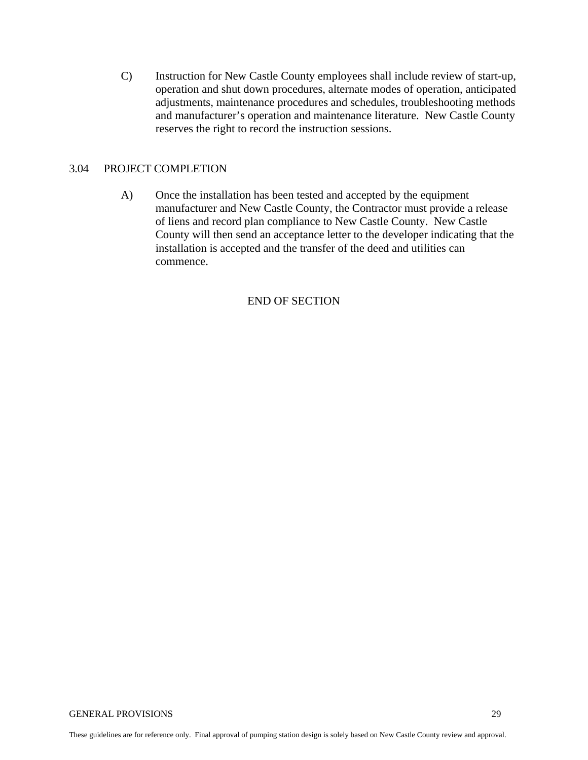C) Instruction for New Castle County employees shall include review of start-up, operation and shut down procedures, alternate modes of operation, anticipated adjustments, maintenance procedures and schedules, troubleshooting methods and manufacturer's operation and maintenance literature. New Castle County reserves the right to record the instruction sessions.

## 3.04 PROJECT COMPLETION

A) Once the installation has been tested and accepted by the equipment manufacturer and New Castle County, the Contractor must provide a release of liens and record plan compliance to New Castle County. New Castle County will then send an acceptance letter to the developer indicating that the installation is accepted and the transfer of the deed and utilities can commence.

#### END OF SECTION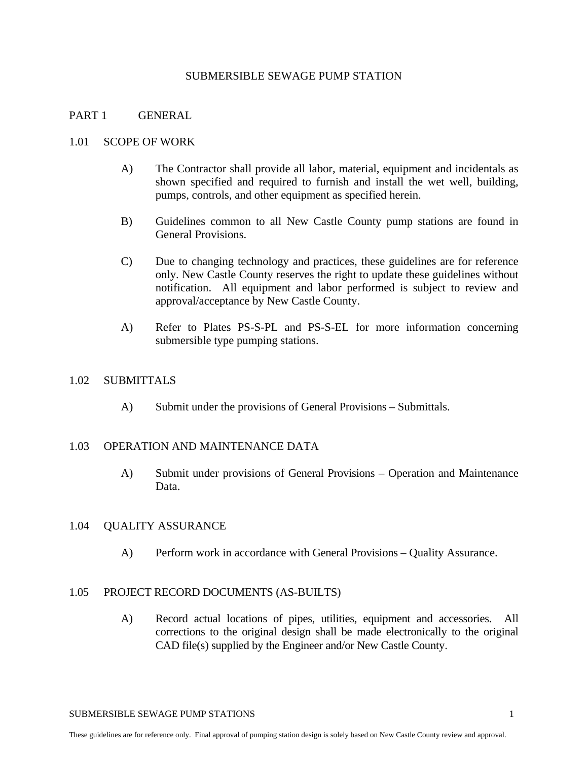## SUBMERSIBLE SEWAGE PUMP STATION

## PART 1 GENERAL

#### 1.01 SCOPE OF WORK

- A) The Contractor shall provide all labor, material, equipment and incidentals as shown specified and required to furnish and install the wet well, building, pumps, controls, and other equipment as specified herein.
- B) Guidelines common to all New Castle County pump stations are found in General Provisions.
- C) Due to changing technology and practices, these guidelines are for reference only. New Castle County reserves the right to update these guidelines without notification. All equipment and labor performed is subject to review and approval/acceptance by New Castle County.
- A) Refer to Plates PS-S-PL and PS-S-EL for more information concerning submersible type pumping stations.

#### 1.02 SUBMITTALS

A) Submit under the provisions of General Provisions – Submittals.

## 1.03 OPERATION AND MAINTENANCE DATA

A) Submit under provisions of General Provisions – Operation and Maintenance Data.

## 1.04 QUALITY ASSURANCE

A) Perform work in accordance with General Provisions – Quality Assurance.

## 1.05 PROJECT RECORD DOCUMENTS (AS-BUILTS)

A) Record actual locations of pipes, utilities, equipment and accessories. All corrections to the original design shall be made electronically to the original CAD file(s) supplied by the Engineer and/or New Castle County.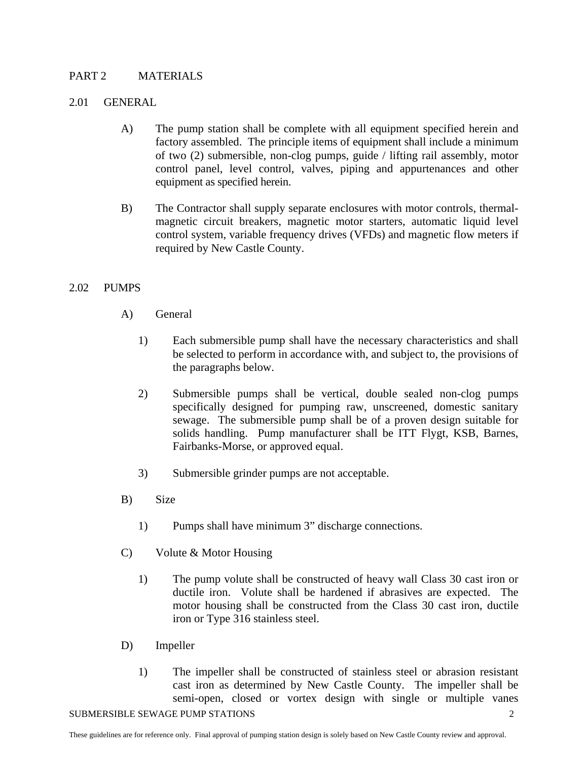## PART 2 MATERIALS

## 2.01 GENERAL

- A) The pump station shall be complete with all equipment specified herein and factory assembled. The principle items of equipment shall include a minimum of two (2) submersible, non-clog pumps, guide / lifting rail assembly, motor control panel, level control, valves, piping and appurtenances and other equipment as specified herein.
- B) The Contractor shall supply separate enclosures with motor controls, thermalmagnetic circuit breakers, magnetic motor starters, automatic liquid level control system, variable frequency drives (VFDs) and magnetic flow meters if required by New Castle County.

## 2.02 PUMPS

- A) General
	- 1) Each submersible pump shall have the necessary characteristics and shall be selected to perform in accordance with, and subject to, the provisions of the paragraphs below.
	- 2) Submersible pumps shall be vertical, double sealed non-clog pumps specifically designed for pumping raw, unscreened, domestic sanitary sewage. The submersible pump shall be of a proven design suitable for solids handling. Pump manufacturer shall be ITT Flygt, KSB, Barnes, Fairbanks-Morse, or approved equal.
	- 3) Submersible grinder pumps are not acceptable.
- B) Size
	- 1) Pumps shall have minimum 3" discharge connections.
- C) Volute & Motor Housing
	- 1) The pump volute shall be constructed of heavy wall Class 30 cast iron or ductile iron. Volute shall be hardened if abrasives are expected. The motor housing shall be constructed from the Class 30 cast iron, ductile iron or Type 316 stainless steel.
- D) Impeller
	- 1) The impeller shall be constructed of stainless steel or abrasion resistant cast iron as determined by New Castle County. The impeller shall be semi-open, closed or vortex design with single or multiple vanes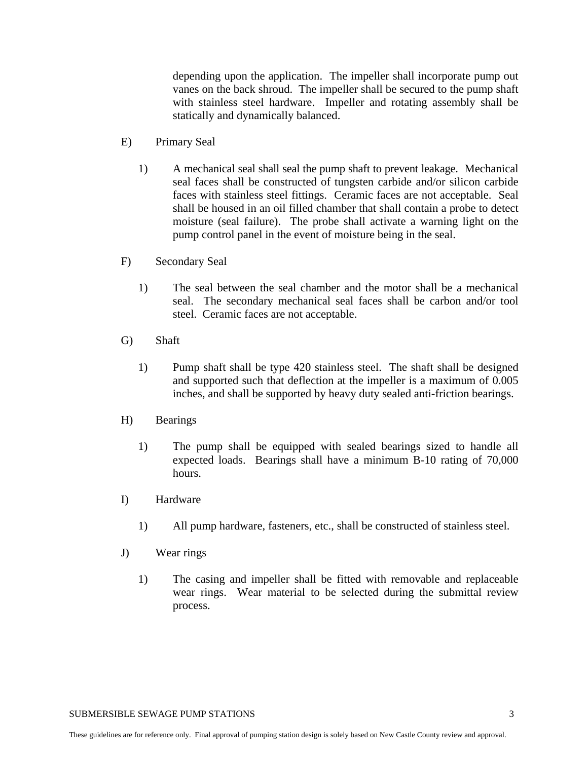depending upon the application. The impeller shall incorporate pump out vanes on the back shroud. The impeller shall be secured to the pump shaft with stainless steel hardware. Impeller and rotating assembly shall be statically and dynamically balanced.

- E) Primary Seal
	- 1) A mechanical seal shall seal the pump shaft to prevent leakage. Mechanical seal faces shall be constructed of tungsten carbide and/or silicon carbide faces with stainless steel fittings. Ceramic faces are not acceptable. Seal shall be housed in an oil filled chamber that shall contain a probe to detect moisture (seal failure). The probe shall activate a warning light on the pump control panel in the event of moisture being in the seal.
- F) Secondary Seal
	- 1) The seal between the seal chamber and the motor shall be a mechanical seal. The secondary mechanical seal faces shall be carbon and/or tool steel. Ceramic faces are not acceptable.
- G) Shaft
	- 1) Pump shaft shall be type 420 stainless steel. The shaft shall be designed and supported such that deflection at the impeller is a maximum of 0.005 inches, and shall be supported by heavy duty sealed anti-friction bearings.
- H) Bearings
	- 1) The pump shall be equipped with sealed bearings sized to handle all expected loads. Bearings shall have a minimum B-10 rating of 70,000 hours.
- I) Hardware
	- 1) All pump hardware, fasteners, etc., shall be constructed of stainless steel.
- J) Wear rings
	- 1) The casing and impeller shall be fitted with removable and replaceable wear rings. Wear material to be selected during the submittal review process.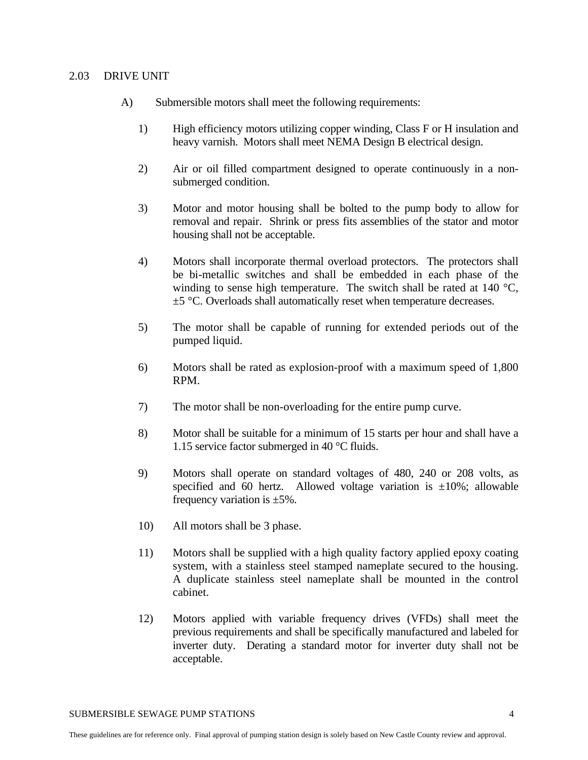#### 2.03 DRIVE UNIT

- A) Submersible motors shall meet the following requirements:
	- 1) High efficiency motors utilizing copper winding, Class F or H insulation and heavy varnish. Motors shall meet NEMA Design B electrical design.
	- 2) Air or oil filled compartment designed to operate continuously in a nonsubmerged condition.
	- 3) Motor and motor housing shall be bolted to the pump body to allow for removal and repair. Shrink or press fits assemblies of the stator and motor housing shall not be acceptable.
	- 4) Motors shall incorporate thermal overload protectors. The protectors shall be bi-metallic switches and shall be embedded in each phase of the winding to sense high temperature. The switch shall be rated at 140 °C,  $\pm$ 5 °C. Overloads shall automatically reset when temperature decreases.
	- 5) The motor shall be capable of running for extended periods out of the pumped liquid.
	- 6) Motors shall be rated as explosion-proof with a maximum speed of 1,800 RPM.
	- 7) The motor shall be non-overloading for the entire pump curve.
	- 8) Motor shall be suitable for a minimum of 15 starts per hour and shall have a 1.15 service factor submerged in 40 °C fluids.
	- 9) Motors shall operate on standard voltages of 480, 240 or 208 volts, as specified and 60 hertz. Allowed voltage variation is  $\pm 10\%$ ; allowable frequency variation is  $\pm 5\%$ .
	- 10) All motors shall be 3 phase.
	- 11) Motors shall be supplied with a high quality factory applied epoxy coating system, with a stainless steel stamped nameplate secured to the housing. A duplicate stainless steel nameplate shall be mounted in the control cabinet.
	- 12) Motors applied with variable frequency drives (VFDs) shall meet the previous requirements and shall be specifically manufactured and labeled for inverter duty. Derating a standard motor for inverter duty shall not be acceptable.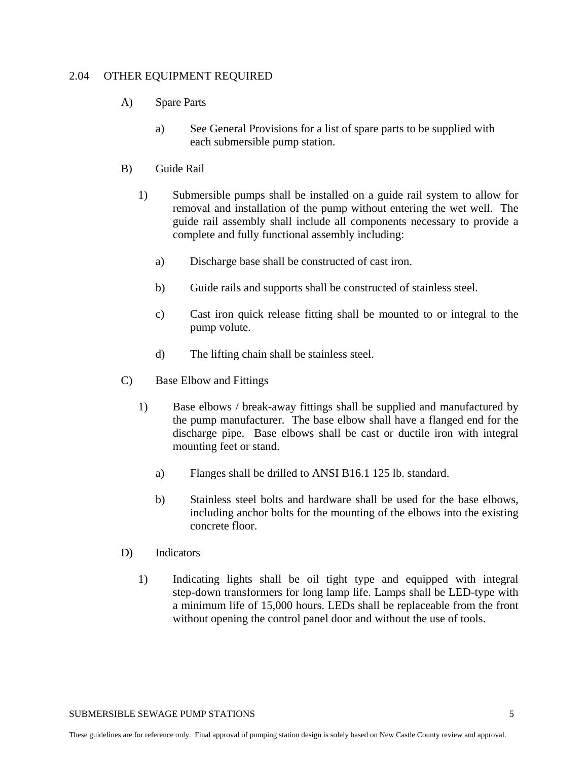## 2.04 OTHER EQUIPMENT REQUIRED

- A) Spare Parts
	- a) See General Provisions for a list of spare parts to be supplied with each submersible pump station.
- B) Guide Rail
	- 1) Submersible pumps shall be installed on a guide rail system to allow for removal and installation of the pump without entering the wet well. The guide rail assembly shall include all components necessary to provide a complete and fully functional assembly including:
		- a) Discharge base shall be constructed of cast iron.
		- b) Guide rails and supports shall be constructed of stainless steel.
		- c) Cast iron quick release fitting shall be mounted to or integral to the pump volute.
		- d) The lifting chain shall be stainless steel.
- C) Base Elbow and Fittings
	- 1) Base elbows / break-away fittings shall be supplied and manufactured by the pump manufacturer. The base elbow shall have a flanged end for the discharge pipe. Base elbows shall be cast or ductile iron with integral mounting feet or stand.
		- a) Flanges shall be drilled to ANSI B16.1 125 lb. standard.
		- b) Stainless steel bolts and hardware shall be used for the base elbows, including anchor bolts for the mounting of the elbows into the existing concrete floor.
- D) Indicators
	- 1) Indicating lights shall be oil tight type and equipped with integral step-down transformers for long lamp life. Lamps shall be LED-type with a minimum life of 15,000 hours. LEDs shall be replaceable from the front without opening the control panel door and without the use of tools.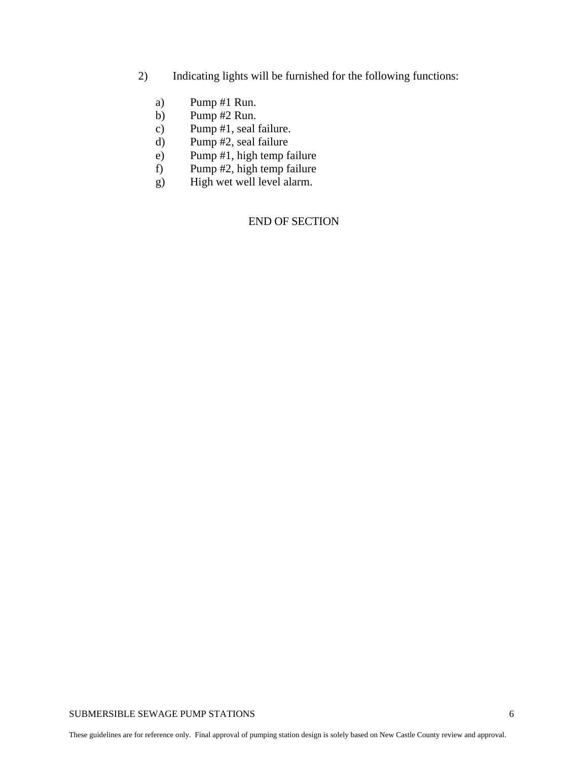- 2) Indicating lights will be furnished for the following functions:
	- a) Pump #1 Run.
	- b) Pump #2 Run.
	- c) Pump #1, seal failure.
	- d) Pump #2, seal failure
	- e) Pump #1, high temp failure
	- f) Pump #2, high temp failure
	- g) High wet well level alarm.

END OF SECTION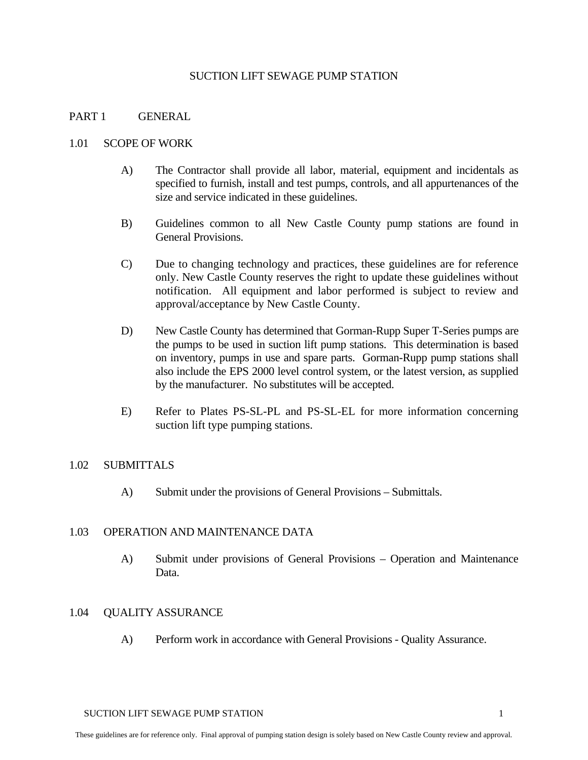## SUCTION LIFT SEWAGE PUMP STATION

#### PART 1 GENERAL

#### 1.01 SCOPE OF WORK

- A) The Contractor shall provide all labor, material, equipment and incidentals as specified to furnish, install and test pumps, controls, and all appurtenances of the size and service indicated in these guidelines.
- B) Guidelines common to all New Castle County pump stations are found in General Provisions.
- C) Due to changing technology and practices, these guidelines are for reference only. New Castle County reserves the right to update these guidelines without notification. All equipment and labor performed is subject to review and approval/acceptance by New Castle County.
- D) New Castle County has determined that Gorman-Rupp Super T-Series pumps are the pumps to be used in suction lift pump stations. This determination is based on inventory, pumps in use and spare parts. Gorman-Rupp pump stations shall also include the EPS 2000 level control system, or the latest version, as supplied by the manufacturer. No substitutes will be accepted.
- E) Refer to Plates PS-SL-PL and PS-SL-EL for more information concerning suction lift type pumping stations.

#### 1.02 SUBMITTALS

A) Submit under the provisions of General Provisions – Submittals.

## 1.03 OPERATION AND MAINTENANCE DATA

A) Submit under provisions of General Provisions – Operation and Maintenance Data.

#### 1.04 QUALITY ASSURANCE

A) Perform work in accordance with General Provisions - Quality Assurance.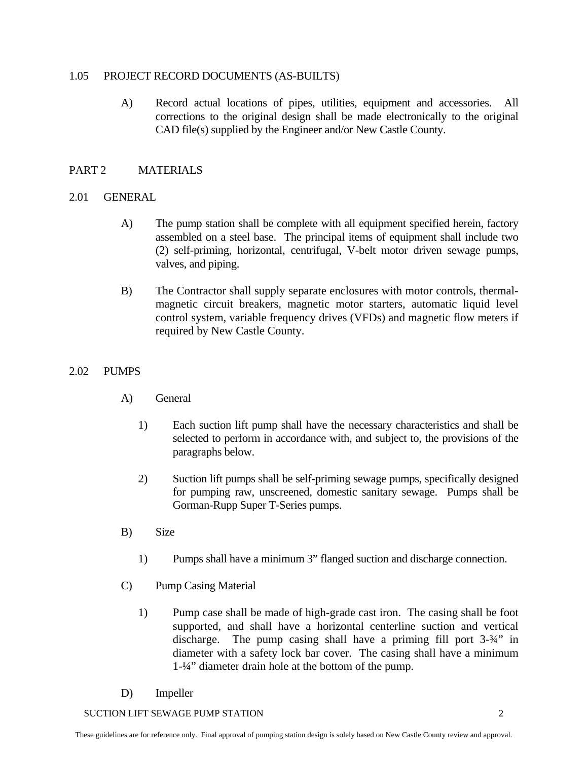#### 1.05 PROJECT RECORD DOCUMENTS (AS-BUILTS)

A) Record actual locations of pipes, utilities, equipment and accessories. All corrections to the original design shall be made electronically to the original CAD file(s) supplied by the Engineer and/or New Castle County.

## PART 2 MATERIALS

## 2.01 GENERAL

- A) The pump station shall be complete with all equipment specified herein, factory assembled on a steel base. The principal items of equipment shall include two (2) self-priming, horizontal, centrifugal, V-belt motor driven sewage pumps, valves, and piping.
- B) The Contractor shall supply separate enclosures with motor controls, thermalmagnetic circuit breakers, magnetic motor starters, automatic liquid level control system, variable frequency drives (VFDs) and magnetic flow meters if required by New Castle County.

## 2.02 PUMPS

- A) General
	- 1) Each suction lift pump shall have the necessary characteristics and shall be selected to perform in accordance with, and subject to, the provisions of the paragraphs below.
	- 2) Suction lift pumps shall be self-priming sewage pumps, specifically designed for pumping raw, unscreened, domestic sanitary sewage. Pumps shall be Gorman-Rupp Super T-Series pumps.
- B) Size
	- 1) Pumps shall have a minimum 3" flanged suction and discharge connection.
- C) Pump Casing Material
	- 1) Pump case shall be made of high-grade cast iron. The casing shall be foot supported, and shall have a horizontal centerline suction and vertical discharge. The pump casing shall have a priming fill port  $3-3/4$ " in diameter with a safety lock bar cover. The casing shall have a minimum 1-¼" diameter drain hole at the bottom of the pump.

## D) Impeller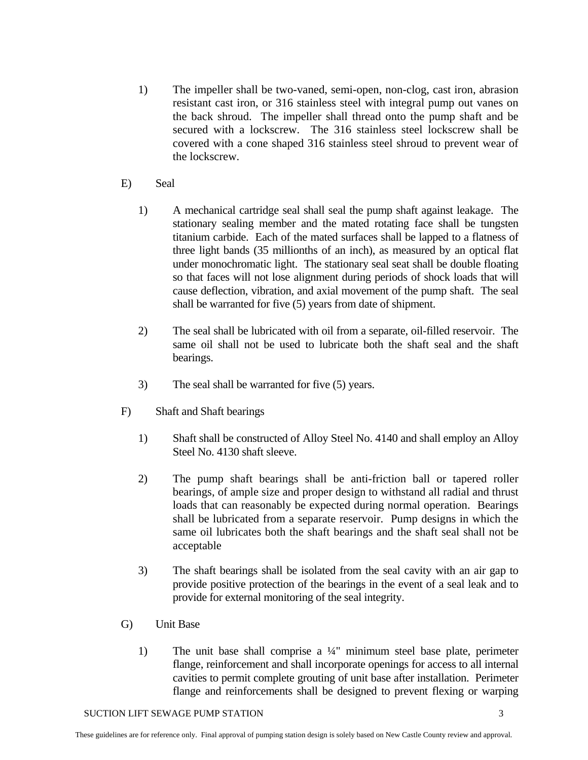- 1) The impeller shall be two-vaned, semi-open, non-clog, cast iron, abrasion resistant cast iron, or 316 stainless steel with integral pump out vanes on the back shroud. The impeller shall thread onto the pump shaft and be secured with a lockscrew. The 316 stainless steel lockscrew shall be covered with a cone shaped 316 stainless steel shroud to prevent wear of the lockscrew.
- E) Seal
	- 1) A mechanical cartridge seal shall seal the pump shaft against leakage. The stationary sealing member and the mated rotating face shall be tungsten titanium carbide. Each of the mated surfaces shall be lapped to a flatness of three light bands (35 millionths of an inch), as measured by an optical flat under monochromatic light. The stationary seal seat shall be double floating so that faces will not lose alignment during periods of shock loads that will cause deflection, vibration, and axial movement of the pump shaft. The seal shall be warranted for five (5) years from date of shipment.
	- 2) The seal shall be lubricated with oil from a separate, oil-filled reservoir. The same oil shall not be used to lubricate both the shaft seal and the shaft bearings.
	- 3) The seal shall be warranted for five (5) years.
- F) Shaft and Shaft bearings
	- 1) Shaft shall be constructed of Alloy Steel No. 4140 and shall employ an Alloy Steel No. 4130 shaft sleeve.
	- 2) The pump shaft bearings shall be anti-friction ball or tapered roller bearings, of ample size and proper design to withstand all radial and thrust loads that can reasonably be expected during normal operation. Bearings shall be lubricated from a separate reservoir. Pump designs in which the same oil lubricates both the shaft bearings and the shaft seal shall not be acceptable
	- 3) The shaft bearings shall be isolated from the seal cavity with an air gap to provide positive protection of the bearings in the event of a seal leak and to provide for external monitoring of the seal integrity.
- G) Unit Base
	- 1) The unit base shall comprise a ¼" minimum steel base plate, perimeter flange, reinforcement and shall incorporate openings for access to all internal cavities to permit complete grouting of unit base after installation. Perimeter flange and reinforcements shall be designed to prevent flexing or warping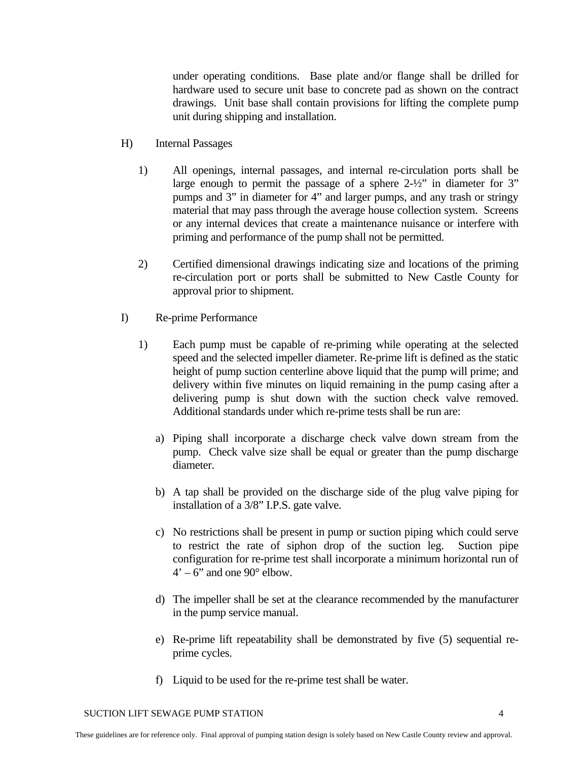under operating conditions. Base plate and/or flange shall be drilled for hardware used to secure unit base to concrete pad as shown on the contract drawings. Unit base shall contain provisions for lifting the complete pump unit during shipping and installation.

- H) Internal Passages
	- 1) All openings, internal passages, and internal re-circulation ports shall be large enough to permit the passage of a sphere 2-½" in diameter for 3" pumps and 3" in diameter for 4" and larger pumps, and any trash or stringy material that may pass through the average house collection system. Screens or any internal devices that create a maintenance nuisance or interfere with priming and performance of the pump shall not be permitted.
	- 2) Certified dimensional drawings indicating size and locations of the priming re-circulation port or ports shall be submitted to New Castle County for approval prior to shipment.
- I) Re-prime Performance
	- 1) Each pump must be capable of re-priming while operating at the selected speed and the selected impeller diameter. Re-prime lift is defined as the static height of pump suction centerline above liquid that the pump will prime; and delivery within five minutes on liquid remaining in the pump casing after a delivering pump is shut down with the suction check valve removed. Additional standards under which re-prime tests shall be run are:
		- a) Piping shall incorporate a discharge check valve down stream from the pump. Check valve size shall be equal or greater than the pump discharge diameter.
		- b) A tap shall be provided on the discharge side of the plug valve piping for installation of a 3/8" I.P.S. gate valve.
		- c) No restrictions shall be present in pump or suction piping which could serve to restrict the rate of siphon drop of the suction leg. Suction pipe configuration for re-prime test shall incorporate a minimum horizontal run of  $4' - 6'$  and one 90 $\degree$  elbow.
		- d) The impeller shall be set at the clearance recommended by the manufacturer in the pump service manual.
		- e) Re-prime lift repeatability shall be demonstrated by five (5) sequential reprime cycles.
		- f) Liquid to be used for the re-prime test shall be water.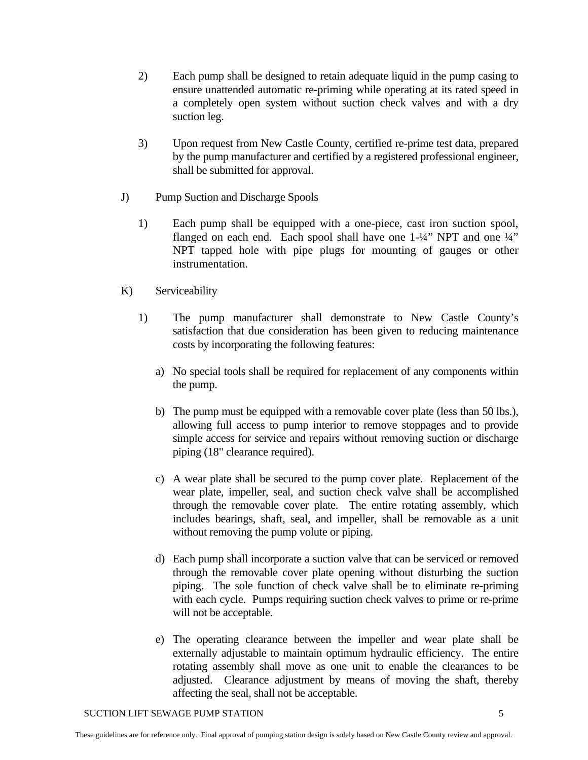- 2) Each pump shall be designed to retain adequate liquid in the pump casing to ensure unattended automatic re-priming while operating at its rated speed in a completely open system without suction check valves and with a dry suction leg.
- 3) Upon request from New Castle County, certified re-prime test data, prepared by the pump manufacturer and certified by a registered professional engineer, shall be submitted for approval.
- J) Pump Suction and Discharge Spools
	- 1) Each pump shall be equipped with a one-piece, cast iron suction spool, flanged on each end. Each spool shall have one  $1-44$ " NPT and one  $44$ " NPT tapped hole with pipe plugs for mounting of gauges or other instrumentation.
- K) Serviceability
	- 1) The pump manufacturer shall demonstrate to New Castle County's satisfaction that due consideration has been given to reducing maintenance costs by incorporating the following features:
		- a) No special tools shall be required for replacement of any components within the pump.
		- b) The pump must be equipped with a removable cover plate (less than 50 lbs.), allowing full access to pump interior to remove stoppages and to provide simple access for service and repairs without removing suction or discharge piping (18" clearance required).
		- c) A wear plate shall be secured to the pump cover plate. Replacement of the wear plate, impeller, seal, and suction check valve shall be accomplished through the removable cover plate. The entire rotating assembly, which includes bearings, shaft, seal, and impeller, shall be removable as a unit without removing the pump volute or piping.
		- d) Each pump shall incorporate a suction valve that can be serviced or removed through the removable cover plate opening without disturbing the suction piping. The sole function of check valve shall be to eliminate re-priming with each cycle. Pumps requiring suction check valves to prime or re-prime will not be acceptable.
		- e) The operating clearance between the impeller and wear plate shall be externally adjustable to maintain optimum hydraulic efficiency. The entire rotating assembly shall move as one unit to enable the clearances to be adjusted. Clearance adjustment by means of moving the shaft, thereby affecting the seal, shall not be acceptable.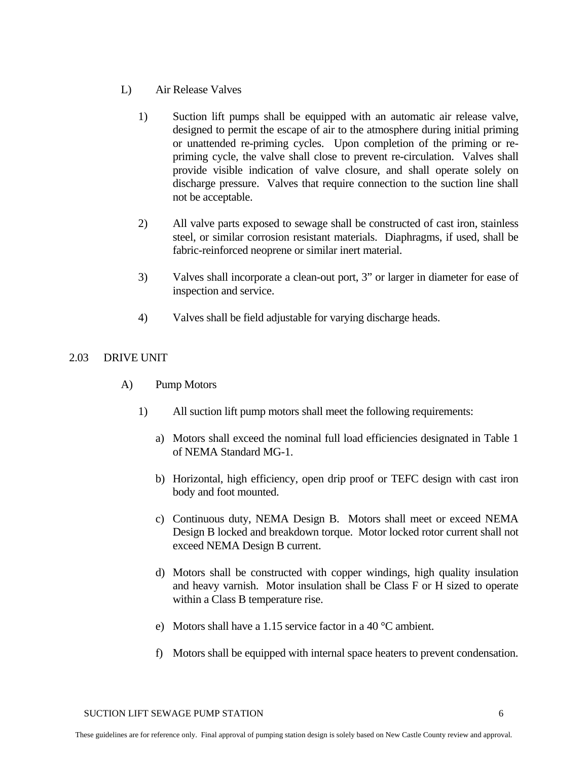- L) Air Release Valves
	- 1) Suction lift pumps shall be equipped with an automatic air release valve, designed to permit the escape of air to the atmosphere during initial priming or unattended re-priming cycles. Upon completion of the priming or repriming cycle, the valve shall close to prevent re-circulation. Valves shall provide visible indication of valve closure, and shall operate solely on discharge pressure. Valves that require connection to the suction line shall not be acceptable.
	- 2) All valve parts exposed to sewage shall be constructed of cast iron, stainless steel, or similar corrosion resistant materials. Diaphragms, if used, shall be fabric-reinforced neoprene or similar inert material.
	- 3) Valves shall incorporate a clean-out port, 3" or larger in diameter for ease of inspection and service.
	- 4) Valves shall be field adjustable for varying discharge heads.

# 2.03 DRIVE UNIT

- A) Pump Motors
	- 1) All suction lift pump motors shall meet the following requirements:
		- a) Motors shall exceed the nominal full load efficiencies designated in Table 1 of NEMA Standard MG-1.
		- b) Horizontal, high efficiency, open drip proof or TEFC design with cast iron body and foot mounted.
		- c) Continuous duty, NEMA Design B. Motors shall meet or exceed NEMA Design B locked and breakdown torque. Motor locked rotor current shall not exceed NEMA Design B current.
		- d) Motors shall be constructed with copper windings, high quality insulation and heavy varnish. Motor insulation shall be Class F or H sized to operate within a Class B temperature rise.
		- e) Motors shall have a 1.15 service factor in a 40 °C ambient.
		- f) Motors shall be equipped with internal space heaters to prevent condensation.

SUCTION LIFT SEWAGE PUMP STATION 6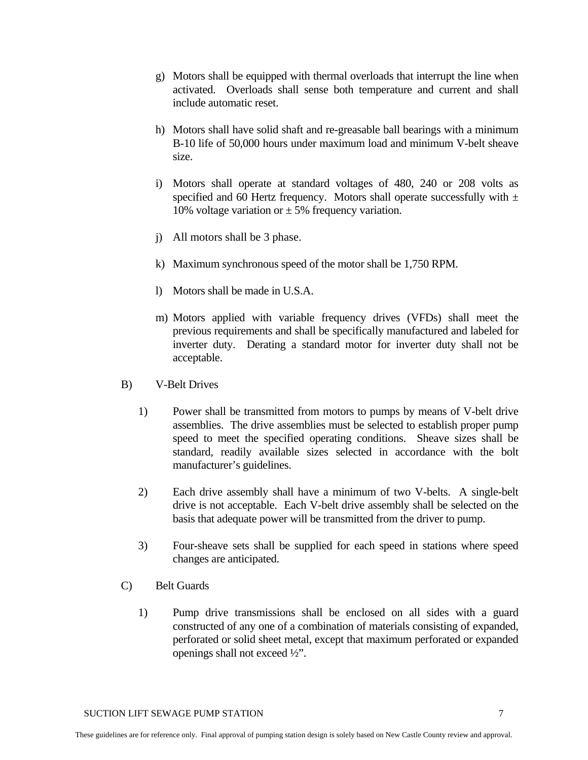- g) Motors shall be equipped with thermal overloads that interrupt the line when activated. Overloads shall sense both temperature and current and shall include automatic reset.
- h) Motors shall have solid shaft and re-greasable ball bearings with a minimum B-10 life of 50,000 hours under maximum load and minimum V-belt sheave size.
- i) Motors shall operate at standard voltages of 480, 240 or 208 volts as specified and 60 Hertz frequency. Motors shall operate successfully with  $\pm$ 10% voltage variation or  $\pm$  5% frequency variation.
- j) All motors shall be 3 phase.
- k) Maximum synchronous speed of the motor shall be 1,750 RPM.
- l) Motors shall be made in U.S.A.
- m) Motors applied with variable frequency drives (VFDs) shall meet the previous requirements and shall be specifically manufactured and labeled for inverter duty. Derating a standard motor for inverter duty shall not be acceptable.
- B) V-Belt Drives
	- 1) Power shall be transmitted from motors to pumps by means of V-belt drive assemblies. The drive assemblies must be selected to establish proper pump speed to meet the specified operating conditions. Sheave sizes shall be standard, readily available sizes selected in accordance with the bolt manufacturer's guidelines.
	- 2) Each drive assembly shall have a minimum of two V-belts. A single-belt drive is not acceptable. Each V-belt drive assembly shall be selected on the basis that adequate power will be transmitted from the driver to pump.
	- 3) Four-sheave sets shall be supplied for each speed in stations where speed changes are anticipated.
- C) Belt Guards
	- 1) Pump drive transmissions shall be enclosed on all sides with a guard constructed of any one of a combination of materials consisting of expanded, perforated or solid sheet metal, except that maximum perforated or expanded openings shall not exceed ½".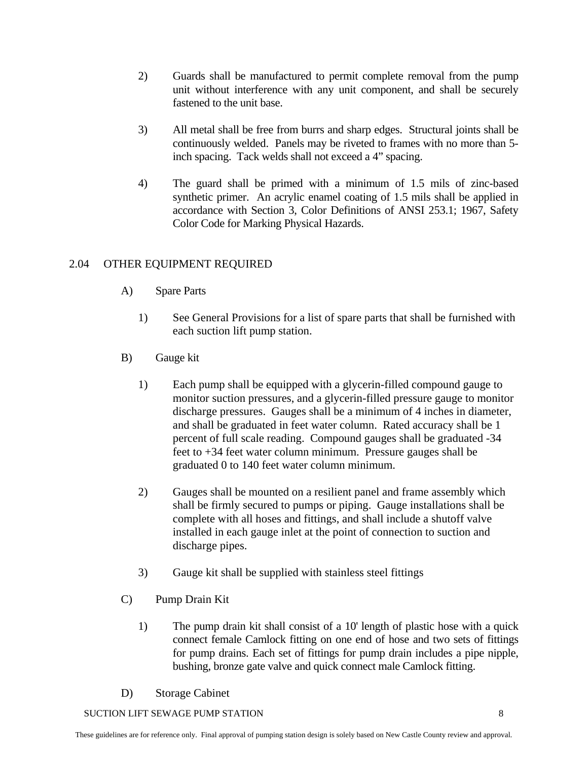- 2) Guards shall be manufactured to permit complete removal from the pump unit without interference with any unit component, and shall be securely fastened to the unit base.
- 3) All metal shall be free from burrs and sharp edges. Structural joints shall be continuously welded. Panels may be riveted to frames with no more than 5 inch spacing. Tack welds shall not exceed a 4" spacing.
- 4) The guard shall be primed with a minimum of 1.5 mils of zinc-based synthetic primer. An acrylic enamel coating of 1.5 mils shall be applied in accordance with Section 3, Color Definitions of ANSI 253.1; 1967, Safety Color Code for Marking Physical Hazards.

# 2.04 OTHER EQUIPMENT REQUIRED

- A) Spare Parts
	- 1) See General Provisions for a list of spare parts that shall be furnished with each suction lift pump station.
- B) Gauge kit
	- 1) Each pump shall be equipped with a glycerin-filled compound gauge to monitor suction pressures, and a glycerin-filled pressure gauge to monitor discharge pressures. Gauges shall be a minimum of 4 inches in diameter, and shall be graduated in feet water column. Rated accuracy shall be 1 percent of full scale reading. Compound gauges shall be graduated -34 feet to +34 feet water column minimum. Pressure gauges shall be graduated 0 to 140 feet water column minimum.
	- 2) Gauges shall be mounted on a resilient panel and frame assembly which shall be firmly secured to pumps or piping. Gauge installations shall be complete with all hoses and fittings, and shall include a shutoff valve installed in each gauge inlet at the point of connection to suction and discharge pipes.
	- 3) Gauge kit shall be supplied with stainless steel fittings
- C) Pump Drain Kit
	- 1) The pump drain kit shall consist of a 10' length of plastic hose with a quick connect female Camlock fitting on one end of hose and two sets of fittings for pump drains. Each set of fittings for pump drain includes a pipe nipple, bushing, bronze gate valve and quick connect male Camlock fitting.
- D) Storage Cabinet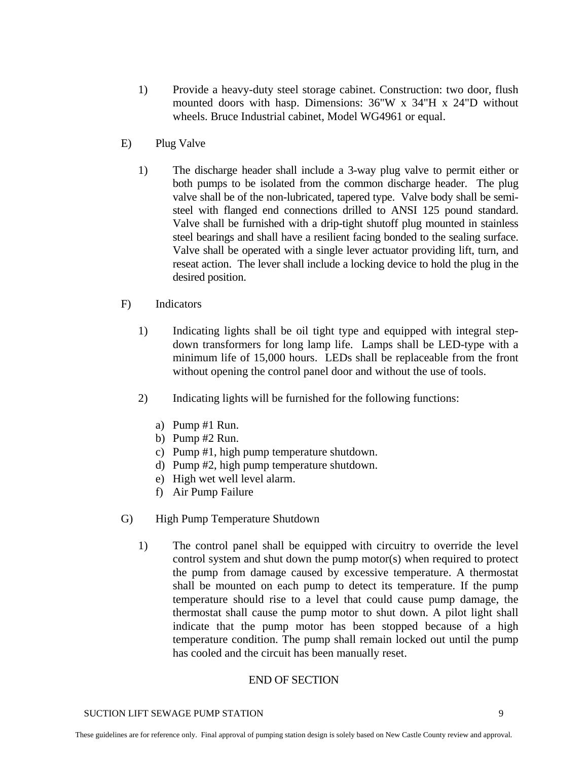- 1) Provide a heavy-duty steel storage cabinet. Construction: two door, flush mounted doors with hasp. Dimensions: 36"W x 34"H x 24"D without wheels. Bruce Industrial cabinet, Model WG4961 or equal.
- E) Plug Valve
	- 1) The discharge header shall include a 3-way plug valve to permit either or both pumps to be isolated from the common discharge header. The plug valve shall be of the non-lubricated, tapered type. Valve body shall be semisteel with flanged end connections drilled to ANSI 125 pound standard. Valve shall be furnished with a drip-tight shutoff plug mounted in stainless steel bearings and shall have a resilient facing bonded to the sealing surface. Valve shall be operated with a single lever actuator providing lift, turn, and reseat action. The lever shall include a locking device to hold the plug in the desired position.
- F) Indicators
	- 1) Indicating lights shall be oil tight type and equipped with integral stepdown transformers for long lamp life. Lamps shall be LED-type with a minimum life of 15,000 hours. LEDs shall be replaceable from the front without opening the control panel door and without the use of tools.
	- 2) Indicating lights will be furnished for the following functions:
		- a) Pump #1 Run.
		- b) Pump #2 Run.
		- c) Pump #1, high pump temperature shutdown.
		- d) Pump #2, high pump temperature shutdown.
		- e) High wet well level alarm.
		- f) Air Pump Failure
- G) High Pump Temperature Shutdown
	- 1) The control panel shall be equipped with circuitry to override the level control system and shut down the pump motor(s) when required to protect the pump from damage caused by excessive temperature. A thermostat shall be mounted on each pump to detect its temperature. If the pump temperature should rise to a level that could cause pump damage, the thermostat shall cause the pump motor to shut down. A pilot light shall indicate that the pump motor has been stopped because of a high temperature condition. The pump shall remain locked out until the pump has cooled and the circuit has been manually reset.

#### END OF SECTION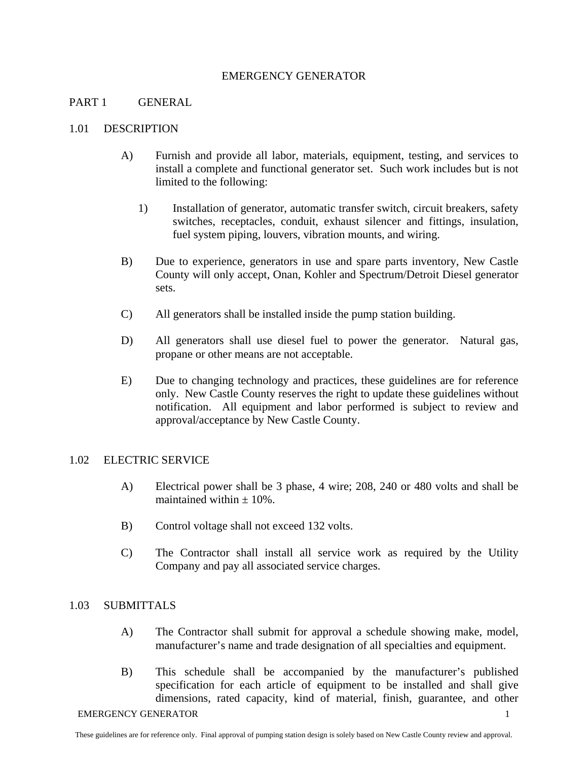## EMERGENCY GENERATOR

#### PART 1 GENERAL

#### 1.01 DESCRIPTION

- A) Furnish and provide all labor, materials, equipment, testing, and services to install a complete and functional generator set. Such work includes but is not limited to the following:
	- 1) Installation of generator, automatic transfer switch, circuit breakers, safety switches, receptacles, conduit, exhaust silencer and fittings, insulation, fuel system piping, louvers, vibration mounts, and wiring.
- B) Due to experience, generators in use and spare parts inventory, New Castle County will only accept, Onan, Kohler and Spectrum/Detroit Diesel generator sets.
- C) All generators shall be installed inside the pump station building.
- D) All generators shall use diesel fuel to power the generator. Natural gas, propane or other means are not acceptable.
- E) Due to changing technology and practices, these guidelines are for reference only. New Castle County reserves the right to update these guidelines without notification. All equipment and labor performed is subject to review and approval/acceptance by New Castle County.

#### 1.02 ELECTRIC SERVICE

- A) Electrical power shall be 3 phase, 4 wire; 208, 240 or 480 volts and shall be maintained within  $+10%$ .
- B) Control voltage shall not exceed 132 volts.
- C) The Contractor shall install all service work as required by the Utility Company and pay all associated service charges.

#### 1.03 SUBMITTALS

- A) The Contractor shall submit for approval a schedule showing make, model, manufacturer's name and trade designation of all specialties and equipment.
- B) This schedule shall be accompanied by the manufacturer's published specification for each article of equipment to be installed and shall give dimensions, rated capacity, kind of material, finish, guarantee, and other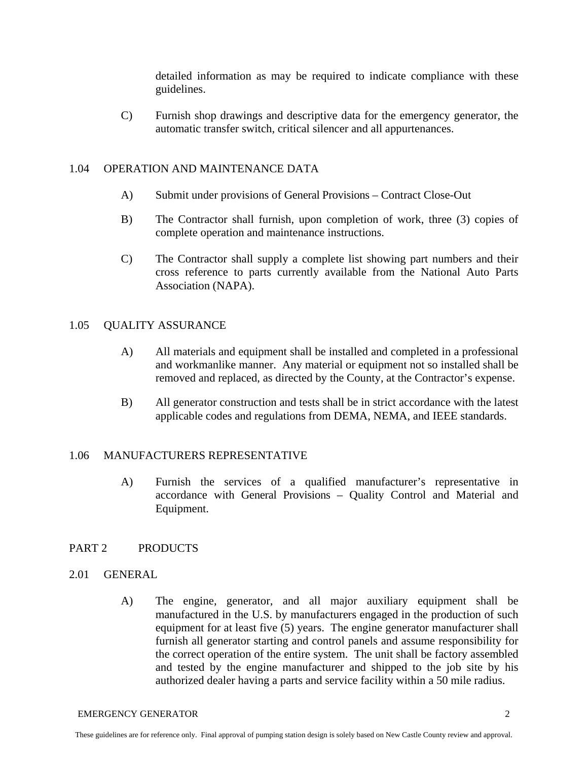detailed information as may be required to indicate compliance with these guidelines.

C) Furnish shop drawings and descriptive data for the emergency generator, the automatic transfer switch, critical silencer and all appurtenances.

## 1.04 OPERATION AND MAINTENANCE DATA

- A) Submit under provisions of General Provisions Contract Close-Out
- B) The Contractor shall furnish, upon completion of work, three (3) copies of complete operation and maintenance instructions.
- C) The Contractor shall supply a complete list showing part numbers and their cross reference to parts currently available from the National Auto Parts Association (NAPA).

## 1.05 QUALITY ASSURANCE

- A) All materials and equipment shall be installed and completed in a professional and workmanlike manner. Any material or equipment not so installed shall be removed and replaced, as directed by the County, at the Contractor's expense.
- B) All generator construction and tests shall be in strict accordance with the latest applicable codes and regulations from DEMA, NEMA, and IEEE standards.

## 1.06 MANUFACTURERS REPRESENTATIVE

A) Furnish the services of a qualified manufacturer's representative in accordance with General Provisions – Quality Control and Material and Equipment.

# PART 2 PRODUCTS

- 2.01 GENERAL
	- A) The engine, generator, and all major auxiliary equipment shall be manufactured in the U.S. by manufacturers engaged in the production of such equipment for at least five (5) years. The engine generator manufacturer shall furnish all generator starting and control panels and assume responsibility for the correct operation of the entire system. The unit shall be factory assembled and tested by the engine manufacturer and shipped to the job site by his authorized dealer having a parts and service facility within a 50 mile radius.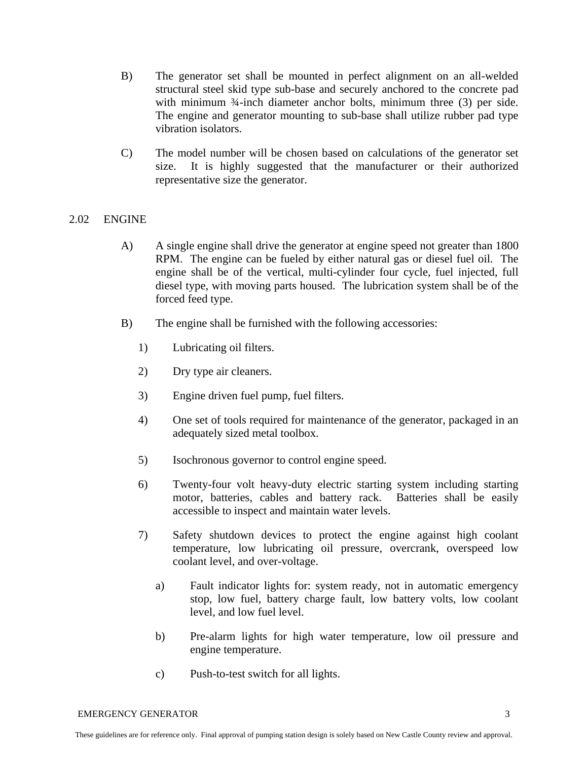- B) The generator set shall be mounted in perfect alignment on an all-welded structural steel skid type sub-base and securely anchored to the concrete pad with minimum 3<sup>4</sup>-inch diameter anchor bolts, minimum three (3) per side. The engine and generator mounting to sub-base shall utilize rubber pad type vibration isolators.
- C) The model number will be chosen based on calculations of the generator set size. It is highly suggested that the manufacturer or their authorized representative size the generator.

## 2.02 ENGINE

- A) A single engine shall drive the generator at engine speed not greater than 1800 RPM. The engine can be fueled by either natural gas or diesel fuel oil. The engine shall be of the vertical, multi-cylinder four cycle, fuel injected, full diesel type, with moving parts housed. The lubrication system shall be of the forced feed type.
- B) The engine shall be furnished with the following accessories:
	- 1) Lubricating oil filters.
	- 2) Dry type air cleaners.
	- 3) Engine driven fuel pump, fuel filters.
	- 4) One set of tools required for maintenance of the generator, packaged in an adequately sized metal toolbox.
	- 5) Isochronous governor to control engine speed.
	- 6) Twenty-four volt heavy-duty electric starting system including starting motor, batteries, cables and battery rack. Batteries shall be easily accessible to inspect and maintain water levels.
	- 7) Safety shutdown devices to protect the engine against high coolant temperature, low lubricating oil pressure, overcrank, overspeed low coolant level, and over-voltage.
		- a) Fault indicator lights for: system ready, not in automatic emergency stop, low fuel, battery charge fault, low battery volts, low coolant level, and low fuel level.
		- b) Pre-alarm lights for high water temperature, low oil pressure and engine temperature.
		- c) Push-to-test switch for all lights.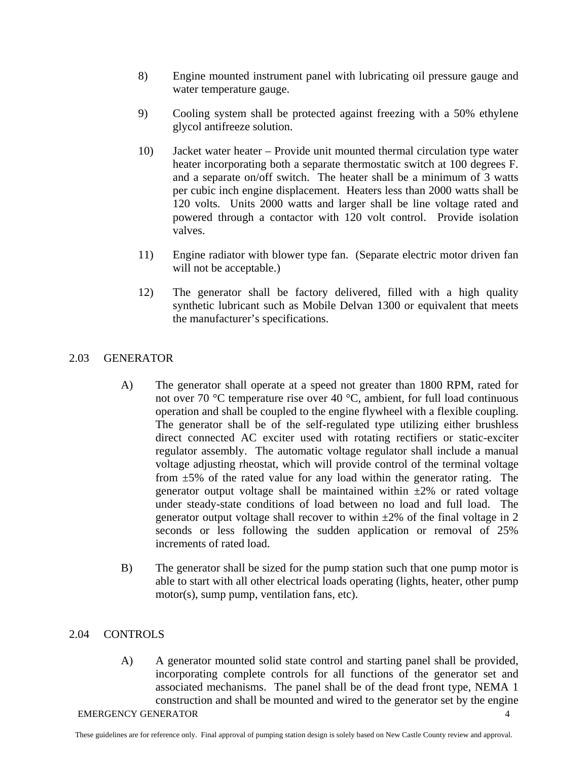- 8) Engine mounted instrument panel with lubricating oil pressure gauge and water temperature gauge.
- 9) Cooling system shall be protected against freezing with a 50% ethylene glycol antifreeze solution.
- 10) Jacket water heater Provide unit mounted thermal circulation type water heater incorporating both a separate thermostatic switch at 100 degrees F. and a separate on/off switch. The heater shall be a minimum of 3 watts per cubic inch engine displacement. Heaters less than 2000 watts shall be 120 volts. Units 2000 watts and larger shall be line voltage rated and powered through a contactor with 120 volt control. Provide isolation valves.
- 11) Engine radiator with blower type fan. (Separate electric motor driven fan will not be acceptable.)
- 12) The generator shall be factory delivered, filled with a high quality synthetic lubricant such as Mobile Delvan 1300 or equivalent that meets the manufacturer's specifications.

## 2.03 GENERATOR

- A) The generator shall operate at a speed not greater than 1800 RPM, rated for not over 70 °C temperature rise over 40 °C, ambient, for full load continuous operation and shall be coupled to the engine flywheel with a flexible coupling. The generator shall be of the self-regulated type utilizing either brushless direct connected AC exciter used with rotating rectifiers or static-exciter regulator assembly. The automatic voltage regulator shall include a manual voltage adjusting rheostat, which will provide control of the terminal voltage from  $\pm 5\%$  of the rated value for any load within the generator rating. The generator output voltage shall be maintained within  $\pm 2\%$  or rated voltage under steady-state conditions of load between no load and full load. The generator output voltage shall recover to within  $\pm 2\%$  of the final voltage in 2 seconds or less following the sudden application or removal of 25% increments of rated load.
- B) The generator shall be sized for the pump station such that one pump motor is able to start with all other electrical loads operating (lights, heater, other pump motor(s), sump pump, ventilation fans, etc).

## 2.04 CONTROLS

A) A generator mounted solid state control and starting panel shall be provided, incorporating complete controls for all functions of the generator set and associated mechanisms. The panel shall be of the dead front type, NEMA 1 construction and shall be mounted and wired to the generator set by the engine

EMERGENCY GENERATOR 4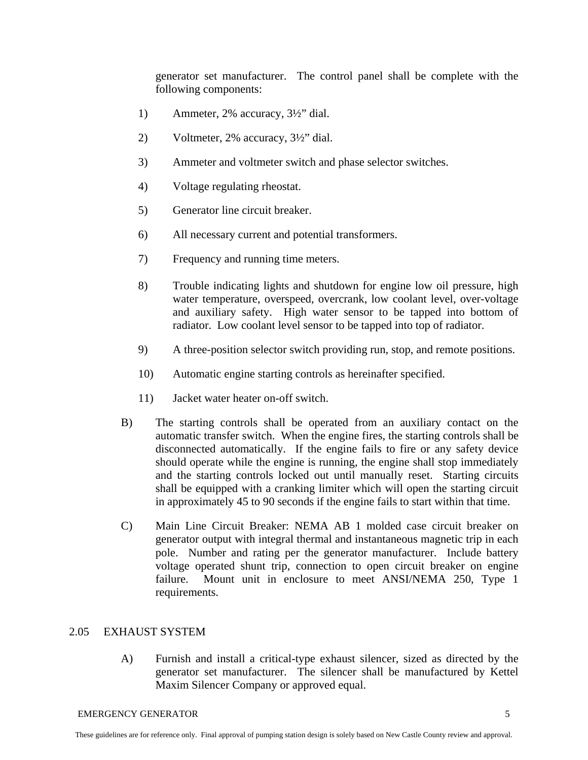generator set manufacturer. The control panel shall be complete with the following components:

- 1) Ammeter, 2% accuracy, 3½" dial.
- 2) Voltmeter, 2% accuracy, 3½" dial.
- 3) Ammeter and voltmeter switch and phase selector switches.
- 4) Voltage regulating rheostat.
- 5) Generator line circuit breaker.
- 6) All necessary current and potential transformers.
- 7) Frequency and running time meters.
- 8) Trouble indicating lights and shutdown for engine low oil pressure, high water temperature, overspeed, overcrank, low coolant level, over-voltage and auxiliary safety. High water sensor to be tapped into bottom of radiator. Low coolant level sensor to be tapped into top of radiator.
- 9) A three-position selector switch providing run, stop, and remote positions.
- 10) Automatic engine starting controls as hereinafter specified.
- 11) Jacket water heater on-off switch.
- B) The starting controls shall be operated from an auxiliary contact on the automatic transfer switch. When the engine fires, the starting controls shall be disconnected automatically. If the engine fails to fire or any safety device should operate while the engine is running, the engine shall stop immediately and the starting controls locked out until manually reset. Starting circuits shall be equipped with a cranking limiter which will open the starting circuit in approximately 45 to 90 seconds if the engine fails to start within that time.
- C) Main Line Circuit Breaker: NEMA AB 1 molded case circuit breaker on generator output with integral thermal and instantaneous magnetic trip in each pole. Number and rating per the generator manufacturer. Include battery voltage operated shunt trip, connection to open circuit breaker on engine failure. Mount unit in enclosure to meet ANSI/NEMA 250, Type 1 requirements.

## 2.05 EXHAUST SYSTEM

A) Furnish and install a critical-type exhaust silencer, sized as directed by the generator set manufacturer. The silencer shall be manufactured by Kettel Maxim Silencer Company or approved equal.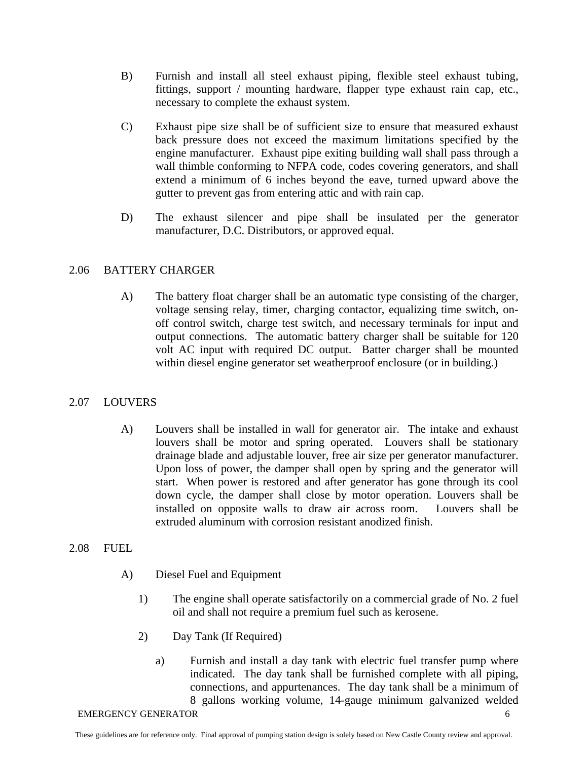- B) Furnish and install all steel exhaust piping, flexible steel exhaust tubing, fittings, support / mounting hardware, flapper type exhaust rain cap, etc., necessary to complete the exhaust system.
- C) Exhaust pipe size shall be of sufficient size to ensure that measured exhaust back pressure does not exceed the maximum limitations specified by the engine manufacturer. Exhaust pipe exiting building wall shall pass through a wall thimble conforming to NFPA code, codes covering generators, and shall extend a minimum of 6 inches beyond the eave, turned upward above the gutter to prevent gas from entering attic and with rain cap.
- D) The exhaust silencer and pipe shall be insulated per the generator manufacturer, D.C. Distributors, or approved equal.

## 2.06 BATTERY CHARGER

A) The battery float charger shall be an automatic type consisting of the charger, voltage sensing relay, timer, charging contactor, equalizing time switch, onoff control switch, charge test switch, and necessary terminals for input and output connections. The automatic battery charger shall be suitable for 120 volt AC input with required DC output. Batter charger shall be mounted within diesel engine generator set weatherproof enclosure (or in building.)

## 2.07 LOUVERS

A) Louvers shall be installed in wall for generator air. The intake and exhaust louvers shall be motor and spring operated. Louvers shall be stationary drainage blade and adjustable louver, free air size per generator manufacturer. Upon loss of power, the damper shall open by spring and the generator will start. When power is restored and after generator has gone through its cool down cycle, the damper shall close by motor operation. Louvers shall be installed on opposite walls to draw air across room. Louvers shall be extruded aluminum with corrosion resistant anodized finish.

## 2.08 FUEL

- A) Diesel Fuel and Equipment
	- 1) The engine shall operate satisfactorily on a commercial grade of No. 2 fuel oil and shall not require a premium fuel such as kerosene.
	- 2) Day Tank (If Required)
		- a) Furnish and install a day tank with electric fuel transfer pump where indicated. The day tank shall be furnished complete with all piping, connections, and appurtenances. The day tank shall be a minimum of 8 gallons working volume, 14-gauge minimum galvanized welded

EMERGENCY GENERATOR 6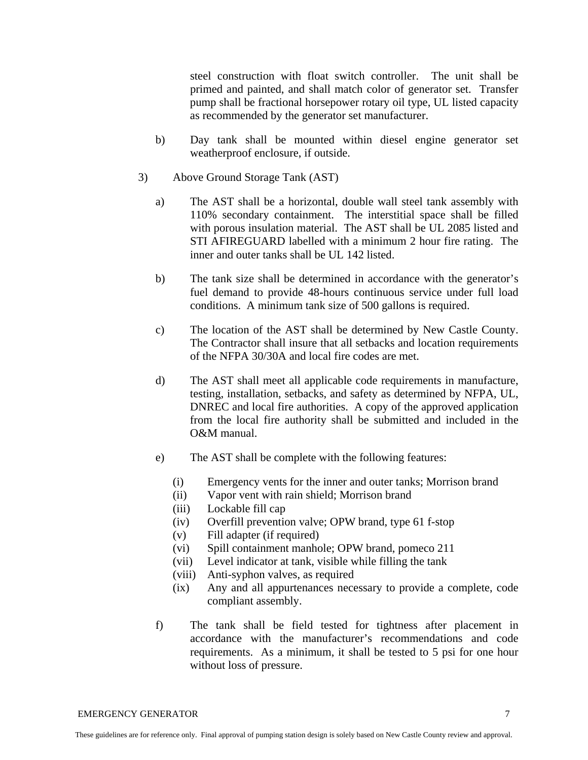steel construction with float switch controller. The unit shall be primed and painted, and shall match color of generator set. Transfer pump shall be fractional horsepower rotary oil type, UL listed capacity as recommended by the generator set manufacturer.

- b) Day tank shall be mounted within diesel engine generator set weatherproof enclosure, if outside.
- 3) Above Ground Storage Tank (AST)
	- a) The AST shall be a horizontal, double wall steel tank assembly with 110% secondary containment. The interstitial space shall be filled with porous insulation material. The AST shall be UL 2085 listed and STI AFIREGUARD labelled with a minimum 2 hour fire rating. The inner and outer tanks shall be UL 142 listed.
	- b) The tank size shall be determined in accordance with the generator's fuel demand to provide 48-hours continuous service under full load conditions. A minimum tank size of 500 gallons is required.
	- c) The location of the AST shall be determined by New Castle County. The Contractor shall insure that all setbacks and location requirements of the NFPA 30/30A and local fire codes are met.
	- d) The AST shall meet all applicable code requirements in manufacture, testing, installation, setbacks, and safety as determined by NFPA, UL, DNREC and local fire authorities. A copy of the approved application from the local fire authority shall be submitted and included in the O&M manual.
	- e) The AST shall be complete with the following features:
		- (i) Emergency vents for the inner and outer tanks; Morrison brand
		- (ii) Vapor vent with rain shield; Morrison brand
		- (iii) Lockable fill cap
		- (iv) Overfill prevention valve; OPW brand, type 61 f-stop
		- (v) Fill adapter (if required)
		- (vi) Spill containment manhole; OPW brand, pomeco 211
		- (vii) Level indicator at tank, visible while filling the tank
		- (viii) Anti-syphon valves, as required
		- (ix) Any and all appurtenances necessary to provide a complete, code compliant assembly.
	- f) The tank shall be field tested for tightness after placement in accordance with the manufacturer's recommendations and code requirements. As a minimum, it shall be tested to 5 psi for one hour without loss of pressure.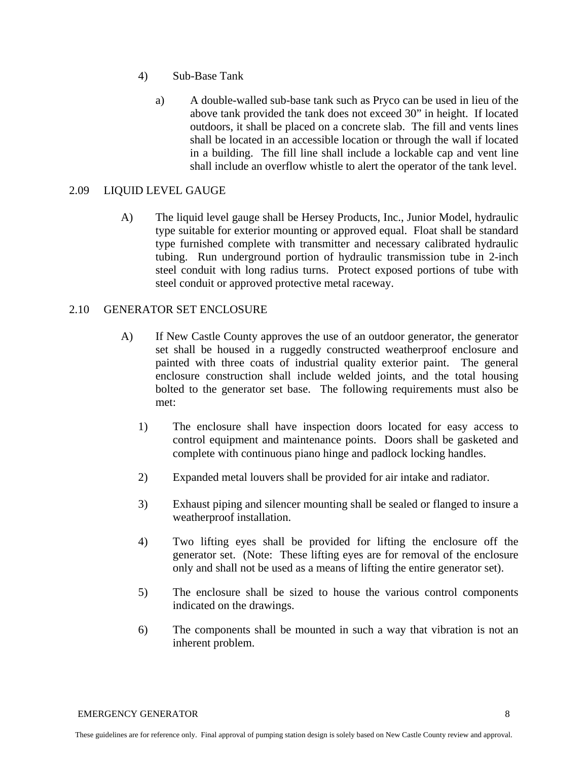- 4) Sub-Base Tank
	- a) A double-walled sub-base tank such as Pryco can be used in lieu of the above tank provided the tank does not exceed 30" in height. If located outdoors, it shall be placed on a concrete slab. The fill and vents lines shall be located in an accessible location or through the wall if located in a building. The fill line shall include a lockable cap and vent line shall include an overflow whistle to alert the operator of the tank level.

## 2.09 LIQUID LEVEL GAUGE

A) The liquid level gauge shall be Hersey Products, Inc., Junior Model, hydraulic type suitable for exterior mounting or approved equal. Float shall be standard type furnished complete with transmitter and necessary calibrated hydraulic tubing. Run underground portion of hydraulic transmission tube in 2-inch steel conduit with long radius turns. Protect exposed portions of tube with steel conduit or approved protective metal raceway.

## 2.10 GENERATOR SET ENCLOSURE

- A) If New Castle County approves the use of an outdoor generator, the generator set shall be housed in a ruggedly constructed weatherproof enclosure and painted with three coats of industrial quality exterior paint. The general enclosure construction shall include welded joints, and the total housing bolted to the generator set base. The following requirements must also be met:
	- 1) The enclosure shall have inspection doors located for easy access to control equipment and maintenance points. Doors shall be gasketed and complete with continuous piano hinge and padlock locking handles.
	- 2) Expanded metal louvers shall be provided for air intake and radiator.
	- 3) Exhaust piping and silencer mounting shall be sealed or flanged to insure a weatherproof installation.
	- 4) Two lifting eyes shall be provided for lifting the enclosure off the generator set. (Note: These lifting eyes are for removal of the enclosure only and shall not be used as a means of lifting the entire generator set).
	- 5) The enclosure shall be sized to house the various control components indicated on the drawings.
	- 6) The components shall be mounted in such a way that vibration is not an inherent problem.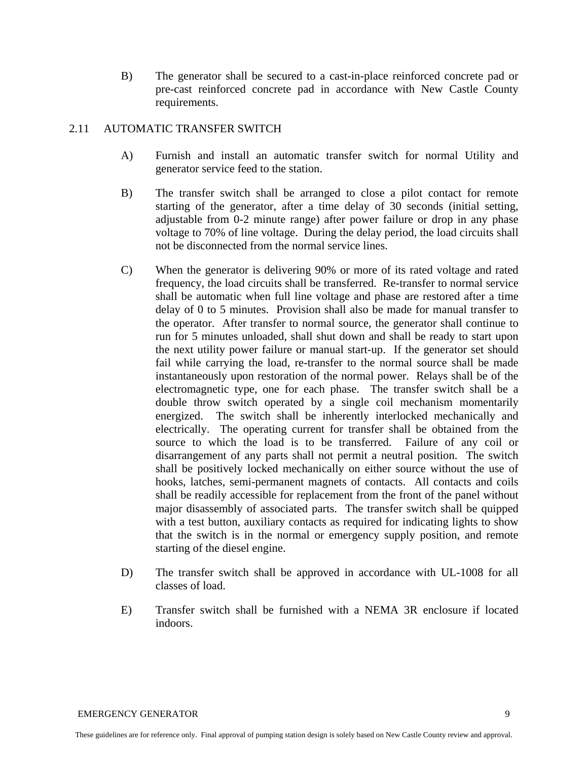B) The generator shall be secured to a cast-in-place reinforced concrete pad or pre-cast reinforced concrete pad in accordance with New Castle County requirements.

## 2.11 AUTOMATIC TRANSFER SWITCH

- A) Furnish and install an automatic transfer switch for normal Utility and generator service feed to the station.
- B) The transfer switch shall be arranged to close a pilot contact for remote starting of the generator, after a time delay of 30 seconds (initial setting, adjustable from 0-2 minute range) after power failure or drop in any phase voltage to 70% of line voltage. During the delay period, the load circuits shall not be disconnected from the normal service lines.
- C) When the generator is delivering 90% or more of its rated voltage and rated frequency, the load circuits shall be transferred. Re-transfer to normal service shall be automatic when full line voltage and phase are restored after a time delay of 0 to 5 minutes. Provision shall also be made for manual transfer to the operator. After transfer to normal source, the generator shall continue to run for 5 minutes unloaded, shall shut down and shall be ready to start upon the next utility power failure or manual start-up. If the generator set should fail while carrying the load, re-transfer to the normal source shall be made instantaneously upon restoration of the normal power. Relays shall be of the electromagnetic type, one for each phase. The transfer switch shall be a double throw switch operated by a single coil mechanism momentarily energized. The switch shall be inherently interlocked mechanically and electrically. The operating current for transfer shall be obtained from the source to which the load is to be transferred. Failure of any coil or disarrangement of any parts shall not permit a neutral position. The switch shall be positively locked mechanically on either source without the use of hooks, latches, semi-permanent magnets of contacts. All contacts and coils shall be readily accessible for replacement from the front of the panel without major disassembly of associated parts. The transfer switch shall be quipped with a test button, auxiliary contacts as required for indicating lights to show that the switch is in the normal or emergency supply position, and remote starting of the diesel engine.
- D) The transfer switch shall be approved in accordance with UL-1008 for all classes of load.
- E) Transfer switch shall be furnished with a NEMA 3R enclosure if located indoors.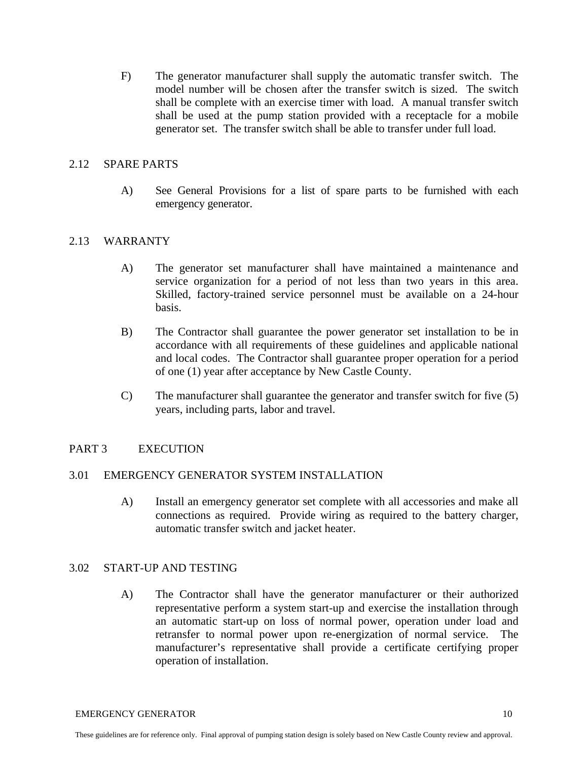F) The generator manufacturer shall supply the automatic transfer switch. The model number will be chosen after the transfer switch is sized. The switch shall be complete with an exercise timer with load. A manual transfer switch shall be used at the pump station provided with a receptacle for a mobile generator set. The transfer switch shall be able to transfer under full load.

#### 2.12 SPARE PARTS

A) See General Provisions for a list of spare parts to be furnished with each emergency generator.

#### 2.13 WARRANTY

- A) The generator set manufacturer shall have maintained a maintenance and service organization for a period of not less than two years in this area. Skilled, factory-trained service personnel must be available on a 24-hour basis.
- B) The Contractor shall guarantee the power generator set installation to be in accordance with all requirements of these guidelines and applicable national and local codes. The Contractor shall guarantee proper operation for a period of one (1) year after acceptance by New Castle County.
- C) The manufacturer shall guarantee the generator and transfer switch for five (5) years, including parts, labor and travel.

## PART 3 EXECUTION

## 3.01 EMERGENCY GENERATOR SYSTEM INSTALLATION

A) Install an emergency generator set complete with all accessories and make all connections as required. Provide wiring as required to the battery charger, automatic transfer switch and jacket heater.

#### 3.02 START-UP AND TESTING

A) The Contractor shall have the generator manufacturer or their authorized representative perform a system start-up and exercise the installation through an automatic start-up on loss of normal power, operation under load and retransfer to normal power upon re-energization of normal service. The manufacturer's representative shall provide a certificate certifying proper operation of installation.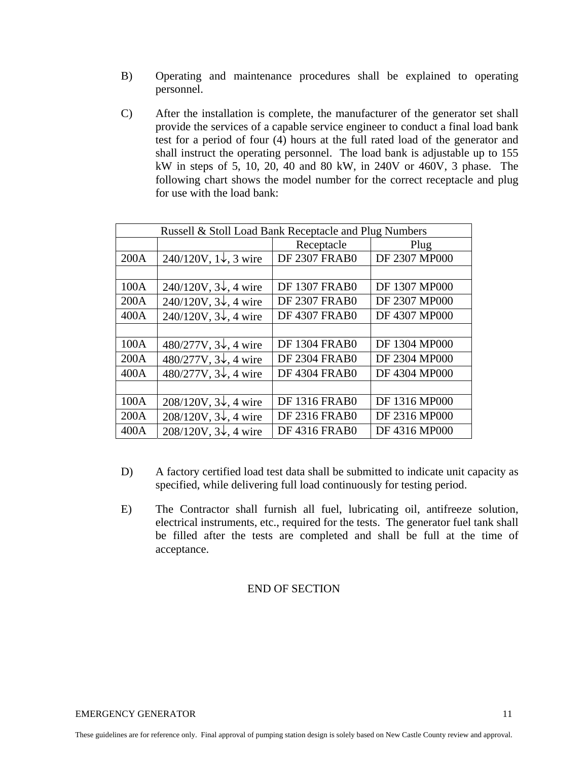- B) Operating and maintenance procedures shall be explained to operating personnel.
- C) After the installation is complete, the manufacturer of the generator set shall provide the services of a capable service engineer to conduct a final load bank test for a period of four (4) hours at the full rated load of the generator and shall instruct the operating personnel. The load bank is adjustable up to 155 kW in steps of 5, 10, 20, 40 and 80 kW, in 240V or 460V, 3 phase. The following chart shows the model number for the correct receptacle and plug for use with the load bank:

| Russell & Stoll Load Bank Receptacle and Plug Numbers |                                |                      |               |
|-------------------------------------------------------|--------------------------------|----------------------|---------------|
|                                                       |                                | Receptacle           | Plug          |
| 200A                                                  | 240/120V, $1\sqrt{ }$ , 3 wire | <b>DF 2307 FRAB0</b> | DF 2307 MP000 |
|                                                       |                                |                      |               |
| 100A                                                  | 240/120V, $3\sqrt{ }$ , 4 wire | <b>DF 1307 FRAB0</b> | DF 1307 MP000 |
| 200A                                                  | 240/120V, $3\sqrt{ }$ , 4 wire | <b>DF 2307 FRAB0</b> | DF 2307 MP000 |
| 400A                                                  | 240/120V, $3\sqrt{ }$ , 4 wire | <b>DF 4307 FRAB0</b> | DF 4307 MP000 |
|                                                       |                                |                      |               |
| 100A                                                  | 480/277V, $3\sqrt{ }$ , 4 wire | <b>DF 1304 FRAB0</b> | DF 1304 MP000 |
| 200A                                                  | 480/277V, $3\sqrt{ }$ , 4 wire | <b>DF 2304 FRAB0</b> | DF 2304 MP000 |
| 400A                                                  | 480/277V, $3\sqrt{ }$ , 4 wire | <b>DF 4304 FRAB0</b> | DF 4304 MP000 |
|                                                       |                                |                      |               |
| 100A                                                  | 208/120V, $3\sqrt{ }$ , 4 wire | <b>DF 1316 FRAB0</b> | DF 1316 MP000 |
| 200A                                                  | 208/120V, $3\sqrt{ }$ , 4 wire | <b>DF 2316 FRAB0</b> | DF 2316 MP000 |
| 400A                                                  | 208/120V, $3\sqrt{ }$ , 4 wire | <b>DF4316 FRAB0</b>  | DF 4316 MP000 |

- D) A factory certified load test data shall be submitted to indicate unit capacity as specified, while delivering full load continuously for testing period.
- E) The Contractor shall furnish all fuel, lubricating oil, antifreeze solution, electrical instruments, etc., required for the tests. The generator fuel tank shall be filled after the tests are completed and shall be full at the time of acceptance.

## END OF SECTION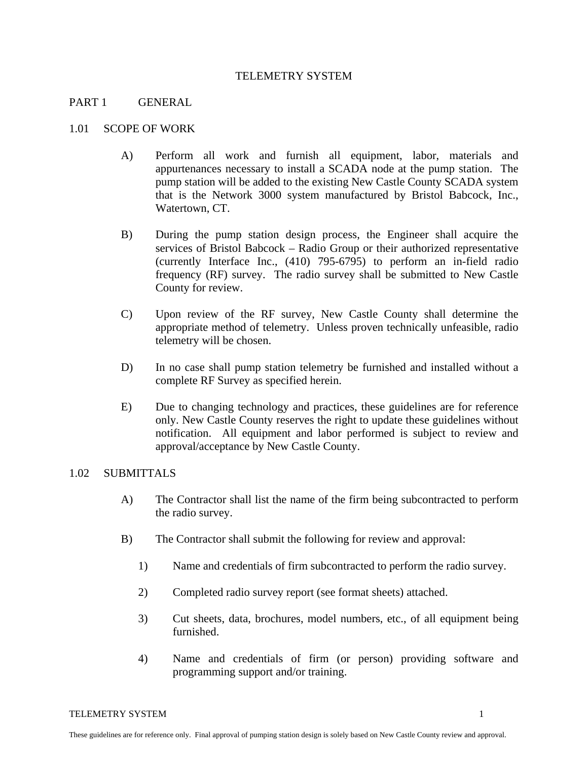#### TELEMETRY SYSTEM

#### PART 1 GENERAL

#### 1.01 SCOPE OF WORK

- A) Perform all work and furnish all equipment, labor, materials and appurtenances necessary to install a SCADA node at the pump station. The pump station will be added to the existing New Castle County SCADA system that is the Network 3000 system manufactured by Bristol Babcock, Inc., Watertown, CT.
- B) During the pump station design process, the Engineer shall acquire the services of Bristol Babcock – Radio Group or their authorized representative (currently Interface Inc., (410) 795-6795) to perform an in-field radio frequency (RF) survey. The radio survey shall be submitted to New Castle County for review.
- C) Upon review of the RF survey, New Castle County shall determine the appropriate method of telemetry. Unless proven technically unfeasible, radio telemetry will be chosen.
- D) In no case shall pump station telemetry be furnished and installed without a complete RF Survey as specified herein.
- E) Due to changing technology and practices, these guidelines are for reference only. New Castle County reserves the right to update these guidelines without notification. All equipment and labor performed is subject to review and approval/acceptance by New Castle County.

#### 1.02 SUBMITTALS

- A) The Contractor shall list the name of the firm being subcontracted to perform the radio survey.
- B) The Contractor shall submit the following for review and approval:
	- 1) Name and credentials of firm subcontracted to perform the radio survey.
	- 2) Completed radio survey report (see format sheets) attached.
	- 3) Cut sheets, data, brochures, model numbers, etc., of all equipment being furnished.
	- 4) Name and credentials of firm (or person) providing software and programming support and/or training.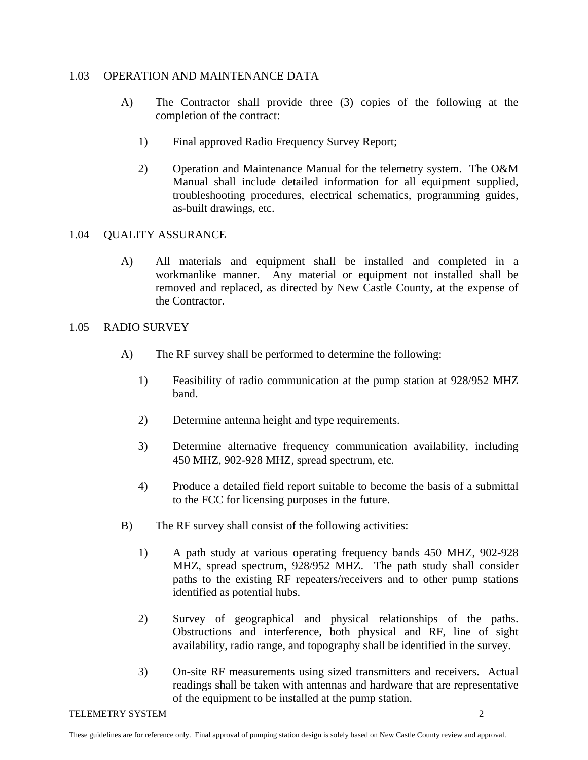#### 1.03 OPERATION AND MAINTENANCE DATA

- A) The Contractor shall provide three (3) copies of the following at the completion of the contract:
	- 1) Final approved Radio Frequency Survey Report;
	- 2) Operation and Maintenance Manual for the telemetry system. The O&M Manual shall include detailed information for all equipment supplied, troubleshooting procedures, electrical schematics, programming guides, as-built drawings, etc.

## 1.04 QUALITY ASSURANCE

A) All materials and equipment shall be installed and completed in a workmanlike manner. Any material or equipment not installed shall be removed and replaced, as directed by New Castle County, at the expense of the Contractor.

#### 1.05 RADIO SURVEY

- A) The RF survey shall be performed to determine the following:
	- 1) Feasibility of radio communication at the pump station at 928/952 MHZ band.
	- 2) Determine antenna height and type requirements.
	- 3) Determine alternative frequency communication availability, including 450 MHZ, 902-928 MHZ, spread spectrum, etc.
	- 4) Produce a detailed field report suitable to become the basis of a submittal to the FCC for licensing purposes in the future.
- B) The RF survey shall consist of the following activities:
	- 1) A path study at various operating frequency bands 450 MHZ, 902-928 MHZ, spread spectrum, 928/952 MHZ. The path study shall consider paths to the existing RF repeaters/receivers and to other pump stations identified as potential hubs.
	- 2) Survey of geographical and physical relationships of the paths. Obstructions and interference, both physical and RF, line of sight availability, radio range, and topography shall be identified in the survey.
	- 3) On-site RF measurements using sized transmitters and receivers. Actual readings shall be taken with antennas and hardware that are representative of the equipment to be installed at the pump station.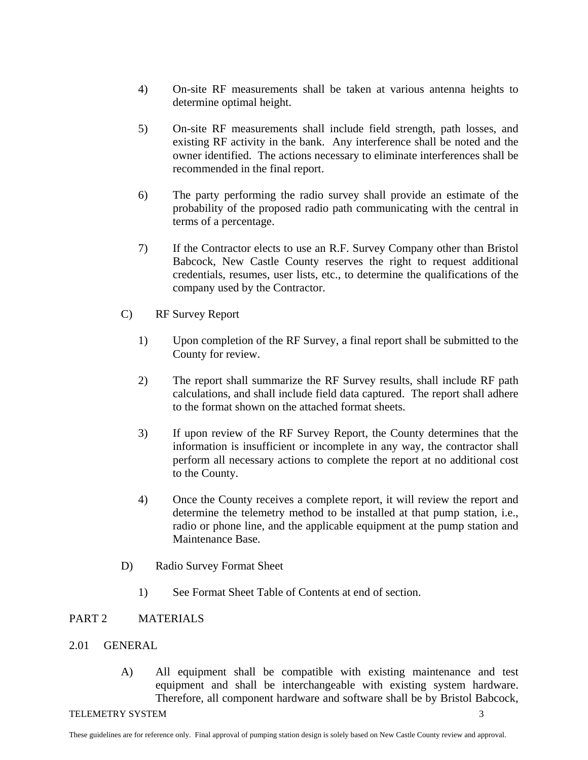- 4) On-site RF measurements shall be taken at various antenna heights to determine optimal height.
- 5) On-site RF measurements shall include field strength, path losses, and existing RF activity in the bank. Any interference shall be noted and the owner identified. The actions necessary to eliminate interferences shall be recommended in the final report.
- 6) The party performing the radio survey shall provide an estimate of the probability of the proposed radio path communicating with the central in terms of a percentage.
- 7) If the Contractor elects to use an R.F. Survey Company other than Bristol Babcock, New Castle County reserves the right to request additional credentials, resumes, user lists, etc., to determine the qualifications of the company used by the Contractor.
- C) RF Survey Report
	- 1) Upon completion of the RF Survey, a final report shall be submitted to the County for review.
	- 2) The report shall summarize the RF Survey results, shall include RF path calculations, and shall include field data captured. The report shall adhere to the format shown on the attached format sheets.
	- 3) If upon review of the RF Survey Report, the County determines that the information is insufficient or incomplete in any way, the contractor shall perform all necessary actions to complete the report at no additional cost to the County.
	- 4) Once the County receives a complete report, it will review the report and determine the telemetry method to be installed at that pump station, i.e., radio or phone line, and the applicable equipment at the pump station and Maintenance Base.
- D) Radio Survey Format Sheet
	- 1) See Format Sheet Table of Contents at end of section.

## PART 2 MATERIALS

## 2.01 GENERAL

A) All equipment shall be compatible with existing maintenance and test equipment and shall be interchangeable with existing system hardware. Therefore, all component hardware and software shall be by Bristol Babcock,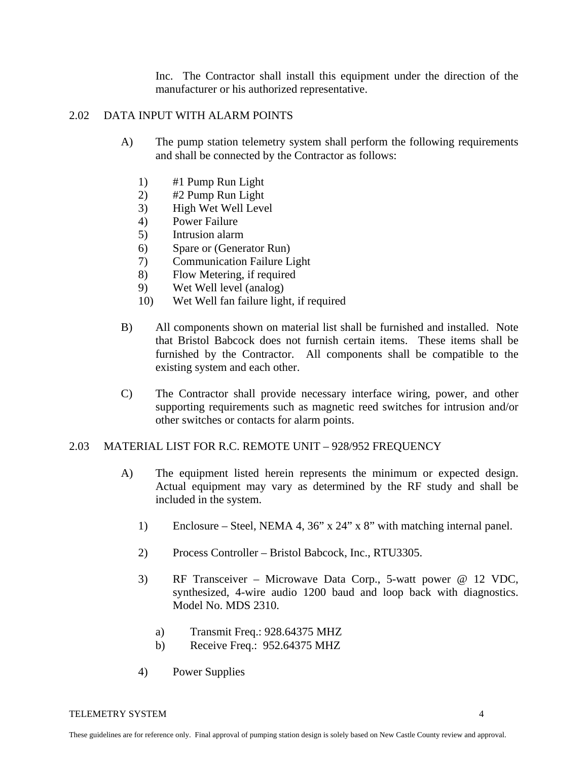Inc. The Contractor shall install this equipment under the direction of the manufacturer or his authorized representative.

#### 2.02 DATA INPUT WITH ALARM POINTS

- A) The pump station telemetry system shall perform the following requirements and shall be connected by the Contractor as follows:
	- 1) #1 Pump Run Light
	- 2) #2 Pump Run Light
	- 3) High Wet Well Level
	- 4) Power Failure
	- 5) Intrusion alarm
	- 6) Spare or (Generator Run)
	- 7) Communication Failure Light
	- 8) Flow Metering, if required
	- 9) Wet Well level (analog)
	- 10) Wet Well fan failure light, if required
- B) All components shown on material list shall be furnished and installed. Note that Bristol Babcock does not furnish certain items. These items shall be furnished by the Contractor. All components shall be compatible to the existing system and each other.
- C) The Contractor shall provide necessary interface wiring, power, and other supporting requirements such as magnetic reed switches for intrusion and/or other switches or contacts for alarm points.

#### 2.03 MATERIAL LIST FOR R.C. REMOTE UNIT – 928/952 FREQUENCY

- A) The equipment listed herein represents the minimum or expected design. Actual equipment may vary as determined by the RF study and shall be included in the system.
	- 1) Enclosure Steel, NEMA 4, 36" x 24" x 8" with matching internal panel.
	- 2) Process Controller Bristol Babcock, Inc., RTU3305.
	- 3) RF Transceiver Microwave Data Corp., 5-watt power @ 12 VDC, synthesized, 4-wire audio 1200 baud and loop back with diagnostics. Model No. MDS 2310.
		- a) Transmit Freq.: 928.64375 MHZ
		- b) Receive Freq.: 952.64375 MHZ
	- 4) Power Supplies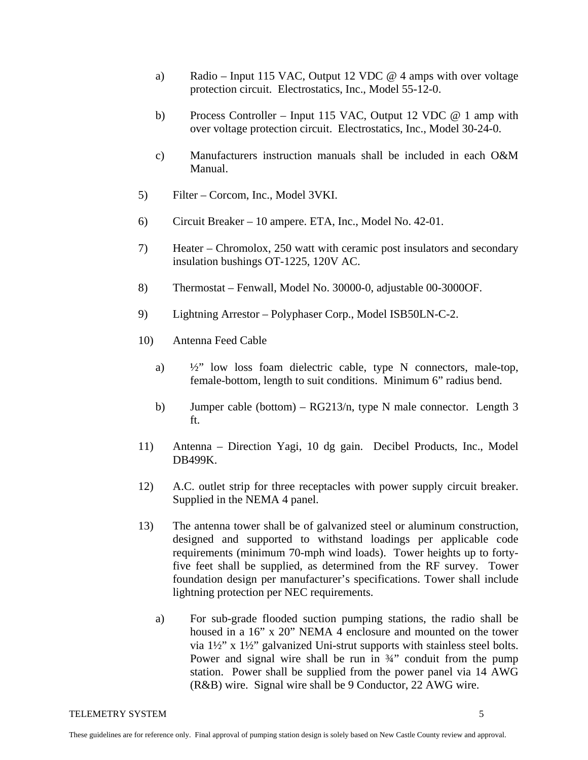- a) Radio Input 115 VAC, Output 12 VDC @ 4 amps with over voltage protection circuit. Electrostatics, Inc., Model 55-12-0.
- b) Process Controller Input 115 VAC, Output 12 VDC @ 1 amp with over voltage protection circuit. Electrostatics, Inc., Model 30-24-0.
- c) Manufacturers instruction manuals shall be included in each O&M Manual.
- 5) Filter Corcom, Inc., Model 3VKI.
- 6) Circuit Breaker 10 ampere. ETA, Inc., Model No. 42-01.
- 7) Heater Chromolox, 250 watt with ceramic post insulators and secondary insulation bushings OT-1225, 120V AC.
- 8) Thermostat Fenwall, Model No. 30000-0, adjustable 00-3000OF.
- 9) Lightning Arrestor Polyphaser Corp., Model ISB50LN-C-2.
- 10) Antenna Feed Cable
	- a) ½" low loss foam dielectric cable, type N connectors, male-top, female-bottom, length to suit conditions. Minimum 6" radius bend.
	- b) Jumper cable (bottom)  $RG213/n$ , type N male connector. Length 3 ft.
- 11) Antenna Direction Yagi, 10 dg gain. Decibel Products, Inc., Model DB499K.
- 12) A.C. outlet strip for three receptacles with power supply circuit breaker. Supplied in the NEMA 4 panel.
- 13) The antenna tower shall be of galvanized steel or aluminum construction, designed and supported to withstand loadings per applicable code requirements (minimum 70-mph wind loads). Tower heights up to fortyfive feet shall be supplied, as determined from the RF survey. Tower foundation design per manufacturer's specifications. Tower shall include lightning protection per NEC requirements.
	- a) For sub-grade flooded suction pumping stations, the radio shall be housed in a 16" x 20" NEMA 4 enclosure and mounted on the tower via 1½" x 1½" galvanized Uni-strut supports with stainless steel bolts. Power and signal wire shall be run in  $\frac{3}{4}$  conduit from the pump station. Power shall be supplied from the power panel via 14 AWG (R&B) wire. Signal wire shall be 9 Conductor, 22 AWG wire.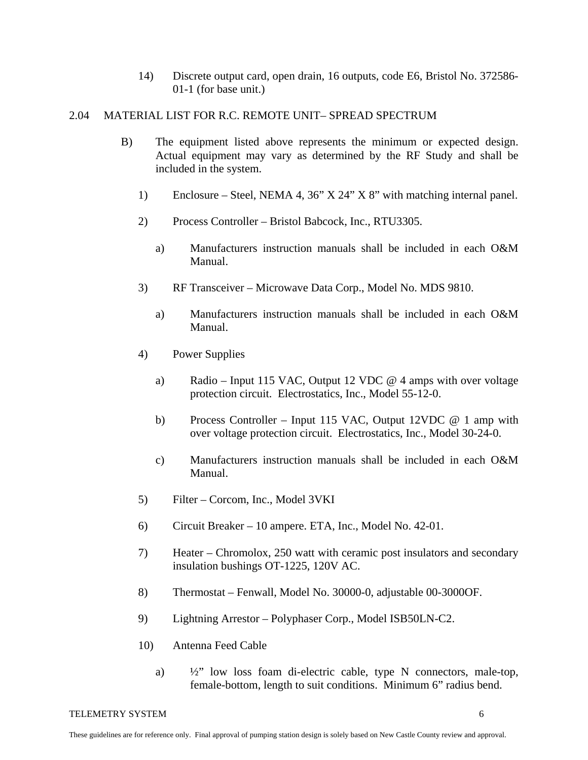14) Discrete output card, open drain, 16 outputs, code E6, Bristol No. 372586- 01-1 (for base unit.)

#### 2.04 MATERIAL LIST FOR R.C. REMOTE UNIT– SPREAD SPECTRUM

- B) The equipment listed above represents the minimum or expected design. Actual equipment may vary as determined by the RF Study and shall be included in the system.
	- 1) Enclosure Steel, NEMA 4, 36" X 24" X 8" with matching internal panel.
	- 2) Process Controller Bristol Babcock, Inc., RTU3305.
		- a) Manufacturers instruction manuals shall be included in each O&M Manual.
	- 3) RF Transceiver Microwave Data Corp., Model No. MDS 9810.
		- a) Manufacturers instruction manuals shall be included in each O&M Manual.
	- 4) Power Supplies
		- a) Radio Input 115 VAC, Output 12 VDC  $\omega$  4 amps with over voltage protection circuit. Electrostatics, Inc., Model 55-12-0.
		- b) Process Controller Input 115 VAC, Output 12VDC @ 1 amp with over voltage protection circuit. Electrostatics, Inc., Model 30-24-0.
		- c) Manufacturers instruction manuals shall be included in each O&M Manual.
	- 5) Filter Corcom, Inc., Model 3VKI
	- 6) Circuit Breaker 10 ampere. ETA, Inc., Model No. 42-01.
	- 7) Heater Chromolox, 250 watt with ceramic post insulators and secondary insulation bushings OT-1225, 120V AC.
	- 8) Thermostat Fenwall, Model No. 30000-0, adjustable 00-3000OF.
	- 9) Lightning Arrestor Polyphaser Corp., Model ISB50LN-C2.
	- 10) Antenna Feed Cable
		- a) ½" low loss foam di-electric cable, type N connectors, male-top, female-bottom, length to suit conditions. Minimum 6" radius bend.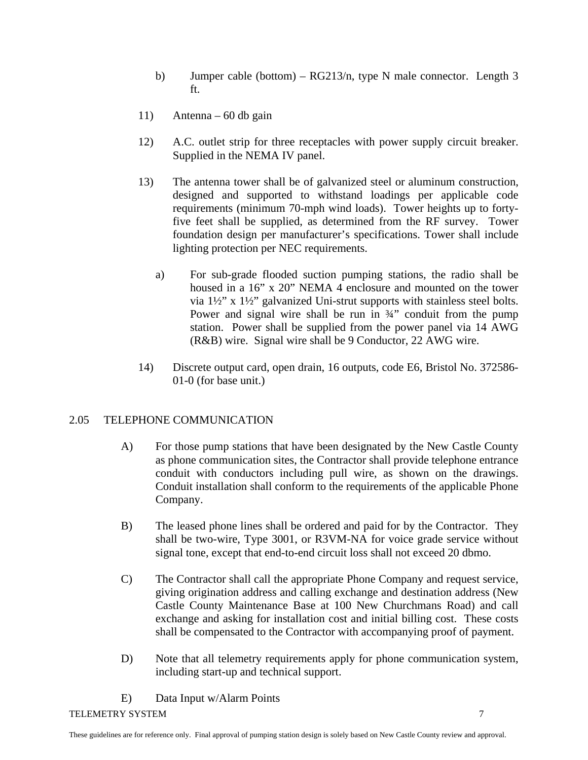- b) Jumper cable (bottom)  $RG213/n$ , type N male connector. Length 3 ft.
- 11) Antenna 60 db gain
- 12) A.C. outlet strip for three receptacles with power supply circuit breaker. Supplied in the NEMA IV panel.
- 13) The antenna tower shall be of galvanized steel or aluminum construction, designed and supported to withstand loadings per applicable code requirements (minimum 70-mph wind loads). Tower heights up to fortyfive feet shall be supplied, as determined from the RF survey. Tower foundation design per manufacturer's specifications. Tower shall include lighting protection per NEC requirements.
	- a) For sub-grade flooded suction pumping stations, the radio shall be housed in a 16" x 20" NEMA 4 enclosure and mounted on the tower via 1½" x 1½" galvanized Uni-strut supports with stainless steel bolts. Power and signal wire shall be run in  $\frac{3}{4}$  conduit from the pump station. Power shall be supplied from the power panel via 14 AWG (R&B) wire. Signal wire shall be 9 Conductor, 22 AWG wire.
- 14) Discrete output card, open drain, 16 outputs, code E6, Bristol No. 372586- 01-0 (for base unit.)

# 2.05 TELEPHONE COMMUNICATION

- A) For those pump stations that have been designated by the New Castle County as phone communication sites, the Contractor shall provide telephone entrance conduit with conductors including pull wire, as shown on the drawings. Conduit installation shall conform to the requirements of the applicable Phone Company.
- B) The leased phone lines shall be ordered and paid for by the Contractor. They shall be two-wire, Type 3001, or R3VM-NA for voice grade service without signal tone, except that end-to-end circuit loss shall not exceed 20 dbmo.
- C) The Contractor shall call the appropriate Phone Company and request service, giving origination address and calling exchange and destination address (New Castle County Maintenance Base at 100 New Churchmans Road) and call exchange and asking for installation cost and initial billing cost. These costs shall be compensated to the Contractor with accompanying proof of payment.
- D) Note that all telemetry requirements apply for phone communication system, including start-up and technical support.
- E) Data Input w/Alarm Points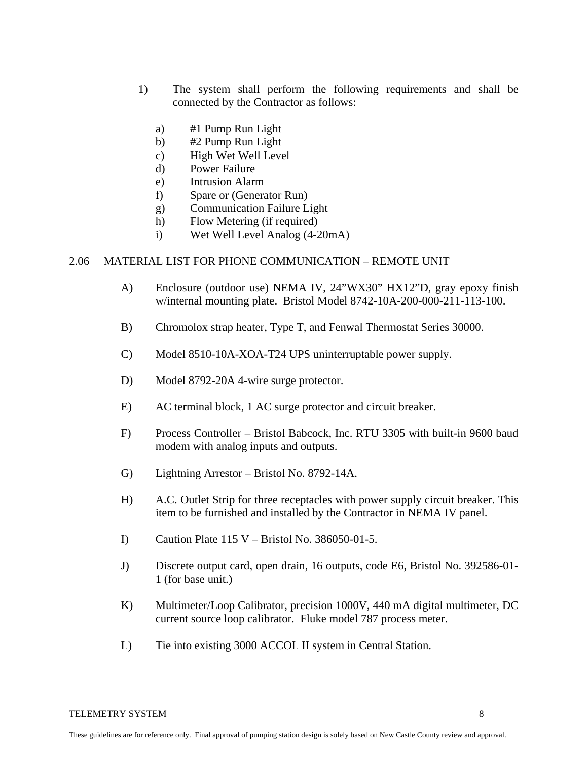- 1) The system shall perform the following requirements and shall be connected by the Contractor as follows:
	- a) #1 Pump Run Light
	- b) #2 Pump Run Light
	- c) High Wet Well Level
	- d) Power Failure
	- e) Intrusion Alarm
	- f) Spare or (Generator Run)
	- g) Communication Failure Light
	- h) Flow Metering (if required)
	- i) Wet Well Level Analog (4-20mA)

## 2.06 MATERIAL LIST FOR PHONE COMMUNICATION – REMOTE UNIT

- A) Enclosure (outdoor use) NEMA IV, 24"WX30" HX12"D, gray epoxy finish w/internal mounting plate. Bristol Model 8742-10A-200-000-211-113-100.
- B) Chromolox strap heater, Type T, and Fenwal Thermostat Series 30000.
- C) Model 8510-10A-XOA-T24 UPS uninterruptable power supply.
- D) Model 8792-20A 4-wire surge protector.
- E) AC terminal block, 1 AC surge protector and circuit breaker.
- F) Process Controller Bristol Babcock, Inc. RTU 3305 with built-in 9600 baud modem with analog inputs and outputs.
- G) Lightning Arrestor Bristol No. 8792-14A.
- H) A.C. Outlet Strip for three receptacles with power supply circuit breaker. This item to be furnished and installed by the Contractor in NEMA IV panel.
- I) Caution Plate 115 V Bristol No. 386050-01-5.
- J) Discrete output card, open drain, 16 outputs, code E6, Bristol No. 392586-01- 1 (for base unit.)
- K) Multimeter/Loop Calibrator, precision 1000V, 440 mA digital multimeter, DC current source loop calibrator. Fluke model 787 process meter.
- L) Tie into existing 3000 ACCOL II system in Central Station.

#### TELEMETRY SYSTEM 8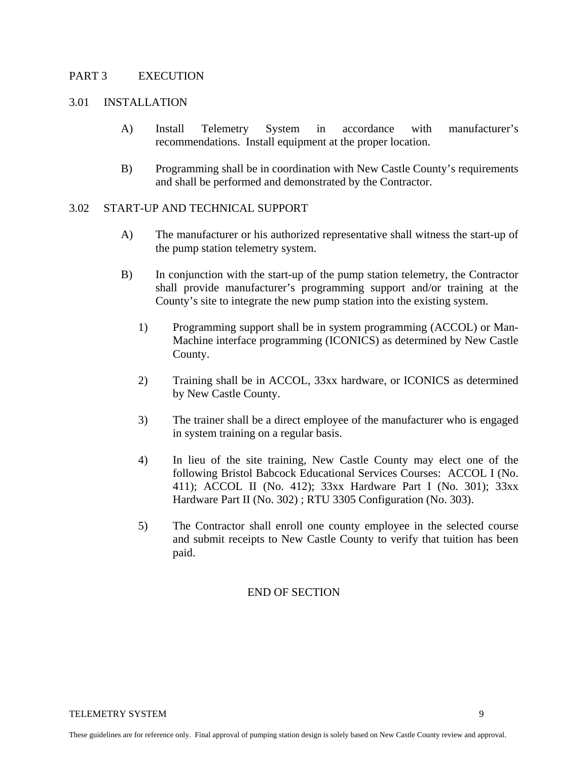### PART 3 EXECUTION

#### 3.01 INSTALLATION

- A) Install Telemetry System in accordance with manufacturer's recommendations. Install equipment at the proper location.
- B) Programming shall be in coordination with New Castle County's requirements and shall be performed and demonstrated by the Contractor.

## 3.02 START-UP AND TECHNICAL SUPPORT

- A) The manufacturer or his authorized representative shall witness the start-up of the pump station telemetry system.
- B) In conjunction with the start-up of the pump station telemetry, the Contractor shall provide manufacturer's programming support and/or training at the County's site to integrate the new pump station into the existing system.
	- 1) Programming support shall be in system programming (ACCOL) or Man-Machine interface programming (ICONICS) as determined by New Castle County.
	- 2) Training shall be in ACCOL, 33xx hardware, or ICONICS as determined by New Castle County.
	- 3) The trainer shall be a direct employee of the manufacturer who is engaged in system training on a regular basis.
	- 4) In lieu of the site training, New Castle County may elect one of the following Bristol Babcock Educational Services Courses: ACCOL I (No. 411); ACCOL II (No. 412); 33xx Hardware Part I (No. 301); 33xx Hardware Part II (No. 302) ; RTU 3305 Configuration (No. 303).
	- 5) The Contractor shall enroll one county employee in the selected course and submit receipts to New Castle County to verify that tuition has been paid.

## END OF SECTION